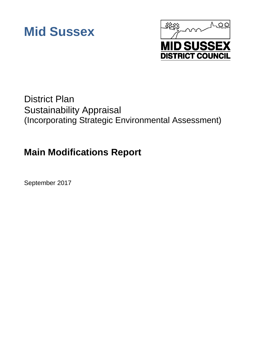



# District Plan Sustainability Appraisal (Incorporating Strategic Environmental Assessment)

# **Main Modifications Report**

September 2017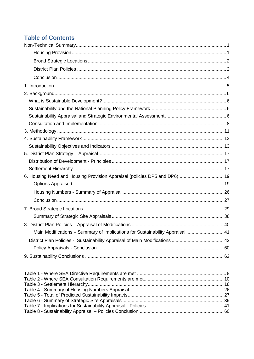# **Table of Contents**

| 6. Housing Need and Housing Provision Appraisal (policies DP5 and DP6) 19     |  |
|-------------------------------------------------------------------------------|--|
|                                                                               |  |
|                                                                               |  |
|                                                                               |  |
|                                                                               |  |
|                                                                               |  |
|                                                                               |  |
| Main Modifications - Summary of Implications for Sustainability Appraisal  41 |  |
|                                                                               |  |
|                                                                               |  |
|                                                                               |  |
|                                                                               |  |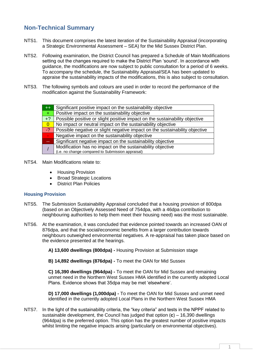# <span id="page-2-0"></span>**Non-Technical Summary**

- NTS1. This document comprises the latest iteration of the Sustainability Appraisal (incorporating a Strategic Environmental Assessment – SEA) for the Mid Sussex District Plan.
- NTS2. Following examination, the District Council has prepared a Schedule of Main Modifications setting out the changes required to make the District Plan 'sound'. In accordance with guidance, the modifications are now subject to public consultation for a period of 6 weeks. To accompany the schedule, the Sustainability Appraisal/SEA has been updated to appraise the sustainability impacts of the modifications, this is also subject to consultation.
- NTS3. The following symbols and colours are used in order to record the performance of the modification against the Sustainability Framework:

| ÆŦ             | Significant positive impact on the sustainability objective                 |
|----------------|-----------------------------------------------------------------------------|
| $+$ .          | Positive impact on the sustainability objective                             |
| $+2$           | Possible positive or slight positive impact on the sustainability objective |
| $\overline{0}$ | No impact or neutral impact on the sustainability objective                 |
| $-2$           | Possible negative or slight negative impact on the sustainability objective |
|                | Negative impact on the sustainability objective                             |
|                | Significant negative impact on the sustainability objective                 |
|                | Modification has no impact on the sustainability objective                  |
|                | (i.e. no change compared to Submission appraisal)                           |

- NTS4. Main Modifications relate to:
	- Housing Provision
	- Broad Strategic Locations
	- District Plan Policies

#### <span id="page-2-1"></span>**Housing Provision**

- NTS5. The Submission Sustainability Appraisal concluded that a housing provision of 800dpa (based on an Objectively Assessed Need of 754dpa, with a 46dpa contribution to neighbouring authorities to help them meet their housing need) was the most sustainable.
- NTS6. At the examination, it was concluded that evidence pointed towards an increased OAN of 876dpa, and that the social/economic benefits from a larger contribution towards neighbours outweighed environmental negatives. A re-appraisal has taken place based on the evidence presented at the hearings.
	- **A) 13,600 dwellings (800dpa) -** Housing Provision at Submission stage

**B) 14,892 dwellings (876dpa) -** To meet the OAN for Mid Sussex

**C) 16,390 dwellings (964dpa) -** To meet the OAN for Mid Sussex and remaining unmet need in the Northern West Sussex HMA identified in the currently adopted Local Plans. Evidence shows that 35dpa may be met 'elsewhere'.

**D) 17,000 dwellings (1,000dpa) -** To meet the OAN for Mid Sussex and unmet need identified in the currently adopted Local Plans in the Northern West Sussex HMA

NTS7. In the light of the sustainability criteria, the "key criteria" and tests in the NPPF related to sustainable development, the Council has judged that option (**c**) – 16,390 dwellings (964dpa) is the preferred option. This option has the greatest number of positive impacts whilst limiting the negative impacts arising (particularly on environmental objectives).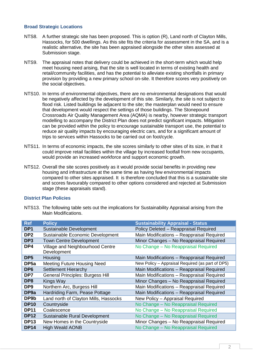#### <span id="page-3-0"></span>**Broad Strategic Locations**

- NTS8. A further strategic site has been proposed. This is option (R), Land north of Clayton Mills, Hassocks, for 500 dwellings. As this site fits the criteria for assessment in the SA, and is a realistic alternative, the site has been appraised alongside the other sites assessed at Submission stage.
- NTS9. The appraisal notes that delivery could be achieved in the short-term which would help meet housing need arising, that the site is well located in terms of existing health and retail/community facilities, and has the potential to alleviate existing shortfalls in primary provision by providing a new primary school on-site. It therefore scores very positively on the social objectives.
- NTS10. In terms of environmental objectives, there are no environmental designations that would be negatively affected by the development of this site. Similarly, the site is not subject to flood risk. Listed buildings lie adjacent to the site; the masterplan would need to ensure that development would respect the settings of those buildings. The Stonepound Crossroads Air Quality Management Area (AQMA) is nearby, however strategic transport modelling to accompany the District Plan does not predict significant impacts. Mitigation can be provided within the policy to encourage sustainable transport use, the potential to reduce air quality impacts by encouraging electric cars, and for a significant amount of trips to services within Hassocks to be carried out on foot/cycle.
- NTS11. In terms of economic impacts, the site scores similarly to other sites of its size, in that it could improve retail facilities within the village by increased footfall from new occupants, would provide an increased workforce and support economic growth.
- NTS12. Overall the site scores positively as it would provide social benefits in providing new housing and infrastructure at the same time as having few environmental impacts compared to other sites appraised. It is therefore concluded that this is a sustainable site and scores favourably compared to other options considered and rejected at Submission stage (these appraisals stand).

#### <span id="page-3-1"></span>**District Plan Policies**

NTS13. The following table sets out the implications for Sustainability Appraisal arising from the Main Modifications.

| <b>Ref</b>       | <b>Policy</b>                                   | <b>Sustainability Appraisal - Status</b>         |
|------------------|-------------------------------------------------|--------------------------------------------------|
| DP <sub>1</sub>  | Sustainable Development                         | Policy Deleted - Reappraisal Required            |
| DP <sub>2</sub>  | Sustainable Economic Development                | Main Modifications - Reappraisal Required        |
| DP <sub>3</sub>  | <b>Town Centre Development</b>                  | Minor Changes - No Reappraisal Required          |
| DP4              | Village and Neighbourhood Centre<br>Development | No Change - No Reappraisal Required              |
| DP <sub>5</sub>  | Housing                                         | Main Modifications - Reappraisal Required        |
| DP <sub>5a</sub> | <b>Meeting Future Housing Need</b>              | New Policy - Appraisal Required (as part of DP5) |
| DP <sub>6</sub>  | <b>Settlement Hierarchy</b>                     | Main Modifications - Reappraisal Required        |
| DP7              | <b>General Principles: Burgess Hill</b>         | Main Modifications - Reappraisal Required        |
| DP8              | Kings Way                                       | Minor Changes - No Reappraisal Required          |
| DP <sub>9</sub>  | Northern Arc, Burgess Hill                      | Main Modifications - Reappraisal Required        |
| DP <sub>9a</sub> | Hardriding Farm, Pease Pottage                  | Main Modifications - Reappraisal Required        |
| DP9b             | Land north of Clayton Mills, Hassocks           | New Policy - Appraisal Required                  |
| <b>DP10</b>      | Countryside                                     | No Change - No Reappraisal Required              |
| <b>DP11</b>      | Coalescence                                     | No Change - No Reappraisal Required              |
| <b>DP12</b>      | Sustainable Rural Development                   | No Change - No Reappraisal Required              |
| <b>DP13</b>      | New Homes in the Countryside                    | Minor Changes - No Reappraisal Required          |
| <b>DP14</b>      | <b>High Weald AONB</b>                          | No Change - No Reappraisal Required              |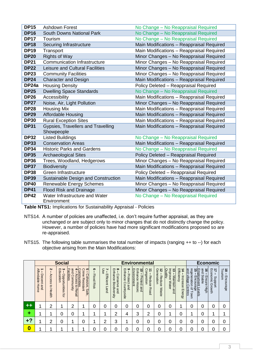| <b>DP15</b> | <b>Ashdown Forest</b>                         | No Change - No Reappraisal Required       |
|-------------|-----------------------------------------------|-------------------------------------------|
| <b>DP16</b> | <b>South Downs National Park</b>              | No Change - No Reappraisal Required       |
| <b>DP17</b> | Tourism                                       | No Change - No Reappraisal Required       |
| <b>DP18</b> | Securing Infrastructure                       | Main Modifications - Reappraisal Required |
| <b>DP19</b> | Transport                                     | Main Modifications - Reappraisal Required |
| <b>DP20</b> | <b>Rights of Way</b>                          | Minor Changes - No Reappraisal Required   |
| <b>DP21</b> | <b>Communication Infrastructure</b>           | Minor Changes - No Reappraisal Required   |
| <b>DP22</b> | <b>Leisure and Cultural Facilities</b>        | Minor Changes - No Reappraisal Required   |
| <b>DP23</b> | <b>Community Facilities</b>                   | Minor Changes - No Reappraisal Required   |
| <b>DP24</b> | <b>Character and Design</b>                   | Main Modifications - Reappraisal Required |
| DP24a       | <b>Housing Density</b>                        | Policy Deleted - Reappraisal Required     |
| <b>DP25</b> | <b>Dwelling Space Standards</b>               | No Change - No Reappraisal Required       |
| <b>DP26</b> | Accessibility                                 | Main Modifications - Reappraisal Required |
| <b>DP27</b> | Noise, Air, Light Pollution                   | Minor Changes - No Reappraisal Required   |
| <b>DP28</b> | <b>Housing Mix</b>                            | Main Modifications - Reappraisal Required |
| <b>DP29</b> | <b>Affordable Housing</b>                     | Main Modifications - Reappraisal Required |
| <b>DP30</b> | <b>Rural Exception Sites</b>                  | Main Modifications - Reappraisal Required |
| <b>DP31</b> | Gypsies, Travellers and Travelling            | Main Modifications - Reappraisal Required |
|             | Showpeople                                    |                                           |
| <b>DP32</b> | <b>Listed Buildings</b>                       | No Change - No Reappraisal Required       |
| <b>DP33</b> | <b>Conservation Areas</b>                     | Main Modifications - Reappraisal Required |
| <b>DP34</b> | <b>Historic Parks and Gardens</b>             | No Change - No Reappraisal Required       |
| <b>DP35</b> | <b>Archaeological Sites</b>                   | Policy Deleted - Reappraisal Required     |
| <b>DP36</b> | Trees, Woodland, Hedgerows                    | Minor Changes - No Reappraisal Required   |
| <b>DP37</b> | <b>Biodiversity</b>                           | Main Modifications - Reappraisal Required |
| <b>DP38</b> | Green Infrastructure                          | Policy Deleted - Reappraisal Required     |
| <b>DP39</b> | Sustainable Design and Construction           | Main Modifications - Reappraisal Required |
| <b>DP40</b> | <b>Renewable Energy Schemes</b>               | Minor Changes - No Reappraisal Required   |
| <b>DP41</b> | Flood Risk and Drainage                       | Minor Changes - No Reappraisal Required   |
| <b>DP42</b> | Water Infrastructure and Water<br>Environment | No Change - No Reappraisal Required       |

**Table NTS1:** Implications for Sustainability Appraisal - Policies

- NTS14. A number of policies are unaffected, i.e. don't require further appraisal, as they are unchanged or are subject only to minor changes that do not distinctly change the policy. However, a number of policies have had more significant modifications proposed so are re-appraised.
- NTS15. The following table summarises the total number of impacts (ranging ++ to --) for each objective arising from the Main Modifications:

|      |                                     |                                    | <b>Social</b>                                           |                                                                                 |                                                                                            |                                  |                                 |                                                                         |                                                | <b>Environmental</b>                                      |                                   |                                    |                                                         |                                       |                                                                                                                            | <b>Economic</b>                                  |                                            |                                   |
|------|-------------------------------------|------------------------------------|---------------------------------------------------------|---------------------------------------------------------------------------------|--------------------------------------------------------------------------------------------|----------------------------------|---------------------------------|-------------------------------------------------------------------------|------------------------------------------------|-----------------------------------------------------------|-----------------------------------|------------------------------------|---------------------------------------------------------|---------------------------------------|----------------------------------------------------------------------------------------------------------------------------|--------------------------------------------------|--------------------------------------------|-----------------------------------|
|      | Affordable<br>Decent<br>Home<br>and | Z<br>Access<br>$\vec{c}$<br>Health | ပ<br>$\blacksquare$<br>ducation<br>- Opportunities<br>đ | and<br>4<br><b>Facilities</b><br>Access<br>ဂ<br>ommunity<br>$\vec{o}$<br>Retail | <b>CTI</b><br>O<br>$\Omega$<br>ommunities<br>ime<br>Cohesive,<br><b>Resistant</b><br>Safe, | ၜ<br><b>Flood</b><br><b>Risk</b> | Use<br>⊣<br>ш<br>Efficient Land | $\infty$<br>$\blacksquare$<br>nhance<br>Conserve<br>Biodiversity<br>and | ဖ<br>Enhance<br>Protect and<br>C<br>ountryside | Enhance<br>Environment<br>る<br>Protect<br>Historic<br>and | ⇉<br>Congestion<br>Reduce<br>Road | ಸ<br>Generation<br>Reduce<br>Waste | Improve<br>Quality<br>ದ<br>Maintain and<br><b>Water</b> | 4<br>Efficiency<br>Increase<br>Energy | <b>and</b><br>regeneration<br><u>Employment Levels</u><br>15 – Encourage<br>village Centres<br>$\overline{\sigma}$<br>Town | and<br>$\vec{e}$<br><b>Stable</b><br>Ensure High | $\vec{v}$<br>Economic<br>Support<br>Growth | Tourism<br>$\vec{8}$<br>Encourage |
| $++$ | и                                   | ົ                                  |                                                         | ົ                                                                               | ◢                                                                                          | 0                                | 0                               | 0                                                                       | 0                                              | 0                                                         | Ω                                 | 0                                  | 0                                                       |                                       | 0                                                                                                                          | O                                                |                                            | O                                 |
| ٠    |                                     |                                    | 0                                                       |                                                                                 | ◢                                                                                          |                                  |                                 | 2                                                                       | 4                                              | 3                                                         | 2                                 | 0                                  |                                                         |                                       |                                                                                                                            | 0                                                |                                            |                                   |
| +?   |                                     | າ                                  | 0                                                       |                                                                                 |                                                                                            |                                  | 2                               | 3                                                                       |                                                | 0                                                         |                                   | 0                                  | 0                                                       |                                       | 0                                                                                                                          | 0                                                |                                            | 0                                 |
| Ŋ    |                                     |                                    |                                                         |                                                                                 |                                                                                            |                                  |                                 | N                                                                       | 0                                              |                                                           |                                   |                                    | ი                                                       |                                       | Ⴖ                                                                                                                          |                                                  |                                            | ∩                                 |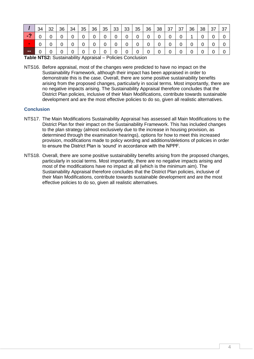|            | 34 | 32 | 36 | 34 | 35 | 36 | 35 | 33 | 33 | 35 | 36 | 38 | 37 | 37 | 36 | 38 | 37 | 37 |
|------------|----|----|----|----|----|----|----|----|----|----|----|----|----|----|----|----|----|----|
| $\sqrt{2}$ |    |    |    |    |    |    |    |    |    |    |    |    |    |    |    |    |    |    |
| $\sim$     |    |    |    |    |    |    |    |    |    |    |    |    |    |    |    |    |    |    |
| --         |    |    |    |    |    |    |    |    | 0  |    |    |    |    |    |    |    |    |    |

**Table NTS2:** Sustainability Appraisal – Policies Conclusion

NTS16. Before appraisal, most of the changes were predicted to have no impact on the Sustainability Framework, although their impact has been appraised in order to demonstrate this is the case. Overall, there are some positive sustainability benefits arising from the proposed changes, particularly in social terms. Most importantly, there are no negative impacts arising. The Sustainability Appraisal therefore concludes that the District Plan policies, inclusive of their Main Modifications, contribute towards sustainable development and are the most effective policies to do so, given all realistic alternatives.

#### <span id="page-5-0"></span>**Conclusion**

- NTS17. The Main Modifications Sustainability Appraisal has assessed all Main Modifications to the District Plan for their impact on the Sustainability Framework. This has included changes to the plan strategy (almost exclusively due to the increase in housing provision, as determined through the examination hearings), options for how to meet this increased provision, modifications made to policy wording and additions/deletions of policies in order to ensure the District Plan is 'sound' in accordance with the NPPF.
- NTS18. Overall, there are some positive sustainability benefits arising from the proposed changes, particularly in social terms. Most importantly, there are no negative impacts arising and most of the modifications have no impact at all (which is the minimum aim). The Sustainability Appraisal therefore concludes that the District Plan policies, inclusive of their Main Modifications, contribute towards sustainable development and are the most effective policies to do so, given all realistic alternatives.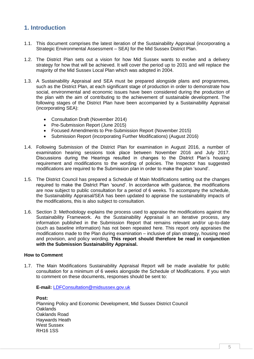# <span id="page-6-0"></span>**1. Introduction**

- 1.1. This document comprises the latest iteration of the Sustainability Appraisal (incorporating a Strategic Environmental Assessment – SEA) for the Mid Sussex District Plan.
- 1.2. The District Plan sets out a vision for how Mid Sussex wants to evolve and a delivery strategy for how that will be achieved. It will cover the period up to 2031 and will replace the majority of the Mid Sussex Local Plan which was adopted in 2004.
- 1.3. A Sustainability Appraisal and SEA must be prepared alongside plans and programmes, such as the District Plan, at each significant stage of production in order to demonstrate how social, environmental and economic issues have been considered during the production of the plan with the aim of contributing to the achievement of sustainable development. The following stages of the District Plan have been accompanied by a Sustainability Appraisal (incorporating SEA):
	- Consultation Draft (November 2014)
	- Pre-Submission Report (June 2015)
	- Focused Amendments to Pre-Submission Report (November 2015)
	- Submission Report (incorporating Further Modifications) (August 2016)
- 1.4. Following Submission of the District Plan for examination in August 2016, a number of examination hearing sessions took place between November 2016 and July 2017. Discussions during the Hearings resulted in changes to the District Plan's housing requirement and modifications to the wording of policies. The Inspector has suggested modifications are required to the Submission plan in order to make the plan 'sound'.
- 1.5. The District Council has prepared a Schedule of Main Modifications setting out the changes required to make the District Plan 'sound'. In accordance with guidance, the modifications are now subject to public consultation for a period of 6 weeks. To accompany the schedule, the Sustainability Appraisal/SEA has been updated to appraise the sustainability impacts of the modifications, this is also subject to consultation.
- 1.6. Section 3: Methodology explains the process used to appraise the modifications against the Sustainability Framework. As the Sustainability Appraisal is an iterative process, any information published in the Submission Report that remains relevant and/or up-to-date (such as baseline information) has not been repeated here. This report only appraises the modifications made to the Plan during examination – inclusive of plan strategy, housing need and provision, and policy wording. **This report should therefore be read in conjunction with the Submission Sustainability Appraisal.**

#### **How to Comment**

1.7. The Main Modifications Sustainability Appraisal Report will be made available for public consultation for a minimum of 6 weeks alongside the Schedule of Modifications. If you wish to comment on these documents, responses should be sent to:

**E-mail:** [LDFConsultation@midsussex.gov.uk](mailto:LDFConsultation@midsussex.gov.uk)

**Post:** Planning Policy and Economic Development, Mid Sussex District Council Oaklands Oaklands Road Haywards Heath West Sussex RH16 1SS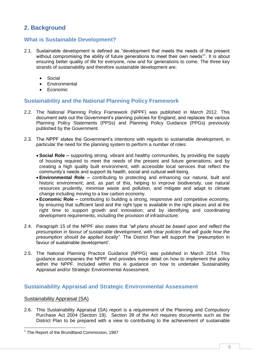# <span id="page-7-0"></span>**2. Background**

# <span id="page-7-1"></span>**What is Sustainable Development?**

- 2.1. Sustainable development is defined as "development that meets the needs of the present without compromising the ability of future generations to meet their own needs"<sup>1</sup>. It is about ensuring better quality of life for everyone, now and for generations to come. The three key strands of sustainability and therefore sustainable development are:
	- Social
	- **Environmental**
	- Economic

# <span id="page-7-2"></span>**Sustainability and the National Planning Policy Framework**

- 2.2. The National Planning Policy Framework (NPPF) was published in March 2012. This document sets out the Government's planning policies for England, and replaces the various Planning Policy Statements (PPSs) and Planning Policy Guidance (PPGs) previously published by the Government.
- 2.3. The NPPF states the Government's intentions with regards to sustainable development, in particular the need for the planning system to perform a number of roles:
	- **Social Role –** supporting strong, vibrant and healthy communities, by providing the supply of housing required to meet the needs of the present and future generations; and by creating a high quality built environment, with accessible local services that reflect the community's needs and support its health, social and cultural well-being.
	- **Environmental Role –** contributing to protecting and enhancing our natural, built and historic environment; and, as part of this, helping to improve biodiversity, use natural resources prudently, minimise waste and pollution, and mitigate and adapt to climate change including moving to a low carbon economy.
	- **Economic Role –** contributing to building a strong, responsive and competitive economy, by ensuring that sufficient land and the right type is available in the right places and at the right time to support growth and innovation; and by identifying and coordinating development requirements, including the provision of infrastructure.
- 2.4. Paragraph 15 of the NPPF also states that *"all plans should be based upon and reflect the presumption in favour of sustainable development, with clear policies that will guide how the presumption should be applied locally".* The District Plan will support the 'presumption in favour of sustainable development'.
- 2.5. The National Planning Practice Guidance (NPPG) was published in March 2014. This guidance accompanies the NPPF and provides more detail on how to implement the policy within the NPPF. Included within this is quidance on how to undertake Sustainability Appraisal and/or Strategic Environmental Assessment.

# <span id="page-7-3"></span>**Sustainability Appraisal and Strategic Environmental Assessment**

### Sustainability Appraisal (SA)

-

2.6. This Sustainability Appraisal (SA) report is a requirement of the Planning and Compulsory Purchase Act 2004 (Section 19). Section 39 of the Act requires documents such as the District Plan to be prepared with a view to contributing to the achievement of sustainable

<sup>&</sup>lt;sup>1</sup> The Report of the Brundtland Commission, 1987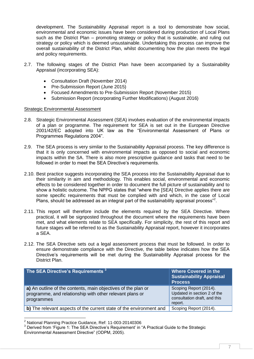development. The Sustainability Appraisal report is a tool to demonstrate how social, environmental and economic issues have been considered during production of Local Plans such as the District Plan – promoting strategy or policy that is sustainable, and ruling out strategy or policy which is deemed unsustainable. Undertaking this process can improve the overall sustainability of the District Plan, whilst documenting how the plan meets the legal and policy requirements.

- 2.7. The following stages of the District Plan have been accompanied by a Sustainability Appraisal (incorporating SEA):
	- Consultation Draft (November 2014)
	- Pre-Submission Report (June 2015)
	- Focused Amendments to Pre-Submission Report (November 2015)
	- Submission Report (incorporating Further Modifications) (August 2016)

#### Strategic Environmental Assessment

- 2.8. Strategic Environmental Assessment (SEA) involves evaluation of the environmental impacts of a plan or programme. The requirement for SEA is set out in the European Directive 2001/42/EC adopted into UK law as the "Environmental Assessment of Plans or Programmes Regulations 2004".
- 2.9. The SEA process is very similar to the Sustainability Appraisal process. The key difference is that it is only concerned with environmental impacts as opposed to social and economic impacts within the SA. There is also more prescriptive guidance and tasks that need to be followed in order to meet the SEA Directive's requirements.
- 2.10. Best practice suggests incorporating the SEA process into the Sustainability Appraisal due to their similarity in aim and methodology. This enables social, environmental and economic effects to be considered together in order to document the full picture of sustainability and to show a holistic outcome. The NPPG states that "where the [SEA] Directive applies there are some specific requirements that must be complied with and which, in the case of Local Plans, should be addressed as an integral part of the sustainability appraisal process"<sup>2</sup>.
- 2.11. This report will therefore include the elements required by the SEA Directive. Where practical, it will be signposted throughout the document where the requirements have been met, and what elements relate to SEA specifically. For simplicity, the rest of this report and future stages will be referred to as the Sustainability Appraisal report, however it incorporates a SEA.
- 2.12. The SEA Directive sets out a legal assessment process that must be followed. In order to ensure demonstrate compliance with the Directive, the table below indicates how the SEA Directive's requirements will be met during the Sustainability Appraisal process for the District Plan.

| The SEA Directive's Requirements 3                                                                                                      | <b>Where Covered in the</b><br><b>Sustainability Appraisal</b><br><b>Process</b>                 |
|-----------------------------------------------------------------------------------------------------------------------------------------|--------------------------------------------------------------------------------------------------|
| a) An outline of the contents, main objectives of the plan or<br>programme, and relationship with other relevant plans or<br>programmes | Scoping Report (2014).<br>Updated in section 2 of the<br>consultation draft, and this<br>report. |
| b) The relevant aspects of the current state of the environment and                                                                     | Scoping Report (2014).                                                                           |

<sup>-</sup> $2$  National Planning Practice Guidance, Ref: 11-003-20140306

<sup>3</sup> Derived from 'Figure 1: The SEA Directive's Requirement' in "A Practical Guide to the Strategic Environmental Assessment Directive" (ODPM, 2005).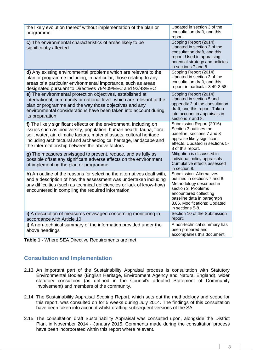| the likely evolution thereof without implementation of the plan or<br>programme                                                                                                                                                                                                                                                               | Updated in section 3 of the<br>consultation draft, and this<br>report.                                                                                                                                                          |
|-----------------------------------------------------------------------------------------------------------------------------------------------------------------------------------------------------------------------------------------------------------------------------------------------------------------------------------------------|---------------------------------------------------------------------------------------------------------------------------------------------------------------------------------------------------------------------------------|
| c) The environmental characteristics of areas likely to be<br>significantly affected                                                                                                                                                                                                                                                          | Scoping Report (2014).<br>Updated in section 3 of the<br>consultation draft, and this<br>report. Used in appraising<br>potential strategy and policies<br>in sections 7 and 8                                                   |
| d) Any existing environmental problems which are relevant to the<br>plan or programme including, in particular, those relating to any<br>areas of a particular environmental importance, such as areas<br>designated pursuant to Directives 79/409/EEC and 92/43/EEC                                                                          | Scoping Report (2014).<br>Updated in section 3 of the<br>consultation draft, and this<br>report, in particular 3.49-3.58.                                                                                                       |
| e) The environmental protection objectives, established at<br>international, community or national level, which are relevant to the<br>plan or programme and the way those objectives and any<br>environmental considerations have been taken into account during<br>its preparation                                                          | Scoping Report (2014).<br>Updated in section 5 and<br>appendix 2 of the consultation<br>draft, and this report. Taken<br>into account in appraisals in<br>sections 7 and 8.                                                     |
| f) The likely significant effects on the environment, including on<br>issues such as biodiversity, population, human health, fauna, flora,<br>soil, water, air, climatic factors, material assets, cultural heritage<br>including architectural and archaeological heritage, landscape and<br>the interrelationship between the above factors | Submission Report (2016)<br>Section 3 outlines the<br>baseline, sections 7 and 8<br>appraise likely significant<br>effects. Updated in sections 5-<br>8 of this report.                                                         |
| g) The measures envisaged to prevent, reduce, and as fully as<br>possible offset any significant adverse effects on the environment<br>of implementing the plan or programme                                                                                                                                                                  | Mitigation is discussed in<br>individual policy appraisals.<br>Cumulative effects assessed<br>in section 8.                                                                                                                     |
| h) An outline of the reasons for selecting the alternatives dealt with,<br>and a description of how the assessment was undertaken including<br>any difficulties (such as technical deficiencies or lack of know-how)<br>encountered in compiling the required information                                                                     | <b>Submission: Alternatives</b><br>outlined in sections 7 and 8.<br>Methodology described in<br>section 2. Problems<br>encountered collecting<br>baseline data in paragraph<br>3.86. Modifications: Updated<br>in sections 5-8. |
| i) A description of measures envisaged concerning monitoring in<br>accordance with Article 10                                                                                                                                                                                                                                                 | Section 10 of the Submission<br>report.                                                                                                                                                                                         |
| j) A non-technical summary of the information provided under the<br>above headings                                                                                                                                                                                                                                                            | A non-technical summary has<br>been prepared and<br>accompanies this document.                                                                                                                                                  |

<span id="page-9-1"></span>**Table 1 -** Where SEA Directive Requirements are met

# <span id="page-9-0"></span>**Consultation and Implementation**

- 2.13. An important part of the Sustainability Appraisal process is consultation with Statutory Environmental Bodies (English Heritage, Environment Agency and Natural England), wider statutory consultees (as defined in the Council's adopted Statement of Community Involvement) and members of the community.
- 2.14. The Sustainability Appraisal Scoping Report, which sets out the methodology and scope for this report, was consulted on for 5 weeks during July 2014. The findings of this consultation have been taken into account whilst drafting subsequent versions of the SA.
- 2.15. The consultation draft Sustainability Appraisal was consulted upon, alongside the District Plan, in November 2014 - January 2015. Comments made during the consultation process have been incorporated within this report where relevant.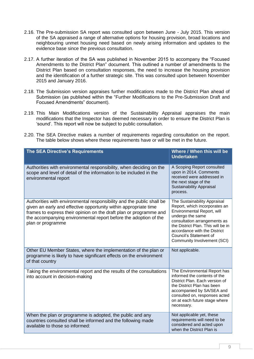- 2.16. The Pre-submission SA report was consulted upon between June July 2015. This version of the SA appraised a range of alternative options for housing provision, broad locations and neighbouring unmet housing need based on newly arising information and updates to the evidence base since the previous consultation.
- 2.17. A further iteration of the SA was published in November 2015 to accompany the "Focused Amendments to the District Plan" document. This outlined a number of amendments to the District Plan based on consultation responses, the need to increase the housing provision and the identification of a further strategic site. This was consulted upon between November 2015 and January 2016.
- 2.18. The Submission version appraises further modifications made to the District Plan ahead of Submission (as published within the "Further Modifications to the Pre-Submission Draft and Focused Amendments" document).
- 2.19. This Main Modifications version of the Sustainability Appraisal appraises the main modifications that the Inspector has deemed necessary in order to ensure the District Plan is 'sound'. This report will now be subject to public consultation.
- 2.20. The SEA Directive makes a number of requirements regarding consultation on the report. The table below shows where these requirements have or will be met in the future.

| The SEA Directive's Requirements                                                                                                                                                                                                                                                                         | Where / When this will be<br><b>Undertaken</b>                                                                                                                                                                                                                                 |
|----------------------------------------------------------------------------------------------------------------------------------------------------------------------------------------------------------------------------------------------------------------------------------------------------------|--------------------------------------------------------------------------------------------------------------------------------------------------------------------------------------------------------------------------------------------------------------------------------|
| Authorities with environmental responsibility, when deciding on the<br>scope and level of detail of the information to be included in the<br>environmental report                                                                                                                                        | A Scoping Report consulted<br>upon in 2014. Comments<br>received were addressed in<br>the next stage of the<br><b>Sustainability Appraisal</b><br>process.                                                                                                                     |
| Authorities with environmental responsibility and the public shall be<br>given an early and effective opportunity within appropriate time<br>frames to express their opinion on the draft plan or programme and<br>the accompanying environmental report before the adoption of the<br>plan or programme | The Sustainability Appraisal<br>Report, which incorporates an<br>Environmental Report, will<br>undergo the same<br>consultation arrangements as<br>the District Plan. This will be in<br>accordance with the District<br>Council's Statement of<br>Community Involvement (SCI) |
| Other EU Member States, where the implementation of the plan or<br>programme is likely to have significant effects on the environment<br>of that country                                                                                                                                                 | Not applicable.                                                                                                                                                                                                                                                                |
| Taking the environmental report and the results of the consultations<br>into account in decision-making                                                                                                                                                                                                  | The Environmental Report has<br>informed the contents of the<br>District Plan. Each version of<br>the District Plan has been<br>accompanied by SA/SEA and<br>consulted on, responses acted<br>on at each future stage where<br>necessary.                                      |
| When the plan or programme is adopted, the public and any<br>countries consulted shall be informed and the following made<br>available to those so informed:                                                                                                                                             | Not applicable yet, these<br>requirements will need to be<br>considered and acted upon<br>when the District Plan is                                                                                                                                                            |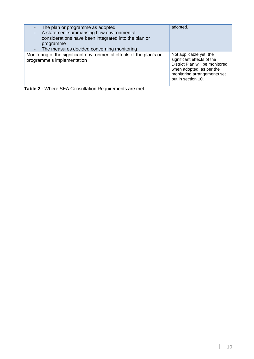| The plan or programme as adopted<br>A statement summarising how environmental<br>considerations have been integrated into the plan or<br>programme<br>The measures decided concerning monitoring | adopted.                                                                                                                                                                  |
|--------------------------------------------------------------------------------------------------------------------------------------------------------------------------------------------------|---------------------------------------------------------------------------------------------------------------------------------------------------------------------------|
| Monitoring of the significant environmental effects of the plan's or<br>programme's implementation                                                                                               | Not applicable yet, the<br>significant effects of the<br>District Plan will be monitored<br>when adopted, as per the<br>monitoring arrangements set<br>out in section 10. |

<span id="page-11-0"></span>**Table 2 -** Where SEA Consultation Requirements are met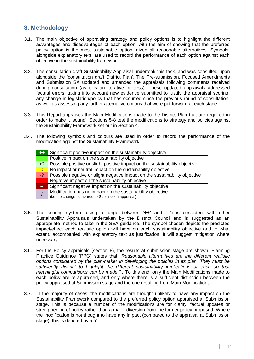# <span id="page-12-0"></span>**3. Methodology**

- 3.1. The main objective of appraising strategy and policy options is to highlight the different advantages and disadvantages of each option, with the aim of showing that the preferred policy option is the most sustainable option, given all reasonable alternatives. Symbols, alongside explanatory text, are used to record the performance of each option against each objective in the sustainability framework.
- 3.2. The consultation draft Sustainability Appraisal undertook this task, and was consulted upon alongside the 'consultation draft District Plan'. The Pre-submission, Focused Amendments and Submission SA updated and amended the appraisals following comments received during consultation (as it is an iterative process). These updated appraisals addressed factual errors, taking into account new evidence submitted to justify the appraisal scoring, any change in legislation/policy that has occurred since the previous round of consultation, as well as assessing any further alternative options that were put forward at each stage.
- 3.3. This Report appraises the Main Modifications made to the District Plan that are required in order to make it 'sound'. Sections 5-8 test the modifications to strategy and policies against the Sustainability Framework set out in Section 4.
- 3.4. The following symbols and colours are used in order to record the performance of the modification against the Sustainability Framework:

| $++$           | Significant positive impact on the sustainability objective                 |
|----------------|-----------------------------------------------------------------------------|
| $+$ ,          | Positive impact on the sustainability objective                             |
| $+$ ?          | Possible positive or slight positive impact on the sustainability objective |
| $\overline{0}$ | No impact or neutral impact on the sustainability objective                 |
| $-2$           | Possible negative or slight negative impact on the sustainability objective |
|                | Negative impact on the sustainability objective                             |
|                | Significant negative impact on the sustainability objective                 |
|                | Modification has no impact on the sustainability objective                  |
|                | (i.e. no change compared to Submission appraisal)                           |

- 3.5. The scoring system (using a range between **'++'** and **'--'**) is consistent with other Sustainability Appraisals undertaken by the District Council and is suggested as an appropriate method to take in the SEA guidance. The symbol chosen depicts the predicted impact/effect each realistic option will have on each sustainability objective and to what extent, accompanied with explanatory text as justification. It will suggest mitigation where necessary.
- 3.6. For the Policy appraisals (section 8), the results at submission stage are shown. Planning Practice Guidance (PPG) states that "*Reasonable alternatives are the different realistic options considered by the plan-maker in developing the policies in its plan. They must be sufficiently distinct to highlight the different sustainability implications of each so that meaningful comparisons can be made." .* To this end, only the Main Modifications made to each policy are re-appraised, and only where there is a sufficient distinction between the policy appraised at Submission stage and the one resulting from Main Modifications.
- 3.7. In the majority of cases, the modifications are thought unlikely to have any impact on the Sustainability Framework compared to the preferred policy option appraised at Submission stage. This is because a number of the modifications are for clarity, factual updates or strengthening of policy rather than a major diversion from the former policy proposed. Where the modification is not thought to have any impact (compared to the appraisal at Submission stage), this is denoted by a **'/'**.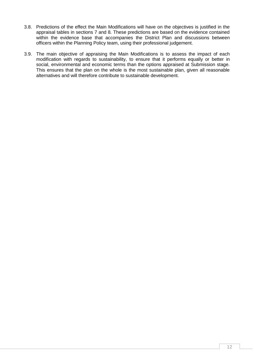- 3.8. Predictions of the effect the Main Modifications will have on the objectives is justified in the appraisal tables in sections 7 and 8. These predictions are based on the evidence contained within the evidence base that accompanies the District Plan and discussions between officers within the Planning Policy team, using their professional judgement.
- 3.9. The main objective of appraising the Main Modifications is to assess the impact of each modification with regards to sustainability, to ensure that it performs equally or better in social, environmental and economic terms than the options appraised at Submission stage. This ensures that the plan on the whole is the most sustainable plan, given all reasonable alternatives and will therefore contribute to sustainable development.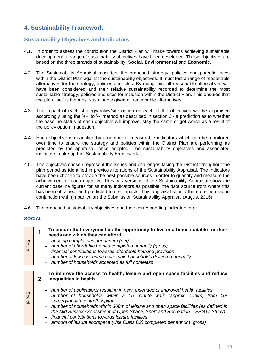# <span id="page-14-0"></span>**4. Sustainability Framework**

# <span id="page-14-1"></span>**Sustainability Objectives and Indicators**

- 4.1. In order to assess the contribution the District Plan will make towards achieving sustainable development, a range of sustainability objectives have been developed. These objectives are based on the three strands of sustainability: **Social**, **Environmental** and **Economic**.
- 4.2. The Sustainability Appraisal must test the proposed strategy, policies and potential sites within the District Plan against the sustainability objectives. It must test a range of reasonable alternatives for the strategy, policies and sites. By doing this, all reasonable alternatives will have been considered and their relative sustainability recorded to determine the most sustainable strategy, policies and sites for inclusion within the District Plan. This ensures that the plan itself is the most sustainable given all reasonable alternatives.
- 4.3. The impact of each strategy/policy/site option on each of the objectives will be appraised accordingly using the '**++**' to '**--**' method as described in section 3 - a prediction as to whether the baseline status of each objective will improve, stay the same or get worse as a result of the policy option in question.
- 4.4. Each objective is quantified by a number of measurable indicators which can be monitored over time to ensure the strategy and policies within the District Plan are performing as predicted by the appraisal, once adopted. The sustainability objectives and associated indicators make up the 'Sustainability Framework'.
- 4.5. The objectives chosen represent the issues and challenges facing the District throughout the plan period as identified in previous iterations of the Sustainability Appraisal. The indicators have been chosen to provide the best possible sources in order to quantify and measure the achievement of each objective. Previous versions of the Sustainability Appraisal show the current baseline figures for as many indicators as possible, the data source from where this has been obtained, and predicted future impacts. This appraisal should therefore be read in conjunction with (in particular) the Submission Sustainability Appraisal (August 2016).
- 4.6. The proposed sustainability objectives and their corresponding indicators are:

#### **SOCIAL**

|                             | To ensure that everyone has the opportunity to live in a home suitable for their<br>needs and which they can afford                                                                                                                                                                         |
|-----------------------------|---------------------------------------------------------------------------------------------------------------------------------------------------------------------------------------------------------------------------------------------------------------------------------------------|
| Soci<br>$\overline{\omega}$ | - housing completions per annum (net)<br>- number of affordable homes completed annually (gross)<br>- financial contributions towards affordable housing provision<br>- number of low cost home ownership households delivered annually<br>- number of households accepted as full homeless |

|        | To improve the access to health, leisure and open space facilities and reduce<br>inequalities in health.                                                                                                                                                                                                                                                                                                                                                                                                     |
|--------|--------------------------------------------------------------------------------------------------------------------------------------------------------------------------------------------------------------------------------------------------------------------------------------------------------------------------------------------------------------------------------------------------------------------------------------------------------------------------------------------------------------|
| Social | - number of applications resulting in new, extended or improved health facilities<br>- number of households within a 15 minute walk (approx. 1.2km) from GP<br>surgery/health centre/hospital<br>- number of households within 300m of leisure and open space facilities (as defined in<br>the Mid Sussex Assessment of Open Space, Sport and Recreation - PPG17 Study)<br>- financial contributions towards leisure facilities<br>- amount of leisure floorspace (Use Class D2) completed per annum (gross) |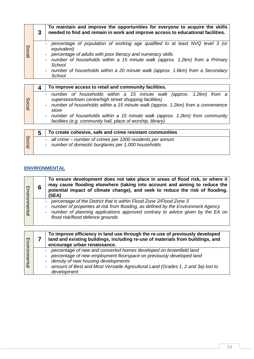|        | 3 | To maintain and improve the opportunities for everyone to acquire the skills<br>needed to find and remain in work and improve access to educational facilities.                                                                                                                                                                                                                                                                  |
|--------|---|----------------------------------------------------------------------------------------------------------------------------------------------------------------------------------------------------------------------------------------------------------------------------------------------------------------------------------------------------------------------------------------------------------------------------------|
| Social |   | percentage of population of working age qualified to at least NVQ level 3 (or<br>equivalent)<br>percentage of adults with poor literacy and numeracy skills<br>$\overline{\phantom{a}}$<br>number of households within a 15 minute walk (approx. 1.2km) from a Primary<br>School<br>number of households within a 20 minute walk (approx. 1.6km) from a Secondary<br>$\overline{\phantom{a}}$<br>School                          |
|        | 4 | To improve access to retail and community facilities.                                                                                                                                                                                                                                                                                                                                                                            |
| Social |   | number of households within a 15 minute walk (approx. 1.2km) from a<br>superstore/town centre/high street shopping facilities)<br>number of households within a 15 minute walk (approx. 1.2km) from a convenience<br>$\overline{\phantom{a}}$<br>store<br>number of households within a 15 minute walk (approx. 1.2km) from community<br>$\overline{\phantom{a}}$<br>facilities (e.g. community hall, place of worship, library) |
|        | - | To aroata asheeiya, safa and arima resistant sammunities                                                                                                                                                                                                                                                                                                                                                                         |

|               | To create cohesive, safe and crime resistant communities                                                            |
|---------------|---------------------------------------------------------------------------------------------------------------------|
| <b>Social</b> | - all crime – number of crimes per 1000 residents per annum<br>- number of domestic burglaries per 1,000 households |

# **ENVIRONMENTAL**

| Environmenta  | 6 | To ensure development does not take place in areas of flood risk, or where it<br>may cause flooding elsewhere (taking into account and aiming to reduce the<br>potential impact of climate change), and seek to reduce the risk of flooding.<br>(SEA)                         |
|---------------|---|-------------------------------------------------------------------------------------------------------------------------------------------------------------------------------------------------------------------------------------------------------------------------------|
|               |   | percentage of the District that is within Flood Zone 2/Flood Zone 3<br>number of properties at risk from flooding, as defined by the Environment Agency<br>number of planning applications approved contrary to advice given by the EA on<br>flood risk/flood defence grounds |
|               |   | To improve efficiency in land use through the re-use of previously developed<br>land and existing buildings, including re-use of materials from buildings, and<br>encourage urban renaissance.                                                                                |
| Environmental |   | percentage of new and converted homes developed on brownfield land<br>percentage of new employment floorspace on previously developed land<br>density of new housing developments<br>amount of Best and Most Versatile Agricultural Land (Grades 1, 2 and 3a) lost to         |

- *density of new housing developments*
- *amount of Best and Most Versatile Agricultural Land (Grades 1, 2 and 3a) lost to development*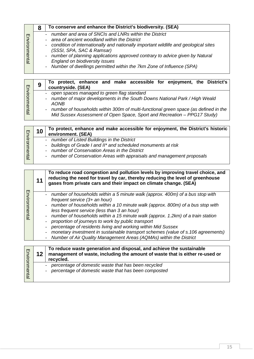|                         | 8  | To conserve and enhance the District's biodiversity. (SEA)                                                                                                                                                                                                                                                                                                                                                                                                                                                                                                                                                                           |
|-------------------------|----|--------------------------------------------------------------------------------------------------------------------------------------------------------------------------------------------------------------------------------------------------------------------------------------------------------------------------------------------------------------------------------------------------------------------------------------------------------------------------------------------------------------------------------------------------------------------------------------------------------------------------------------|
| Environmental           |    | - number and area of SNCIs and LNRs within the District<br>area of ancient woodland within the District<br>condition of internationally and nationally important wildlife and geological sites<br>(SSSI, SPA, SAC & Ramsar)<br>number of planning applications approved contrary to advice given by Natural<br><b>England on biodiversity issues</b><br>Number of dwellings permitted within the 7km Zone of Influence (SPA)                                                                                                                                                                                                         |
|                         |    |                                                                                                                                                                                                                                                                                                                                                                                                                                                                                                                                                                                                                                      |
|                         | 9  | To protect, enhance and make accessible for enjoyment, the District's<br>countryside. (SEA)                                                                                                                                                                                                                                                                                                                                                                                                                                                                                                                                          |
| Environmental           |    | open spaces managed to green flag standard<br>number of major developments in the South Downs National Park / High Weald<br><b>AONB</b><br>number of households within 300m of multi-functional green space (as defined in the<br>Mid Sussex Assessment of Open Space, Sport and Recreation - PPG17 Study)                                                                                                                                                                                                                                                                                                                           |
|                         | 10 | To protect, enhance and make accessible for enjoyment, the District's historic<br>environment. (SEA)                                                                                                                                                                                                                                                                                                                                                                                                                                                                                                                                 |
| Environmental           |    | number of Listed Buildings in the District<br>buildings of Grade I and II* and scheduled monuments at risk<br>number of Conservation Areas in the District<br>number of Conservation Areas with appraisals and management proposals<br>$\overline{\phantom{0}}$                                                                                                                                                                                                                                                                                                                                                                      |
|                         |    |                                                                                                                                                                                                                                                                                                                                                                                                                                                                                                                                                                                                                                      |
|                         | 11 | To reduce road congestion and pollution levels by improving travel choice, and<br>reducing the need for travel by car, thereby reducing the level of greenhouse<br>gases from private cars and their impact on climate change. (SEA)                                                                                                                                                                                                                                                                                                                                                                                                 |
| Environme<br><b>TEL</b> |    | number of households within a 5 minute walk (approx. 400m) of a bus stop with<br>$\blacksquare$<br>frequent service (3+ an hour)<br>number of households within a 10 minute walk (approx. 800m) of a bus stop with<br>less frequent service (less than 3 an hour)<br>number of households within a 15 minute walk (approx. 1.2km) of a train station<br>proportion of journeys to work by public transport<br>percentage of residents living and working within Mid Sussex<br>monetary investment in sustainable transport schemes (value of s.106 agreements)<br>Number of Air Quality Management Areas (AQMAs) within the District |
|                         | 12 | To reduce waste generation and disposal, and achieve the sustainable<br>management of waste, including the amount of waste that is either re-used or<br>recycled.                                                                                                                                                                                                                                                                                                                                                                                                                                                                    |
| Environmental           |    | percentage of domestic waste that has been recycled<br>percentage of domestic waste that has been composted                                                                                                                                                                                                                                                                                                                                                                                                                                                                                                                          |
|                         |    |                                                                                                                                                                                                                                                                                                                                                                                                                                                                                                                                                                                                                                      |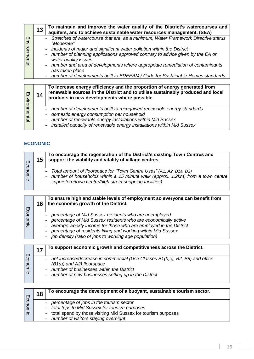|                  | 13 | To maintain and improve the water quality of the District's watercourses and<br>aquifers, and to achieve sustainable water resources management. (SEA)                                                                                                                                                                                                                                                                                                                                                       |
|------------------|----|--------------------------------------------------------------------------------------------------------------------------------------------------------------------------------------------------------------------------------------------------------------------------------------------------------------------------------------------------------------------------------------------------------------------------------------------------------------------------------------------------------------|
| m<br>nvironmenta |    | - Stretches of watercourse that are, as a minimum, Water Framework Directive status<br>"Moderate"<br>- incidents of major and significant water pollution within the District<br>number of planning applications approved contrary to advice given by the EA on<br>$\blacksquare$<br>water quality issues<br>- number and area of developments where appropriate remediation of contaminants<br>has taken place<br>number of developments built to BREEAM / Code for Sustainable Homes standards<br>$\equiv$ |

| Environmenta | 14 | To increase energy efficiency and the proportion of energy generated from<br>renewable sources in the District and to utilise sustainably produced and local<br>products in new developments where possible. |
|--------------|----|--------------------------------------------------------------------------------------------------------------------------------------------------------------------------------------------------------------|
|              |    | - number of developments built to recognised renewable energy standards                                                                                                                                      |
|              |    | - domestic energy consumption per household                                                                                                                                                                  |
|              |    | - number of renewable energy installations within Mid Sussex                                                                                                                                                 |
|              |    | - installed capacity of renewable energy installations within Mid Sussex                                                                                                                                     |

# **ECONOMIC**

| Ecol<br>$\overline{5}$ | 15 | To encourage the regeneration of the District's existing Town Centres and<br>support the viability and vitality of village centres.                                                                               |
|------------------------|----|-------------------------------------------------------------------------------------------------------------------------------------------------------------------------------------------------------------------|
|                        |    | Total amount of floorspace for "Town Centre Uses" (A1, A2, B1a, D2)<br>number of households within a 15 minute walk (approx. 1.2km) from a town centre<br>superstore/town centre/high street shopping facilities) |

| m          | 16 | To ensure high and stable levels of employment so everyone can benefit from<br>the economic growth of the District.                                                                                                                                                                                                  |
|------------|----|----------------------------------------------------------------------------------------------------------------------------------------------------------------------------------------------------------------------------------------------------------------------------------------------------------------------|
| 8<br>nomic |    | percentage of Mid Sussex residents who are unemployed<br>percentage of Mid Sussex residents who are economically active<br>average weekly income for those who are employed in the District<br>percentage of residents living and working within Mid Sussex<br>job density (ratio of jobs to working age population) |

|           | $\overline{4}$ | To support economic growth and competitiveness across the District.                                                                                                                                              |
|-----------|----------------|------------------------------------------------------------------------------------------------------------------------------------------------------------------------------------------------------------------|
| Ecol<br>₫ |                | net increase/decrease in commercial (Use Classes B1(b,c), B2, B8) and office<br>$(B1(a)$ and A2) floorspace<br>number of businesses within the District<br>- number of new businesses setting up in the District |

| m            | 18 | To encourage the development of a buoyant, sustainable tourism sector.                                                                                                                                    |
|--------------|----|-----------------------------------------------------------------------------------------------------------------------------------------------------------------------------------------------------------|
| conoi<br>mic |    | percentage of jobs in the tourism sector<br>- total trips to Mid Sussex for tourism purposes<br>- total spend by those visiting Mid Sussex for tourism purposes<br>- number of visitors staying overnight |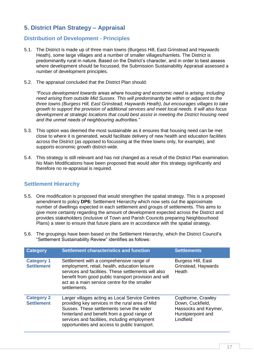# <span id="page-18-0"></span>**5. District Plan Strategy – Appraisal**

# <span id="page-18-1"></span>**Distribution of Development - Principles**

- 5.1. The District is made up of three main towns (Burgess Hill, East Grinstead and Haywards Heath), some large villages and a number of smaller villages/hamlets. The District is predominantly rural in nature. Based on the District's character, and in order to best assess where development should be focussed, the Submission Sustainability Appraisal assessed a number of development principles.
- 5.2. The appraisal concluded that the District Plan should:

*"Focus development towards areas where housing and economic need is arising, including need arising from outside Mid Sussex. This will predominantly be within or adjacent to the three towns (Burgess Hill, East Grinstead, Haywards Heath), but encourages villages to take growth to support the provision of additional services and meet local needs. It will also focus development at strategic locations that could best assist in meeting the District housing need and the unmet needs of neighbouring authorities."*

- 5.3. This option was deemed the most sustainable as it ensures that housing need can be met close to where it is generated, would facilitate delivery of new health and education facilities across the District (as opposed to focussing at the three towns only, for example), and supports economic growth district-wide.
- 5.4. This strategy is still relevant and has not changed as a result of the District Plan examination. No Main Modifications have been proposed that would alter this strategy significantly and therefore no re-appraisal is required.

# <span id="page-18-2"></span>**Settlement Hierarchy**

- 5.5. One modification is proposed that would strengthen the spatial strategy. This is a proposed amendment to policy **DP6:** Settlement Hierarchy which now sets out the approximate number of dwellings expected in each settlement and groups of settlements. This aims to give more certainty regarding the amount of development expected across the District and provides stakeholders (inclusive of Town and Parish Councils preparing Neighbourhood Plans) a steer to ensure that future plans are in accordance with the spatial strategy.
- 5.6. The groupings have been based on the Settlement Hierarchy, which the District Council's "Settlement Sustainability Review" identifies as follows:

| <b>Category</b>                        | <b>Settlement characteristics and function</b>                                                                                                                                                                                                                                                   | <b>Settlements</b>                                                                                |
|----------------------------------------|--------------------------------------------------------------------------------------------------------------------------------------------------------------------------------------------------------------------------------------------------------------------------------------------------|---------------------------------------------------------------------------------------------------|
| <b>Category 1</b><br><b>Settlement</b> | Settlement with a comprehensive range of<br>employment, retail, health, education leisure<br>services and facilities. These settlements will also<br>benefit from good public transport provision and will<br>act as a main service centre for the smaller<br>settlements.                       | <b>Burgess Hill, East</b><br>Grinstead, Haywards<br>Heath                                         |
| <b>Category 2</b><br><b>Settlement</b> | Larger villages acting as Local Service Centres<br>providing key services in the rural area of Mid<br>Sussex. These settlements serve the wider<br>hinterland and benefit from a good range of<br>services and facilities, including employment<br>opportunities and access to public transport. | Copthorne, Crawley<br>Down, Cuckfield,<br>Hassocks and Keymer,<br>Hurstpierpoint and<br>Lindfield |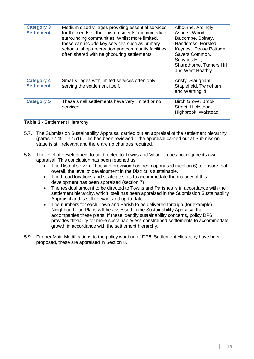| <b>Category 3</b><br><b>Settlement</b> | Medium sized villages providing essential services<br>for the needs of their own residents and immediate<br>surrounding communities. Whilst more limited,<br>these can include key services such as primary<br>schools, shops recreation and community facilities,<br>often shared with neighbouring settlements. | Albourne, Ardingly,<br>Ashurst Wood,<br>Balcombe, Bolney,<br>Handcross, Horsted<br>Keynes, Pease Pottage,<br>Sayers Common,<br>Scaynes Hill,<br>Sharpthorne, Turners Hill<br>and West Hoathly |
|----------------------------------------|-------------------------------------------------------------------------------------------------------------------------------------------------------------------------------------------------------------------------------------------------------------------------------------------------------------------|-----------------------------------------------------------------------------------------------------------------------------------------------------------------------------------------------|
| <b>Category 4</b><br><b>Settlement</b> | Small villages with limited services often only<br>serving the settlement itself.                                                                                                                                                                                                                                 | Ansty, Slaugham,<br>Staplefield, Twineham<br>and Warninglid                                                                                                                                   |
| <b>Category 5</b>                      | These small settlements have very limited or no<br>services.                                                                                                                                                                                                                                                      | Birch Grove, Brook<br>Street, Hickstead,<br>Highbrook, Walstead                                                                                                                               |

#### <span id="page-19-0"></span>**Table 3 -** Settlement Hierarchy

- 5.7. The Submission Sustainability Appraisal carried out an appraisal of the settlement hierarchy (paras 7.149 – 7.151). This has been reviewed – the appraisal carried out at Submission stage is still relevant and there are no changes required.
- 5.8. The level of development to be directed to Towns and Villages does not require its own appraisal. This conclusion has been reached as:
	- The District's overall housing provision has been appraised (section 6) to ensure that, overall, the level of development in the District is sustainable.
	- The broad locations and strategic sites to accommodate the majority of this development has been appraised (section 7)
	- The residual amount to be directed to Towns and Parishes is in accordance with the settlement hierarchy, which itself has been appraised in the Submission Sustainability Appraisal and is still relevant and up-to-date
	- The numbers for each Town and Parish to be delivered through (for example) Neighbourhood Plans will be assessed in the Sustainability Appraisal that accompanies these plans. If these identify sustainability concerns, policy DP6 provides flexibility for more sustainable/less constrained settlements to accommodate growth in accordance with the settlement hierarchy.
- 5.9. Further Main Modifications to the policy wording of DP6: Settlement Hierarchy have been proposed, these are appraised in Section 8.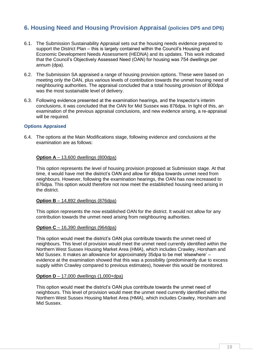# <span id="page-20-0"></span>**6. Housing Need and Housing Provision Appraisal (policies DP5 and DP6)**

- 6.1. The Submission Sustainability Appraisal sets out the housing needs evidence prepared to support the District Plan – this is largely contained within the Council's Housing and Economic Development Needs Assessment (HEDNA) and its updates. This work indicated that the Council's Objectively Assessed Need (OAN) for housing was 754 dwellings per annum (dpa).
- 6.2. The Submission SA appraised a range of housing provision options. These were based on meeting only the OAN, plus various levels of contribution towards the unmet housing need of neighbouring authorities. The appraisal concluded that a total housing provision of 800dpa was the most sustainable level of delivery.
- 6.3. Following evidence presented at the examination hearings, and the Inspector's interim conclusions, it was concluded that the OAN for Mid Sussex was 876dpa. In light of this, an examination of the previous appraisal conclusions, and new evidence arising, a re-appraisal will be required.

#### <span id="page-20-1"></span>**Options Appraised**

6.4. The options at the Main Modifications stage, following evidence and conclusions at the examination are as follows:

#### **Option A** – 13,600 dwellings (800dpa)

This option represents the level of housing provision proposed at Submission stage. At that time, it would have met the district's OAN and allow for 46dpa towards unmet need from neighbours. However, following the examination hearings, the OAN has now increased to 876dpa. This option would therefore not now meet the established housing need arising in the district.

#### **Option B** – 14,892 dwellings (876dpa)

This option represents the now established OAN for the district. It would not allow for any contribution towards the unmet need arising from neighbouring authorities.

#### **Option C** – 16,390 dwellings (964dpa)

This option would meet the district's OAN plus contribute towards the unmet need of neighbours. This level of provision would meet the unmet need currently identified within the Northern West Sussex Housing Market Area (HMA), which includes Crawley, Horsham and Mid Sussex. It makes an allowance for approximately 35dpa to be met 'elsewhere' – evidence at the examination showed that this was a possibility (predominantly due to excess supply within Crawley compared to previous estimates), however this would be monitored.

#### **Option D** – 17,000 dwellings (1,000+dpa)

This option would meet the district's OAN plus contribute towards the unmet need of neighbours. This level of provision would meet the unmet need currently identified within the Northern West Sussex Housing Market Area (HMA), which includes Crawley, Horsham and Mid Sussex.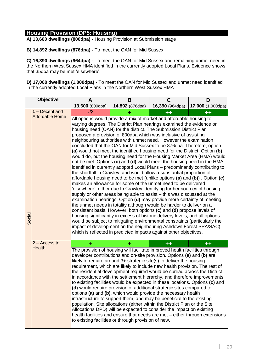**A) 13,600 dwellings (800dpa) -** Housing Provision at Submission stage

**B) 14,892 dwellings (876dpa) -** To meet the OAN for Mid Sussex

**C) 16,390 dwellings (964dpa) -** To meet the OAN for Mid Sussex and remaining unmet need in the Northern West Sussex HMA identified in the currently adopted Local Plans. Evidence shows that 35dpa may be met 'elsewhere'.

|        | Objective              | A                                                                                                                                                                                                                                                                                                                                                                                                                                                                                                                                                                                                                                                                                                                                                                                                                                                                                                                                                                                                                                                                                                                                                                                                                                                                                                                                                                                                                                                                                                                                                                                                | B                                                                                                                                                                                                                                                                                                                                                                                                                                                                                                                                                                                                                                                                                                                                                                                                                                                                                                                                                                                                                                                                | C               | D                          |  |  |  |  |  |
|--------|------------------------|--------------------------------------------------------------------------------------------------------------------------------------------------------------------------------------------------------------------------------------------------------------------------------------------------------------------------------------------------------------------------------------------------------------------------------------------------------------------------------------------------------------------------------------------------------------------------------------------------------------------------------------------------------------------------------------------------------------------------------------------------------------------------------------------------------------------------------------------------------------------------------------------------------------------------------------------------------------------------------------------------------------------------------------------------------------------------------------------------------------------------------------------------------------------------------------------------------------------------------------------------------------------------------------------------------------------------------------------------------------------------------------------------------------------------------------------------------------------------------------------------------------------------------------------------------------------------------------------------|------------------------------------------------------------------------------------------------------------------------------------------------------------------------------------------------------------------------------------------------------------------------------------------------------------------------------------------------------------------------------------------------------------------------------------------------------------------------------------------------------------------------------------------------------------------------------------------------------------------------------------------------------------------------------------------------------------------------------------------------------------------------------------------------------------------------------------------------------------------------------------------------------------------------------------------------------------------------------------------------------------------------------------------------------------------|-----------------|----------------------------|--|--|--|--|--|
|        | 1 - Decent and         | 13,600 (800dpa)<br>-?                                                                                                                                                                                                                                                                                                                                                                                                                                                                                                                                                                                                                                                                                                                                                                                                                                                                                                                                                                                                                                                                                                                                                                                                                                                                                                                                                                                                                                                                                                                                                                            | 14,892 (876dpa)                                                                                                                                                                                                                                                                                                                                                                                                                                                                                                                                                                                                                                                                                                                                                                                                                                                                                                                                                                                                                                                  | 16,390 (964dpa) | 17,000 (1,000dpa)<br>╈╈    |  |  |  |  |  |
| Social | <b>Affordable Home</b> | varying degrees. The District Plan hearings examined the evidence on<br>housing need (OAN) for the district. The Submission District Plan<br>proposed a provision of 800dpa which was inclusive of assisting<br>neighbouring authorities with unmet need. However the examination<br>concluded that the OAN for Mid Sussex to be 876dpa. Therefore, option<br>(a) would not meet the identified housing need for the District. Option (b)<br>would do, but the housing need for the Housing Market Area (HMA) would<br>not be met. Options (c) and (d) would meet the housing need in the HMA<br>identified in currently adopted Local Plans - predominantly contributing to<br>the shortfall in Crawley, and would allow a substantial proportion of<br>affordable housing need to be met (unlike options (a) and (b)). Option $(c)$<br>makes an allowance for some of the unmet need to be delivered<br>'elsewhere', either due to Crawley identifying further sources of housing<br>supply or other areas being able to assist - this was discussed at the<br>examination hearings. Option (d) may provide more certainty of meeting<br>the unmet needs in totality although would be harder to deliver on a<br>consistent basis. However, both options (c) and (d) propose levels of<br>housing significantly in excess of historic delivery levels, and all options<br>would be subject to mitigating environmental constraints (particularly the<br>impact of development on the neighbouring Ashdown Forest SPA/SAC)<br>which is reflected in predicted impacts against other objectives. |                                                                                                                                                                                                                                                                                                                                                                                                                                                                                                                                                                                                                                                                                                                                                                                                                                                                                                                                                                                                                                                                  |                 |                            |  |  |  |  |  |
|        | $2 - Access to$        | ٠                                                                                                                                                                                                                                                                                                                                                                                                                                                                                                                                                                                                                                                                                                                                                                                                                                                                                                                                                                                                                                                                                                                                                                                                                                                                                                                                                                                                                                                                                                                                                                                                | ٠                                                                                                                                                                                                                                                                                                                                                                                                                                                                                                                                                                                                                                                                                                                                                                                                                                                                                                                                                                                                                                                                | $+ +$           | $\overline{+}\overline{+}$ |  |  |  |  |  |
|        | Health                 |                                                                                                                                                                                                                                                                                                                                                                                                                                                                                                                                                                                                                                                                                                                                                                                                                                                                                                                                                                                                                                                                                                                                                                                                                                                                                                                                                                                                                                                                                                                                                                                                  | The provision of housing will facilitate improved health facilities through<br>developer contributions and on-site provision. Options (a) and (b) are<br>likely to require around 3+ strategic site(s) to deliver the housing<br>requirement, which are likely to include new health provision. The rest of<br>the residential development required would be spread across the District<br>in accordance with the settlement hierarchy, and therefore improvements<br>to existing facilities would be expected in these locations. Options (c) and<br>(d) would require provision of additional strategic sites compared to<br>options (a) and (b), which would provide the necessary health<br>infrastructure to support them, and may be beneficial to the existing<br>population. Site allocations (either within the District Plan or the Site<br>Allocations DPD) will be expected to consider the impact on existing<br>health facilities and ensure that needs are met - either through extensions<br>to existing facilities or through provision of new. |                 |                            |  |  |  |  |  |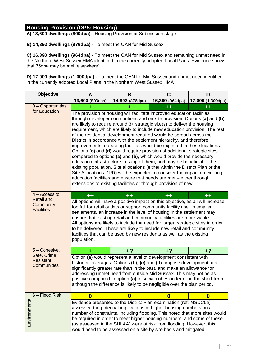**A) 13,600 dwellings (800dpa) -** Housing Provision at Submission stage

**B) 14,892 dwellings (876dpa) -** To meet the OAN for Mid Sussex

**C) 16,390 dwellings (964dpa) -** To meet the OAN for Mid Sussex and remaining unmet need in the Northern West Sussex HMA identified in the currently adopted Local Plans. Evidence shows that 35dpa may be met 'elsewhere'.

|               | <b>Objective</b>                                      | A                                                                                                                                                                                                                                                                                                                                                                                                                                                                                                                                                                                                                                                                                                                                                                                                                                                                                                                                                                                                                                                                            | B                                                                                                                                                                                                                                                                                                                                                                                                                                                                                                                                                   | C               | D                 |  |  |  |  |  |  |  |  |  |
|---------------|-------------------------------------------------------|------------------------------------------------------------------------------------------------------------------------------------------------------------------------------------------------------------------------------------------------------------------------------------------------------------------------------------------------------------------------------------------------------------------------------------------------------------------------------------------------------------------------------------------------------------------------------------------------------------------------------------------------------------------------------------------------------------------------------------------------------------------------------------------------------------------------------------------------------------------------------------------------------------------------------------------------------------------------------------------------------------------------------------------------------------------------------|-----------------------------------------------------------------------------------------------------------------------------------------------------------------------------------------------------------------------------------------------------------------------------------------------------------------------------------------------------------------------------------------------------------------------------------------------------------------------------------------------------------------------------------------------------|-----------------|-------------------|--|--|--|--|--|--|--|--|--|
|               |                                                       | 13,600 (800dpa)                                                                                                                                                                                                                                                                                                                                                                                                                                                                                                                                                                                                                                                                                                                                                                                                                                                                                                                                                                                                                                                              | 14,892 (876dpa)                                                                                                                                                                                                                                                                                                                                                                                                                                                                                                                                     | 16,390 (964dpa) | 17,000 (1,000dpa) |  |  |  |  |  |  |  |  |  |
|               | 3 - Opportunities                                     |                                                                                                                                                                                                                                                                                                                                                                                                                                                                                                                                                                                                                                                                                                                                                                                                                                                                                                                                                                                                                                                                              |                                                                                                                                                                                                                                                                                                                                                                                                                                                                                                                                                     | $\bf{++}$       | $\color{red}+$    |  |  |  |  |  |  |  |  |  |
|               | for Education                                         | The provision of housing will facilitate improved education facilities<br>through developer contributions and on-site provision. Options (a) and (b)<br>are likely to require around 3+ strategic site(s) to deliver the housing<br>requirement, which are likely to include new education provision. The rest<br>of the residential development required would be spread across the<br>District in accordance with the settlement hierarchy, and therefore<br>improvements to existing facilities would be expected in these locations.<br>Options (c) and (d) would require provision of additional strategic sites<br>compared to options (a) and (b), which would provide the necessary<br>education infrastructure to support them, and may be beneficial to the<br>existing population. Site allocations (either within the District Plan or the<br>Site Allocations DPD) will be expected to consider the impact on existing<br>education facilities and ensure that needs are met - either through<br>extensions to existing facilities or through provision of new. |                                                                                                                                                                                                                                                                                                                                                                                                                                                                                                                                                     |                 |                   |  |  |  |  |  |  |  |  |  |
|               | $4 - Access to$                                       | $++$                                                                                                                                                                                                                                                                                                                                                                                                                                                                                                                                                                                                                                                                                                                                                                                                                                                                                                                                                                                                                                                                         | $+ +$                                                                                                                                                                                                                                                                                                                                                                                                                                                                                                                                               | $+ +$           | $+ +$             |  |  |  |  |  |  |  |  |  |
|               | <b>Retail and</b><br>Community<br><b>Facilities</b>   | population.                                                                                                                                                                                                                                                                                                                                                                                                                                                                                                                                                                                                                                                                                                                                                                                                                                                                                                                                                                                                                                                                  | All options will have a positive impact on this objective, as all will increase<br>footfall for retail outlets or support community facility use. In smaller<br>settlements, an increase in the level of housing in the settlement may<br>ensure that existing retail and community facilities are more viable.<br>All options are likely to include the need for larger, strategic sites in order<br>to be delivered. These are likely to include new retail and community<br>facilities that can be used by new residents as well as the existing |                 |                   |  |  |  |  |  |  |  |  |  |
|               | 5 - Cohesive,                                         | ٠                                                                                                                                                                                                                                                                                                                                                                                                                                                                                                                                                                                                                                                                                                                                                                                                                                                                                                                                                                                                                                                                            | $+?$                                                                                                                                                                                                                                                                                                                                                                                                                                                                                                                                                | $+2$            | +?                |  |  |  |  |  |  |  |  |  |
|               | Safe, Crime<br><b>Resistant</b><br><b>Communities</b> | Option (a) would represent a level of development consistent with<br>historical averages. Options (b), (c) and (d) propose development at a<br>significantly greater rate than in the past, and make an allowance for<br>addressing unmet need from outside Mid Sussex. This may not be as<br>positive compared to option (a) in social cohesion terms in the short-term<br>although the difference is likely to be negligible over the plan period.                                                                                                                                                                                                                                                                                                                                                                                                                                                                                                                                                                                                                         |                                                                                                                                                                                                                                                                                                                                                                                                                                                                                                                                                     |                 |                   |  |  |  |  |  |  |  |  |  |
|               | 6 - Flood Risk                                        | $\boldsymbol{0}$                                                                                                                                                                                                                                                                                                                                                                                                                                                                                                                                                                                                                                                                                                                                                                                                                                                                                                                                                                                                                                                             | 0                                                                                                                                                                                                                                                                                                                                                                                                                                                                                                                                                   | $\bf{0}$        | 0                 |  |  |  |  |  |  |  |  |  |
| Environmental |                                                       | Evidence presented to the District Plan examination (ref: MSDC5a)<br>assessed the potential implications of higher housing numbers on a<br>number of constraints, including flooding. This noted that more sites would<br>be required in order to meet higher housing numbers, and some of these<br>(as assessed in the SHLAA) were at risk from flooding. However, this<br>would need to be assessed on a site by site basis and mitigated                                                                                                                                                                                                                                                                                                                                                                                                                                                                                                                                                                                                                                  |                                                                                                                                                                                                                                                                                                                                                                                                                                                                                                                                                     |                 |                   |  |  |  |  |  |  |  |  |  |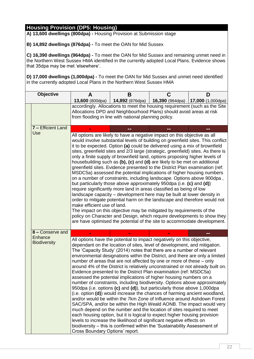**A) 13,600 dwellings (800dpa) -** Housing Provision at Submission stage

**B) 14,892 dwellings (876dpa) -** To meet the OAN for Mid Sussex

**C) 16,390 dwellings (964dpa) -** To meet the OAN for Mid Sussex and remaining unmet need in the Northern West Sussex HMA identified in the currently adopted Local Plans. Evidence shows that 35dpa may be met 'elsewhere'.

| <b>Objective</b> |                                | A                               | B                                                                                                                                                                                                                                                                                                                                                                                                                                                                                                                                                                                                                                                                                                                                                                                                                                                                                                                                                                                                                                                                                                                                                                                                                                                                                                                    |                 | D                        |  |  |  |  |  |  |  |  |
|------------------|--------------------------------|---------------------------------|----------------------------------------------------------------------------------------------------------------------------------------------------------------------------------------------------------------------------------------------------------------------------------------------------------------------------------------------------------------------------------------------------------------------------------------------------------------------------------------------------------------------------------------------------------------------------------------------------------------------------------------------------------------------------------------------------------------------------------------------------------------------------------------------------------------------------------------------------------------------------------------------------------------------------------------------------------------------------------------------------------------------------------------------------------------------------------------------------------------------------------------------------------------------------------------------------------------------------------------------------------------------------------------------------------------------|-----------------|--------------------------|--|--|--|--|--|--|--|--|
|                  |                                | 13,600 (800dpa)                 | 14,892 (876dpa)                                                                                                                                                                                                                                                                                                                                                                                                                                                                                                                                                                                                                                                                                                                                                                                                                                                                                                                                                                                                                                                                                                                                                                                                                                                                                                      | 16,390 (964dpa) | <b>17,000</b> (1,000dpa) |  |  |  |  |  |  |  |  |
|                  |                                |                                 | accordingly. Allocations to meet the housing requirement (such as the Site<br>Allocations DPD and Neighbourhood Plans) should avoid areas at risk<br>from flooding in line with national planning policy.                                                                                                                                                                                                                                                                                                                                                                                                                                                                                                                                                                                                                                                                                                                                                                                                                                                                                                                                                                                                                                                                                                            |                 |                          |  |  |  |  |  |  |  |  |
|                  | 7 - Efficient Land             |                                 |                                                                                                                                                                                                                                                                                                                                                                                                                                                                                                                                                                                                                                                                                                                                                                                                                                                                                                                                                                                                                                                                                                                                                                                                                                                                                                                      |                 |                          |  |  |  |  |  |  |  |  |
|                  | Use                            | make efficient use of land.     | All options are likely to have a negative impact on this objective as all<br>would involve substantial levels of building on greenfield sites. This conflict<br>it to be expected. Option (a) could be delivered using a mix of brownfield<br>sites, greenfield sites and 2/3 large (strategic, greenfield) sites. As there is<br>only a finite supply of brownfield land, options proposing higher levels of<br>housebuilding such as (b), (c) and (d) are likely to be met on additional<br>greenfield sites. Evidence presented to the District Plan examination (ref:<br>MSDC5a) assessed the potential implications of higher housing numbers<br>on a number of constraints, including landscape. Options above 900dpa,<br>but particularly those above approximately 950dpa (i.e. (c) and (d))<br>require significantly more land in areas classified as being of low<br>landscape capacity – development here may be built at lower density in<br>order to mitigate potential harm on the landscape and therefore would not<br>The impact on this objective may be mitigated by requirements of the<br>policy on Character and Design, which require developments to show they<br>are have optimised the potential of the site to accommodate development.                                                    |                 |                          |  |  |  |  |  |  |  |  |
|                  | 8 - Conserve and               |                                 |                                                                                                                                                                                                                                                                                                                                                                                                                                                                                                                                                                                                                                                                                                                                                                                                                                                                                                                                                                                                                                                                                                                                                                                                                                                                                                                      |                 |                          |  |  |  |  |  |  |  |  |
|                  | Enhance<br><b>Biodiversity</b> | Cross Boundary Options' report. | All options have the potential to impact negatively on this objective,<br>dependant on the location of sites, level of development, and mitigation.<br>The 'Capacity Study' (2014) notes that there are a number of relevant<br>environmental designations within the District, and there are only a limited<br>number of areas that are not affected by one or more of these - only<br>around 4% of the District is relatively unconstrained or not already built on.<br>Evidence presented to the District Plan examination (ref: MSDC5a)<br>assessed the potential implications of higher housing numbers on a<br>number of constraints, including biodiversity. Options above approximately<br>950dpa (i.e. options (c) and (d)), but particularly those above 1,000dpa<br>(i.e. option (d)) would increase the chances of harming ancient woodland,<br>and/or would be within the 7km Zone of Influence around Ashdown Forest<br>SAC/SPA, and/or be within the High Weald AONB. The impact would very<br>much depend on the number and the location of sites required to meet<br>each housing option, but it is logical to expect higher housing provision<br>levels to increase the likelihood of significant negative effects on<br>biodiversity – this is confirmed within the 'Sustainability Assessment of |                 |                          |  |  |  |  |  |  |  |  |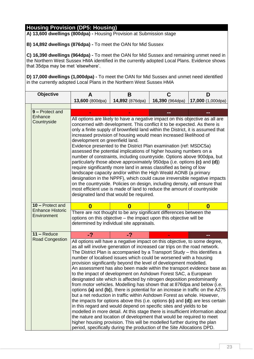**A) 13,600 dwellings (800dpa) -** Housing Provision at Submission stage

**B) 14,892 dwellings (876dpa) -** To meet the OAN for Mid Sussex

**C) 16,390 dwellings (964dpa) -** To meet the OAN for Mid Sussex and remaining unmet need in the Northern West Sussex HMA identified in the currently adopted Local Plans. Evidence shows that 35dpa may be met 'elsewhere'.

| <b>Objective</b>                       | A                                                                                                                                                                                      | B                                                                                                                                                                                                                                                                                                                                                                                                                                                                                                                                                                                                                                                                                                                                                                                                                                                                                                                                                                                                                                                                                         | C               | D                 |  |  |  |  |  |
|----------------------------------------|----------------------------------------------------------------------------------------------------------------------------------------------------------------------------------------|-------------------------------------------------------------------------------------------------------------------------------------------------------------------------------------------------------------------------------------------------------------------------------------------------------------------------------------------------------------------------------------------------------------------------------------------------------------------------------------------------------------------------------------------------------------------------------------------------------------------------------------------------------------------------------------------------------------------------------------------------------------------------------------------------------------------------------------------------------------------------------------------------------------------------------------------------------------------------------------------------------------------------------------------------------------------------------------------|-----------------|-------------------|--|--|--|--|--|
|                                        | 13,600 (800dpa)                                                                                                                                                                        | 14,892 (876dpa)                                                                                                                                                                                                                                                                                                                                                                                                                                                                                                                                                                                                                                                                                                                                                                                                                                                                                                                                                                                                                                                                           | 16,390 (964dpa) | 17,000 (1,000dpa) |  |  |  |  |  |
|                                        |                                                                                                                                                                                        |                                                                                                                                                                                                                                                                                                                                                                                                                                                                                                                                                                                                                                                                                                                                                                                                                                                                                                                                                                                                                                                                                           |                 |                   |  |  |  |  |  |
| 9 - Protect and                        |                                                                                                                                                                                        |                                                                                                                                                                                                                                                                                                                                                                                                                                                                                                                                                                                                                                                                                                                                                                                                                                                                                                                                                                                                                                                                                           |                 |                   |  |  |  |  |  |
| Enhance<br>Countryside                 | development on greenfield land.                                                                                                                                                        | All options are likely to have a negative impact on this objective as all are<br>concerned with development. This conflict it to be expected. As there is<br>only a finite supply of brownfield land within the District, it is assumed that<br>increased provision of housing would mean increased likelihood of<br>Evidence presented to the District Plan examination (ref: MSDC5a)<br>assessed the potential implications of higher housing numbers on a<br>number of constraints, including countryside. Options above 900dpa, but<br>particularly those above approximately 950dpa (i.e. options (c) and (d))<br>require significantly more land in areas classified as being of low<br>landscape capacity and/or within the High Weald AONB (a primary<br>designation in the NPPF), which could cause irreversible negative impacts<br>on the countryside. Policies on design, including density, will ensure that<br>most efficient use is made of land to reduce the amount of countryside<br>designated land that would be required.                                            |                 |                   |  |  |  |  |  |
| 10 - Protect and                       | 0                                                                                                                                                                                      | $\bf{0}$                                                                                                                                                                                                                                                                                                                                                                                                                                                                                                                                                                                                                                                                                                                                                                                                                                                                                                                                                                                                                                                                                  | $\bf{0}$        | $\bf{0}$          |  |  |  |  |  |
| <b>Enhance Historic</b><br>Environment | There are not thought to be any significant differences between the<br>options on this objective - the impact upon this objective will be<br>determined by individual site appraisals. |                                                                                                                                                                                                                                                                                                                                                                                                                                                                                                                                                                                                                                                                                                                                                                                                                                                                                                                                                                                                                                                                                           |                 |                   |  |  |  |  |  |
| $11 -$ Reduce                          | $-2$                                                                                                                                                                                   | -?                                                                                                                                                                                                                                                                                                                                                                                                                                                                                                                                                                                                                                                                                                                                                                                                                                                                                                                                                                                                                                                                                        |                 | --                |  |  |  |  |  |
| <b>Road Congestion</b>                 | the nature and location of development that would be required to meet                                                                                                                  | All options will have a negative impact on this objective, to some degree,<br>as all will involve generation of increased car trips on the road network.<br>The District Plan is accompanied by a Transport Study - this identifies a<br>number of localised issues which could be worsened with a housing<br>provision significantly beyond the level of development modelled.<br>An assessment has also been made within the transport evidence base as<br>to the impact of development on Ashdown Forest SAC, a European<br>designated site which is affected by nitrogen deposition predominantly<br>from motor vehicles. Modelling has shown that at 876 dpa and below (i.e.<br>options (a) and (b)), there is potential for an increase in traffic on the A275<br>but a net reduction in traffic within Ashdown Forest as whole. However,<br>the impacts for options above this (i.e. options (c) and (d)) are less certain<br>in this regard and would depend on specific sites and yields to be<br>modelled in more detail. At this stage there is insufficient information about |                 |                   |  |  |  |  |  |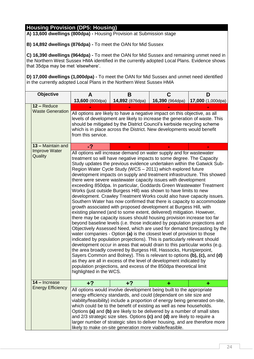**A) 13,600 dwellings (800dpa) -** Housing Provision at Submission stage

**B) 14,892 dwellings (876dpa) -** To meet the OAN for Mid Sussex

**C) 16,390 dwellings (964dpa) -** To meet the OAN for Mid Sussex and remaining unmet need in the Northern West Sussex HMA identified in the currently adopted Local Plans. Evidence shows that 35dpa may be met 'elsewhere'.

| Objective                                    | A                                                                                                                                                                                                                                                                                                                                                                                                                                                                                                                                                                                                          | В                                                                                                                                                                                                                                                                                                                                                                                                                                                                                                                                                                                                                                                                                                                                                                                                                                                                                                                                                                                                                                                                                                                                                                                                                                                                                                                                                                                                                                                                                                                                                                                                                                                                                        | C               | D                 |  |  |  |  |  |  |  |  |  |  |
|----------------------------------------------|------------------------------------------------------------------------------------------------------------------------------------------------------------------------------------------------------------------------------------------------------------------------------------------------------------------------------------------------------------------------------------------------------------------------------------------------------------------------------------------------------------------------------------------------------------------------------------------------------------|------------------------------------------------------------------------------------------------------------------------------------------------------------------------------------------------------------------------------------------------------------------------------------------------------------------------------------------------------------------------------------------------------------------------------------------------------------------------------------------------------------------------------------------------------------------------------------------------------------------------------------------------------------------------------------------------------------------------------------------------------------------------------------------------------------------------------------------------------------------------------------------------------------------------------------------------------------------------------------------------------------------------------------------------------------------------------------------------------------------------------------------------------------------------------------------------------------------------------------------------------------------------------------------------------------------------------------------------------------------------------------------------------------------------------------------------------------------------------------------------------------------------------------------------------------------------------------------------------------------------------------------------------------------------------------------|-----------------|-------------------|--|--|--|--|--|--|--|--|--|--|
|                                              | 13,600 (800dpa)                                                                                                                                                                                                                                                                                                                                                                                                                                                                                                                                                                                            | 14,892 (876dpa)                                                                                                                                                                                                                                                                                                                                                                                                                                                                                                                                                                                                                                                                                                                                                                                                                                                                                                                                                                                                                                                                                                                                                                                                                                                                                                                                                                                                                                                                                                                                                                                                                                                                          | 16,390 (964dpa) | 17,000 (1,000dpa) |  |  |  |  |  |  |  |  |  |  |
| 12 - Reduce                                  |                                                                                                                                                                                                                                                                                                                                                                                                                                                                                                                                                                                                            |                                                                                                                                                                                                                                                                                                                                                                                                                                                                                                                                                                                                                                                                                                                                                                                                                                                                                                                                                                                                                                                                                                                                                                                                                                                                                                                                                                                                                                                                                                                                                                                                                                                                                          |                 |                   |  |  |  |  |  |  |  |  |  |  |
| <b>Waste Generation</b><br>13 - Maintain and | from this service.                                                                                                                                                                                                                                                                                                                                                                                                                                                                                                                                                                                         | All options are likely to have a negative impact on this objective, as all<br>levels of development are likely to increase the generation of waste. This<br>should be mitigated by the District Council's kerbside recycling scheme<br>which is in place across the District. New developments would benefit                                                                                                                                                                                                                                                                                                                                                                                                                                                                                                                                                                                                                                                                                                                                                                                                                                                                                                                                                                                                                                                                                                                                                                                                                                                                                                                                                                             |                 |                   |  |  |  |  |  |  |  |  |  |  |
| <b>Improve Water</b>                         |                                                                                                                                                                                                                                                                                                                                                                                                                                                                                                                                                                                                            |                                                                                                                                                                                                                                                                                                                                                                                                                                                                                                                                                                                                                                                                                                                                                                                                                                                                                                                                                                                                                                                                                                                                                                                                                                                                                                                                                                                                                                                                                                                                                                                                                                                                                          |                 |                   |  |  |  |  |  |  |  |  |  |  |
| Quality                                      |                                                                                                                                                                                                                                                                                                                                                                                                                                                                                                                                                                                                            | -?<br>All options will increase demand on water supply and for wastewater<br>treatment so will have negative impacts to some degree. The Capacity<br>Study updates the previous evidence undertaken within the Gatwick Sub-<br>Region Water Cycle Study (WCS - 2011) which explored future<br>development impacts on supply and treatment infrastructure. This showed<br>there were severe wastewater capacity issues with development<br>exceeding 850dpa. In particular, Goddards Green Wastewater Treatment<br>Works (just outside Burgess Hill) was shown to have limits to new<br>development. Crawley Treatment Works could also have capacity issues.<br>Southern Water has now confirmed that there is capacity to accommodate<br>growth associated with proposed development at Burgess Hill, with<br>existing planned (and to some extent, delivered) mitigation. However,<br>there may be capacity issues should housing provision increase too far<br>beyond baseline levels (i.e. those indicated by population projections and<br>Objectively Assessed Need, which are used for demand forecasting by the<br>water companies - Option (a) is the closest level of provision to those<br>indicated by population projections). This is particularly relevant should<br>development occur in areas that would drain to this particular works (e.g.<br>the area broadly covered by Burgess Hill, Hassocks, Hurstpierpoint,<br>Sayers Common and Bolney). This is relevant to options (b), (c), and (d)<br>as they are all in excess of the level of development indicated by<br>population projections, and excess of the 850dpa theoretical limit<br>highlighted in the WCS. |                 |                   |  |  |  |  |  |  |  |  |  |  |
| 14 – Increase                                |                                                                                                                                                                                                                                                                                                                                                                                                                                                                                                                                                                                                            |                                                                                                                                                                                                                                                                                                                                                                                                                                                                                                                                                                                                                                                                                                                                                                                                                                                                                                                                                                                                                                                                                                                                                                                                                                                                                                                                                                                                                                                                                                                                                                                                                                                                                          |                 |                   |  |  |  |  |  |  |  |  |  |  |
| <b>Energy Efficiency</b>                     | All options would involve development being built to the appropriate<br>energy efficiency standards, and could (dependant on site size and<br>viability/feasibility) include a proportion of energy being generated on-site,<br>which could be to the benefit of existing as well as new households.<br>Options (a) and (b) are likely to be delivered by a number of small sites<br>and $2/3$ strategic size sites. Options (c) and (d) are likely to require a<br>larger number of strategic sites to deliver housing, and are therefore more<br>likely to make on-site generation more viable/feasible. |                                                                                                                                                                                                                                                                                                                                                                                                                                                                                                                                                                                                                                                                                                                                                                                                                                                                                                                                                                                                                                                                                                                                                                                                                                                                                                                                                                                                                                                                                                                                                                                                                                                                                          |                 |                   |  |  |  |  |  |  |  |  |  |  |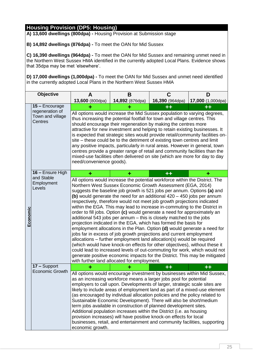**A) 13,600 dwellings (800dpa) -** Housing Provision at Submission stage

**B) 14,892 dwellings (876dpa) -** To meet the OAN for Mid Sussex

**C) 16,390 dwellings (964dpa) -** To meet the OAN for Mid Sussex and remaining unmet need in the Northern West Sussex HMA identified in the currently adopted Local Plans. Evidence shows that 35dpa may be met 'elsewhere'.

| Objective |                                                | A                                                                                                                                                                                                                                                                                                                                                                                                                                                                                                                                                                                                                                                                                                                                                                               | В                                                                                                                                                                                                                                                                                                                                                                                                                                                                                                                                                                                                                                                                                                                                                                                                                                                                                                                                                                                                                                                                                                                                                                                                    | С                     | D                 |  |  |  |  |  |  |  |  |
|-----------|------------------------------------------------|---------------------------------------------------------------------------------------------------------------------------------------------------------------------------------------------------------------------------------------------------------------------------------------------------------------------------------------------------------------------------------------------------------------------------------------------------------------------------------------------------------------------------------------------------------------------------------------------------------------------------------------------------------------------------------------------------------------------------------------------------------------------------------|------------------------------------------------------------------------------------------------------------------------------------------------------------------------------------------------------------------------------------------------------------------------------------------------------------------------------------------------------------------------------------------------------------------------------------------------------------------------------------------------------------------------------------------------------------------------------------------------------------------------------------------------------------------------------------------------------------------------------------------------------------------------------------------------------------------------------------------------------------------------------------------------------------------------------------------------------------------------------------------------------------------------------------------------------------------------------------------------------------------------------------------------------------------------------------------------------|-----------------------|-------------------|--|--|--|--|--|--|--|--|
|           |                                                | 13,600 (800dpa)                                                                                                                                                                                                                                                                                                                                                                                                                                                                                                                                                                                                                                                                                                                                                                 | 14,892 (876dpa)                                                                                                                                                                                                                                                                                                                                                                                                                                                                                                                                                                                                                                                                                                                                                                                                                                                                                                                                                                                                                                                                                                                                                                                      | 16,390 (964dpa)       | 17,000 (1,000dpa) |  |  |  |  |  |  |  |  |
|           | 15 - Encourage                                 | ÷                                                                                                                                                                                                                                                                                                                                                                                                                                                                                                                                                                                                                                                                                                                                                                               | ۰                                                                                                                                                                                                                                                                                                                                                                                                                                                                                                                                                                                                                                                                                                                                                                                                                                                                                                                                                                                                                                                                                                                                                                                                    | $\bf{+}$              | $+ +$             |  |  |  |  |  |  |  |  |
|           | regeneration of<br>Town and village<br>Centres | All options would increase the Mid Sussex population to varying degrees,                                                                                                                                                                                                                                                                                                                                                                                                                                                                                                                                                                                                                                                                                                        | thus increasing the potential footfall for town and village centres. This<br>should encourage their regeneration by making the centres more<br>attractive for new investment and helping to retain existing businesses. It<br>is expected that strategic sites would provide retail/community facilities on-<br>site – these could be to the detriment of existing town centres and limit<br>any positive impacts, particularly in rural areas. However in general, town<br>centres provide a greater range of retail and community facilities than the<br>mixed-use facilities often delivered on site (which are more for day to day<br>need/convenience goods).                                                                                                                                                                                                                                                                                                                                                                                                                                                                                                                                   |                       |                   |  |  |  |  |  |  |  |  |
|           | 16 - Ensure High                               |                                                                                                                                                                                                                                                                                                                                                                                                                                                                                                                                                                                                                                                                                                                                                                                 | ۰                                                                                                                                                                                                                                                                                                                                                                                                                                                                                                                                                                                                                                                                                                                                                                                                                                                                                                                                                                                                                                                                                                                                                                                                    | $^{\tiny\textbf{++}}$ |                   |  |  |  |  |  |  |  |  |
| Economic  | and Stable<br>Employment<br>Levels             |                                                                                                                                                                                                                                                                                                                                                                                                                                                                                                                                                                                                                                                                                                                                                                                 | All options would increase the potential workforce within the District. The<br>Northern West Sussex Economic Growth Assessment (EGA, 2014)<br>suggests the baseline job growth is 521 jobs per annum. Options (a) and<br>(b) would generate the need for an additional $420 - 450$ jobs per annum<br>respectively, therefore would not meet job growth projections indicated<br>within the EGA. This may lead to increase in-commuting to the District in<br>order to fill jobs. Option (c) would generate a need for approximately an<br>additional 543 jobs per annum - this is closely matched to the jobs<br>projection indicated in the EGA, which has formed the basis for<br>employment allocations in the Plan. Option (d) would generate a need for<br>jobs far in excess of job growth projections and current employment<br>allocations - further employment land allocation(s) would be required<br>(which would have knock-on effects for other objectives), without these it<br>could lead to increased levels of out-commuting for work, which would not<br>generate positive economic impacts for the District. This may be mitigated<br>with further land allocated for employment. |                       |                   |  |  |  |  |  |  |  |  |
|           | 17 - Support                                   |                                                                                                                                                                                                                                                                                                                                                                                                                                                                                                                                                                                                                                                                                                                                                                                 |                                                                                                                                                                                                                                                                                                                                                                                                                                                                                                                                                                                                                                                                                                                                                                                                                                                                                                                                                                                                                                                                                                                                                                                                      | $+ +$                 | $+ +$             |  |  |  |  |  |  |  |  |
|           | <b>Economic Growth</b>                         | All options would encourage investment by businesses within Mid Sussex,<br>as an increasing workforce means a larger jobs pool for potential<br>employers to call upon. Developments of larger, strategic scale sites are<br>likely to include areas of employment land as part of a mixed-use element<br>(as encouraged by individual allocation policies and the policy related to<br>Sustainable Economic Development). There will also be short/medium<br>term jobs available in construction of planned development sites.<br>Additional population increases within the District (i.e. as housing<br>provision increases) will have positive knock-on effects for local<br>businesses, retail, and entertainment and community facilities, supporting<br>economic growth. |                                                                                                                                                                                                                                                                                                                                                                                                                                                                                                                                                                                                                                                                                                                                                                                                                                                                                                                                                                                                                                                                                                                                                                                                      |                       |                   |  |  |  |  |  |  |  |  |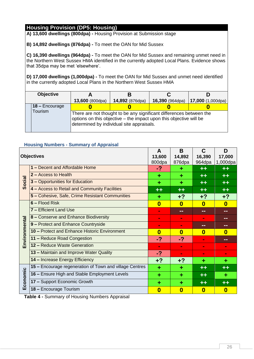**A) 13,600 dwellings (800dpa) -** Housing Provision at Submission stage

**B) 14,892 dwellings (876dpa) -** To meet the OAN for Mid Sussex

**C) 16,390 dwellings (964dpa) -** To meet the OAN for Mid Sussex and remaining unmet need in the Northern West Sussex HMA identified in the currently adopted Local Plans. Evidence shows that 35dpa may be met 'elsewhere'.

**D) 17,000 dwellings (1,000dpa) -** To meet the OAN for Mid Sussex and unmet need identified in the currently adopted Local Plans in the Northern West Sussex HMA

| <b>Objective</b> |                 |                                                                                                                                                                                        |                 |                          |  |  |
|------------------|-----------------|----------------------------------------------------------------------------------------------------------------------------------------------------------------------------------------|-----------------|--------------------------|--|--|
|                  | 13,600 (800dpa) | 14,892 (876dpa)                                                                                                                                                                        | 16,390 (964dpa) | <b>17,000</b> (1,000dpa) |  |  |
| 18 - Encourage   |                 |                                                                                                                                                                                        |                 |                          |  |  |
| Tourism          |                 | There are not thought to be any significant differences between the<br>options on this objective - the impact upon this objective will be<br>determined by individual site appraisals. |                 |                          |  |  |

### <span id="page-27-0"></span>**Housing Numbers - Summary of Appraisal**

|               | <b>Objectives</b>                                       | A<br>13,600<br>800dpa | B<br>14,892<br>876dpa | C<br>16,390<br>964dpa | D<br>17,000<br>1,000dpa |
|---------------|---------------------------------------------------------|-----------------------|-----------------------|-----------------------|-------------------------|
|               | 1 - Decent and Affordable Home                          | -?                    |                       | $+ +$                 | $+ +$                   |
|               | 2 - Access to Health                                    | ٠                     | ٠                     | $+ +$                 | $+ +$                   |
| Social        | 3 - Opportunities for Education                         | ٠                     | ۰                     | $++$                  | $+ +$                   |
|               | 4 - Access to Retail and Community Facilities           | $+ +$                 | $+ +$                 | $+ +$                 | $+ +$                   |
|               | 5 - Cohesive, Safe, Crime Resistant Communities         | ٠                     | $+2$                  | $+?$                  | $+?$                    |
|               | $6 -$ Flood Risk                                        | $\bf{0}$              | 0                     | $\bf{0}$              | $\bf{0}$                |
|               | 7 - Efficient Land Use                                  | $\sim$                | --                    | --                    | --                      |
|               | 8 - Conserve and Enhance Biodiversity                   | $\blacksquare$        | $\blacksquare$        | $\blacksquare$        | --                      |
|               | 9 - Protect and Enhance Countryside                     | $\blacksquare$        | $\blacksquare$        | --                    | m m                     |
|               | 10 - Protect and Enhance Historic Environment           | $\bf{0}$              | 0                     | $\boldsymbol{0}$      | 0                       |
| Environmental | 11 - Reduce Road Congestion                             | -?                    | -?                    | $\blacksquare$        | --                      |
|               | 12 - Reduce Waste Generation                            | $\mathbf{r}$          | $\mathbf{r}$          | $\blacksquare$        | ш                       |
|               | 13 - Maintain and Improve Water Quality                 | -?                    | $\blacksquare$        | $\blacksquare$        | $\blacksquare$          |
|               | 14 - Increase Energy Efficiency                         | $+?$                  | $+2$                  | ٠                     | ۰                       |
|               | 15 - Encourage regeneration of Town and village Centres | ٠                     | ٠                     | $+ +$                 | $+ +$                   |
|               | 16 - Ensure High and Stable Employment Levels           | ÷                     | ÷                     | $++$                  | ٠                       |
| Economic      | 17 - Support Economic Growth                            | ٠                     | ٠                     | $++$                  | $+ +$                   |
|               | 18 - Encourage Tourism                                  | $\bf{0}$              | $\boldsymbol{0}$      | 0                     | $\bf{0}$                |

<span id="page-27-1"></span>**Table 4 -** Summary of Housing Numbers Appraisal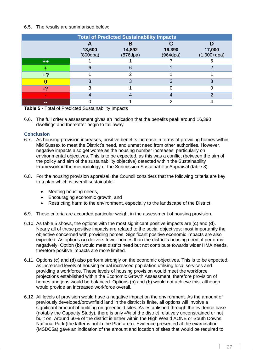#### 6.5. The results are summarised below:

|                | <b>Total of Predicted Sustainability Impacts</b> |                         |                    |                         |  |  |  |  |  |  |  |  |
|----------------|--------------------------------------------------|-------------------------|--------------------|-------------------------|--|--|--|--|--|--|--|--|
|                | 13,600<br>(800dpa)                               | В<br>14,892<br>(876dpa) | 16,390<br>(964dpa) | 17,000<br>$(1,000+dpa)$ |  |  |  |  |  |  |  |  |
| $++$           |                                                  |                         |                    |                         |  |  |  |  |  |  |  |  |
|                | 6                                                | 6                       |                    | ⌒                       |  |  |  |  |  |  |  |  |
| $+?$           |                                                  | າ                       |                    |                         |  |  |  |  |  |  |  |  |
|                | ິ                                                | っ                       |                    | 3                       |  |  |  |  |  |  |  |  |
| -?             | ⌒                                                |                         |                    |                         |  |  |  |  |  |  |  |  |
| $\blacksquare$ |                                                  |                         |                    | ◠                       |  |  |  |  |  |  |  |  |
| --             |                                                  |                         |                    |                         |  |  |  |  |  |  |  |  |

<span id="page-28-1"></span>**Table 5 -** Total of Predicted Sustainability Impacts

6.6. The full criteria assessment gives an indication that the benefits peak around 16,390 dwellings and thereafter begin to fall away.

#### <span id="page-28-0"></span>**Conclusion**

- 6.7. As housing provision increases, positive benefits increase in terms of providing homes within Mid Sussex to meet the District's need, and unmet need from other authorities. However, negative impacts also get worse as the housing number increases, particularly on environmental objectives. This is to be expected, as this was a conflict (between the aim of the policy and aim of the sustainability objective) detected within the Sustainability Framework in the methodology of the Submission Sustainability Appraisal (table 8).
- 6.8. For the housing provision appraisal, the Council considers that the following criteria are key to a plan which is overall sustainable:
	- Meeting housing needs,
	- Encouraging economic growth, and
	- Restricting harm to the environment, especially to the landscape of the District.
- 6.9. These criteria are accorded particular weight in the assessment of housing provision.
- 6.10. As table 5 shows, the options with the most significant positive impacts are (**c**) and (**d**). Nearly all of these positive impacts are related to the social objectives; most importantly the objective concerned with providing homes. Significant positive economic impacts are also expected. As options (**a**) delivers fewer homes than the district's housing need, it performs negatively. Option (**b**) would meet district need but not contribute towards wider HMA needs, therefore positive impacts are more limited.
- 6.11. Options (**c**) and (**d**) also perform strongly on the economic objectives. This is to be expected, as increased levels of housing equal increased population utilising local services and providing a workforce. These levels of housing provision would meet the workforce projections established within the Economic Growth Assessment, therefore provision of homes and jobs would be balanced. Options (**a**) and (**b**) would not achieve this, although would provide an increased workforce overall.
- 6.12. All levels of provision would have a negative impact on the environment. As the amount of previously developed/brownfield land in the district is finite, all options will involve a significant amount of building on greenfield sites. As established through the evidence base (notably the Capacity Study), there is only 4% of the district relatively unconstrained or not built on. Around 60% of the district is either within the High Weald AONB or South Downs National Park (the latter is not in the Plan area). Evidence presented at the examination (MSDC5a) gave an indication of the amount and location of sites that would be required to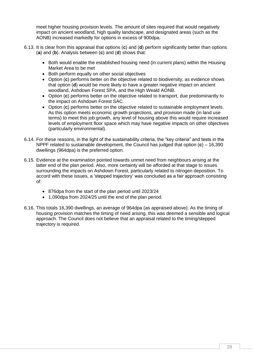meet higher housing provision levels. The amount of sites required that would negatively impact on ancient woodland, high quality landscape, and designated areas (such as the AONB) increased markedly for options in excess of 900dpa.

- 6.13. It is clear from this appraisal that options (**c**) and (**d**) perform significantly better than options (**a**) and (**b**). Analysis between (**c**) and (**d**) shows that:
	- Both would enable the established housing need (in current plans) within the Housing Market Area to be met
	- Both perform equally on other social objectives
	- Option (**c**) performs better on the objective related to biodiversity, as evidence shows that option (**d**) would be more likely to have a greater negative impact on ancient woodland, Ashdown Forest SPA, and the High Weald AONB.
	- Option (**c**) performs better on the objective related to transport, due predominantly to the impact on Ashdown Forest SAC.
	- Option (**c**) performs better on the objective related to sustainable employment levels. As this option meets economic growth projections, and provision made (in land use terms) to meet this job growth, any level of housing above this would require increased levels of employment floor space which may have negative impacts on other objectives (particularly environmental).
- 6.14. For these reasons, in the light of the sustainability criteria, the "key criteria" and tests in the NPPF related to sustainable development, the Council has judged that option (**c**) – 16,390 dwellings (964dpa) is the preferred option.
- 6.15. Evidence at the examination pointed towards unmet need from neighbours arising at the latter end of the plan period. Also, more certainty will be afforded at that stage to issues surrounding the impacts on Ashdown Forest, particularly related to nitrogen deposition. To accord with these issues, a 'stepped trajectory' was concluded as a fair approach consisting of:
	- 876dpa from the start of the plan period until 2023/24
	- 1,090dpa from 2024/25 until the end of the plan period.
- 6.16. This totals 16,390 dwellings, an average of 964dpa (as appraised above). As the timing of housing provision matches the timing of need arising, this was deemed a sensible and logical approach. The Council does not believe that an appraisal related to the timing/stepped trajectory is required.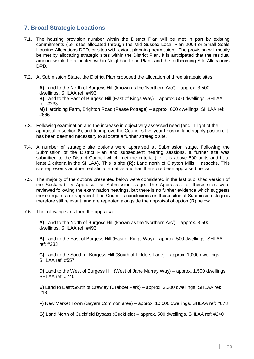# <span id="page-30-0"></span>**7. Broad Strategic Locations**

- 7.1. The housing provision number within the District Plan will be met in part by existing commitments (i.e. sites allocated through the Mid Sussex Local Plan 2004 or Small Scale Housing Allocations DPD, or sites with extant planning permission). The provision will mostly be met by allocating strategic sites within the District Plan. It is anticipated that the residual amount would be allocated within Neighbourhood Plans and the forthcoming Site Allocations DPD.
- 7.2. At Submission Stage, the District Plan proposed the allocation of three strategic sites:

**A)** Land to the North of Burgess Hill (known as the 'Northern Arc') – approx. 3,500 dwellings. SHLAA ref: #493 **B)** Land to the East of Burgess Hill (East of Kings Way) – approx. 500 dwellings. SHLAA ref: #233 **M)** Hardriding Farm, Brighton Road (Pease Pottage) – approx. 600 dwellings. SHLAA ref: #666

- 7.3. Following examination and the increase in objectively assessed need (and in light of the appraisal in section 6), and to improve the Council's five year housing land supply position, it has been deemed necessary to allocate a further strategic site.
- 7.4. A number of strategic site options were appraised at Submission stage. Following the Submission of the District Plan and subsequent hearing sessions, a further site was submitted to the District Council which met the criteria (i.e. it is above 500 units and fit at least 2 criteria in the SHLAA). This is site **(R):** Land north of Clayton Mills, Hassocks. This site represents another realistic alternative and has therefore been appraised below.
- 7.5. The majority of the options presented below were considered in the last published version of the Sustainability Appraisal, at Submission stage. The Appraisals for these sites were reviewed following the examination hearings, but there is no further evidence which suggests these require a re-appraisal. The Council's conclusions on these sites at Submission stage is therefore still relevant, and are repeated alongside the appraisal of option (**R**) below.
- 7.6. The following sites form the appraisal :

**A)** Land to the North of Burgess Hill (known as the 'Northern Arc') – approx. 3,500 dwellings. SHLAA ref: #493

**B)** Land to the East of Burgess Hill (East of Kings Way) – approx. 500 dwellings. SHLAA ref: #233

**C)** Land to the South of Burgess Hill (South of Folders Lane) – approx. 1,000 dwellings SHLAA ref: #557

**D)** Land to the West of Burgess Hill (West of Jane Murray Way) – approx. 1,500 dwellings. SHLAA ref: #740

**E)** Land to East/South of Crawley (Crabbet Park) – approx. 2,300 dwellings. SHLAA ref: #18

**F)** New Market Town (Sayers Common area) – approx. 10,000 dwellings. SHLAA ref: #678

**G)** Land North of Cuckfield Bypass (Cuckfield) – approx. 500 dwellings. SHLAA ref: #240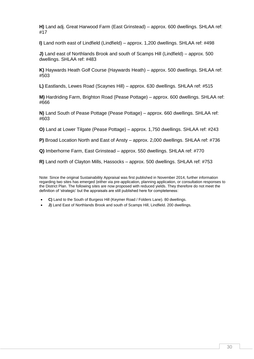**H)** Land adj. Great Harwood Farm (East Grinstead) – approx. 600 dwellings. SHLAA ref: #17

**I)** Land north east of Lindfield (Lindfield) – approx. 1,200 dwellings. SHLAA ref: #498

**J)** Land east of Northlands Brook and south of Scamps Hill (Lindfield) – approx. 500 dwellings. SHLAA ref: #483

**K)** Haywards Heath Golf Course (Haywards Heath) – approx. 500 dwellings. SHLAA ref: #503

**L)** Eastlands, Lewes Road (Scaynes Hill) – approx. 630 dwellings. SHLAA ref: #515

**M)** Hardriding Farm, Brighton Road (Pease Pottage) – approx. 600 dwellings. SHLAA ref: #666

**N)** Land South of Pease Pottage (Pease Pottage) – approx. 660 dwellings. SHLAA ref: #603

**O)** Land at Lower Tilgate (Pease Pottage) – approx. 1,750 dwellings. SHLAA ref: #243

**P)** Broad Location North and East of Ansty – approx. 2,000 dwellings. SHLAA ref: #736

**Q)** Imberhorne Farm, East Grinstead – approx. 550 dwellings. SHLAA ref: #770

**R)** Land north of Clayton Mills, Hassocks – approx. 500 dwellings. SHLAA ref: #753

Note: Since the original Sustainability Appraisal was first published in November 2014, further information regarding two sites has emerged (either via pre-application, planning application, or consultation responses to the District Plan. The following sites are now proposed with reduced yields. They therefore do not meet the definition of 'strategic' but the appraisals are still published here for completeness:

**C)** Land to the South of Burgess Hill (Keymer Road / Folders Lane). 80 dwellings.

**J)** Land East of Northlands Brook and south of Scamps Hill, Lindfield, 200 dwellings.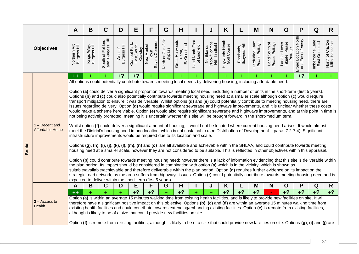|                   |                                   | A                             | B                          | C                                      | D                       | Е                                     | F                                                                                                                                                                                                                                                                                                                                                                                                                                                                                                                                                                                                                                                                                                                                                                                                                                                                                                                                                                                                                                                                                                                                                                                                                                                                                                                                                                                                                                                                                                                                                                                                                                                                                                                                                                                                                                                                                                                                                                                                                                                                                                                                                                                                                                                                                                                        | G                                   | н                                          |                                 | J                                             | K                             |                            | M                                 | N                              | O                                          | P                                         | Q                                          | R.                                  |
|-------------------|-----------------------------------|-------------------------------|----------------------------|----------------------------------------|-------------------------|---------------------------------------|--------------------------------------------------------------------------------------------------------------------------------------------------------------------------------------------------------------------------------------------------------------------------------------------------------------------------------------------------------------------------------------------------------------------------------------------------------------------------------------------------------------------------------------------------------------------------------------------------------------------------------------------------------------------------------------------------------------------------------------------------------------------------------------------------------------------------------------------------------------------------------------------------------------------------------------------------------------------------------------------------------------------------------------------------------------------------------------------------------------------------------------------------------------------------------------------------------------------------------------------------------------------------------------------------------------------------------------------------------------------------------------------------------------------------------------------------------------------------------------------------------------------------------------------------------------------------------------------------------------------------------------------------------------------------------------------------------------------------------------------------------------------------------------------------------------------------------------------------------------------------------------------------------------------------------------------------------------------------------------------------------------------------------------------------------------------------------------------------------------------------------------------------------------------------------------------------------------------------------------------------------------------------------------------------------------------------|-------------------------------------|--------------------------------------------|---------------------------------|-----------------------------------------------|-------------------------------|----------------------------|-----------------------------------|--------------------------------|--------------------------------------------|-------------------------------------------|--------------------------------------------|-------------------------------------|
| <b>Objectives</b> |                                   | Northern Arc,<br>Burgess Hill | Kings Way,<br>Burgess Hill | South of Folders<br>Lane, Burgess Hill | Burgess Hill<br>West of | Crabbet Park<br>East/South<br>Crawley | New Market<br>Town,<br>Sayers Common                                                                                                                                                                                                                                                                                                                                                                                                                                                                                                                                                                                                                                                                                                                                                                                                                                                                                                                                                                                                                                                                                                                                                                                                                                                                                                                                                                                                                                                                                                                                                                                                                                                                                                                                                                                                                                                                                                                                                                                                                                                                                                                                                                                                                                                                                     | North or Cuckfield<br><b>Bypass</b> | Great Harwoods<br>Farm,<br>Grinstead<br>щі | Land North East<br>of Lindfield | Brook/Scamps<br>Hill, Lindfield<br>Northlands | Haywards Heath<br>Golf Course | Eastlands,<br>Scaynes Hill | Hardriding Farm,<br>Pease Pottage | Land South of<br>Pease Pottage | Land at Lower<br>Tilgate, Pease<br>Pottage | Broad Location North<br>and East of Ansty | Lane,<br>Imberhorne Lane<br>East Grinstead | North of Clayton<br>Mills, Hassocks |
|                   |                                   | $++$                          |                            |                                        | $+2$                    | $+?$                                  |                                                                                                                                                                                                                                                                                                                                                                                                                                                                                                                                                                                                                                                                                                                                                                                                                                                                                                                                                                                                                                                                                                                                                                                                                                                                                                                                                                                                                                                                                                                                                                                                                                                                                                                                                                                                                                                                                                                                                                                                                                                                                                                                                                                                                                                                                                                          | ÷.                                  | ÷                                          | ٠                               | ٠                                             | ٠                             |                            |                                   |                                |                                            | $+?$                                      |                                            | ٠                                   |
| Social            | 1 - Decent and<br>Affordable Home |                               |                            |                                        |                         |                                       | All options could potentially contribute towards meeting local needs by delivering housing, including affordable need.<br>Option (a) could deliver a significant proportion towards meeting local need, including a number of units in the short-term (first 5 years).<br>Options (b) and (c) could also potentially contribute towards meeting housing need at a smaller scale although option (c) would require<br>transport mitigation to ensure it was deliverable. Whilst options (d) and (e) could potentially contribute to meeting housing need, there are<br>issues regarding delivery. Option (d) would require significant sewerage and highways improvements, and it is unclear whether these costs<br>would make a scheme here viable. Option (e) would also require significant sewerage and highways improvements, and at this point in time is<br>not being actively promoted, meaning it is uncertain whether this site will be brought forward in the short-medium term.<br>Whilst option (f) could deliver a significant amount of housing, it would not be located where current housing need arises. It would almost<br>meet the District's housing need in one location, which is not sustainable (see Distribution of Development – paras 7.2-7.4). Significant<br>infrastructure improvements would be required due to its location and scale.<br>Options (g), (h), (i), (j), (k), (l), (m), (n) and (o) are all available and achievable within the SHLAA, and could contribute towards meeting<br>housing need at a smaller scale, however they are not considered to be suitable. This is reflected in other objectives within this appraisal.<br>Option (p) could contribute towards meeting housing need; however there is a lack of information evidencing that this site is deliverable within<br>the plan period. Its impact should be considered in combination with option (a) which is in the vicinity, which is shown as<br>suitable/available/achievable and therefore deliverable within the plan period. Option (q) requires further evidence on its impact on the<br>strategic road network, as the area suffers from highways issues. Option (r) could potentially contribute towards meeting housing need and is<br>expected to deliver within the short-term (first 5 years). |                                     |                                            |                                 |                                               |                               |                            |                                   |                                |                                            |                                           |                                            |                                     |
|                   |                                   | A                             | В                          | С                                      | D                       | Е                                     | F                                                                                                                                                                                                                                                                                                                                                                                                                                                                                                                                                                                                                                                                                                                                                                                                                                                                                                                                                                                                                                                                                                                                                                                                                                                                                                                                                                                                                                                                                                                                                                                                                                                                                                                                                                                                                                                                                                                                                                                                                                                                                                                                                                                                                                                                                                                        | G                                   | H                                          |                                 | J                                             | Κ                             |                            | M                                 | N                              | O                                          |                                           | Q                                          | R.                                  |
|                   | $2 -$ Access to<br>Health         | $++$                          | ÷                          | ÷                                      | ÷                       | $+?$                                  | $+?$<br>Option (a) is within an average 15 minutes walking time from existing health facilities, and is likely to provide new facilities on site. It will<br>therefore have a significant positive impact on this objective. Options (b), (c) and (d) are within an average 15 minutes walking time from<br>existing health facilities and could contribute towards extending/enhancing existing facilities. Option (e) is remote from existing facilities,<br>although is likely to be of a size that could provide new facilities on site.<br>Option (f) is remote from existing facilities, although is likely to be of a size that could provide new facilities on site. Options (g), (i) and (j) are                                                                                                                                                                                                                                                                                                                                                                                                                                                                                                                                                                                                                                                                                                                                                                                                                                                                                                                                                                                                                                                                                                                                                                                                                                                                                                                                                                                                                                                                                                                                                                                                                | ÷.                                  | $+?$                                       | ÷                               | $\ddot{}$                                     | $+?$                          | $+?$                       | $+?$                              |                                | $+2$                                       | $+?$                                      | $+?$                                       | $+?$                                |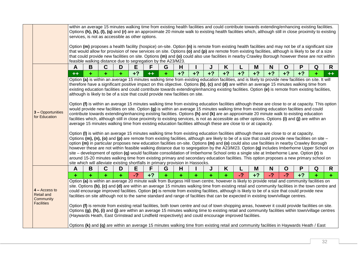|                                                                        |      |   |             |   | within an average 15 minutes walking time from existing health facilities and could contribute towards extending/enhancing existing facilities.<br>Options (h), (k), (l), (q) and (r) are an approximate 20 minute walk to existing health facilities which, although still in close proximity to existing                                                                                                                                                                                                                                                                                                                                                                                                                                                                                                                                                                                                                                                                                                                                                                                                                                                                                                                                                                                                                                                                                                                                                                                                                                                                                                                                                                                                                                                                                                                                                                                                                                                                                                                                                                           |      |   |      |      |      |      |      |      |      |      |      |   |      |
|------------------------------------------------------------------------|------|---|-------------|---|--------------------------------------------------------------------------------------------------------------------------------------------------------------------------------------------------------------------------------------------------------------------------------------------------------------------------------------------------------------------------------------------------------------------------------------------------------------------------------------------------------------------------------------------------------------------------------------------------------------------------------------------------------------------------------------------------------------------------------------------------------------------------------------------------------------------------------------------------------------------------------------------------------------------------------------------------------------------------------------------------------------------------------------------------------------------------------------------------------------------------------------------------------------------------------------------------------------------------------------------------------------------------------------------------------------------------------------------------------------------------------------------------------------------------------------------------------------------------------------------------------------------------------------------------------------------------------------------------------------------------------------------------------------------------------------------------------------------------------------------------------------------------------------------------------------------------------------------------------------------------------------------------------------------------------------------------------------------------------------------------------------------------------------------------------------------------------------|------|---|------|------|------|------|------|------|------|------|------|---|------|
|                                                                        |      |   |             |   | services, is not as accessible as other options.<br>Option (m) proposes a health facility (hospice) on-site. Option (n) is remote from existing health facilities and may not be of a significant size<br>that would allow for provision of new services on site. Options (o) and (p) are remote from existing facilities, although is likely to be of a size<br>that could provide new facilities on site. Options (m) and (o) could also use facilities in nearby Crawley Borough however these are not within<br>feasible walking distance due to segregation by the A23/M23.                                                                                                                                                                                                                                                                                                                                                                                                                                                                                                                                                                                                                                                                                                                                                                                                                                                                                                                                                                                                                                                                                                                                                                                                                                                                                                                                                                                                                                                                                                     |      |   |      |      |      |      |      |      |      |      |      |   |      |
|                                                                        | A    | В | $\mathbf C$ | D | Е                                                                                                                                                                                                                                                                                                                                                                                                                                                                                                                                                                                                                                                                                                                                                                                                                                                                                                                                                                                                                                                                                                                                                                                                                                                                                                                                                                                                                                                                                                                                                                                                                                                                                                                                                                                                                                                                                                                                                                                                                                                                                    | F    | G | Н    |      | J    | K    |      | M    | N    | O    | P    | Q | R    |
|                                                                        | $++$ | ٠ | ٠           | ٠ | $+?$                                                                                                                                                                                                                                                                                                                                                                                                                                                                                                                                                                                                                                                                                                                                                                                                                                                                                                                                                                                                                                                                                                                                                                                                                                                                                                                                                                                                                                                                                                                                                                                                                                                                                                                                                                                                                                                                                                                                                                                                                                                                                 | $++$ | ٠ | $+?$ | $+?$ | $+?$ | $+?$ | $+?$ | $+2$ | $+?$ | $+?$ | $+?$ |   | $++$ |
| 3 - Opportunities<br>for Education                                     |      |   |             |   | therefore have a significant positive impact on this objective. Options (b), (c) and (d) are within an average 15 minutes walking time from<br>existing education facilities and could contribute towards extending/enhancing existing facilities. Option (e) is remote from existing facilities,<br>although is likely to be of a size that could provide new facilities on site.<br>Option (f) is within an average 15 minutes walking time from existing education facilities although these are close to or at capacity. This option<br>would provide new facilities on site. Option (g) is within an average 15 minutes walking time from existing education facilities and could<br>contribute towards extending/enhancing existing facilities. Options (h) and (k) are an approximate 20 minute walk to existing education<br>facilities which, although still in close proximity to existing services, is not as accessible as other options. Options (i) and (j) are within an<br>average 15 minutes walking time from existing education facilities although these are close to or at capacity.<br>Option (I) is within an average 15 minutes walking time from existing education facilities although these are close to or at capacity.<br>Options (m), (n), (o) and (p) are remote from existing facilities, although are likely to be of a size that could provide new facilities on site -<br>option (m) in particular proposes new education facilities on-site. Options (m) and (o) could also use facilities in nearby Crawley Borough<br>however these are not within feasible walking distance due to segregation by the A23/M23. Option (q) includes Imberhorne Upper School on<br>site – development of option $(q)$ would facilitate consolidation of Imberhorne School onto a single site at Imberhorne Lane. Option $(r)$ is<br>around 15-20 minutes walking time from existing primary and secondary education facilities. This option proposes a new primary school on<br>site which will alleviate existing shortfalls in primary provision in Hassocks. |      |   |      |      |      |      |      |      |      |      |      |   |      |
|                                                                        | A    | B | $\mathbf C$ | D | E                                                                                                                                                                                                                                                                                                                                                                                                                                                                                                                                                                                                                                                                                                                                                                                                                                                                                                                                                                                                                                                                                                                                                                                                                                                                                                                                                                                                                                                                                                                                                                                                                                                                                                                                                                                                                                                                                                                                                                                                                                                                                    | F.   | G | н    |      | J    | K    |      | M    | N    | O    | P    | Q | R    |
|                                                                        | ÷    |   |             |   | $-2$                                                                                                                                                                                                                                                                                                                                                                                                                                                                                                                                                                                                                                                                                                                                                                                                                                                                                                                                                                                                                                                                                                                                                                                                                                                                                                                                                                                                                                                                                                                                                                                                                                                                                                                                                                                                                                                                                                                                                                                                                                                                                 | $+?$ | ÷ | ÷    | ÷    | ÷    | ÷.   | $-2$ | $+?$ | $-2$ | $-2$ | $+2$ |   | $+$  |
| $4 - Access to$<br><b>Retail and</b><br>Community<br><b>Facilities</b> |      |   |             |   | Option (a) is within an average 20 minute walk from Burgess Hill town centre, however is likely to provide retail and community facilities on<br>site. Options (b), (c) and (d) are within an average 15 minutes walking time from existing retail and community facilities in the town centre and<br>could encourage improved facilities. Option (e) is remote from existing facilities, although is likely to be of a size that could provide new<br>facilities on site although not to the same standard and range of facilities that can be expected in existing town/village centres.<br>Option (f) is remote from existing retail facilities, both town centre and out of town shopping areas, however it could provide facilities on site.<br>Options (g), (h), (i) and (j) are within an average 15 minutes walking time to existing retail and community facilities within town/village centres<br>(Haywards Heath, East Grinstead and Lindfield respectively) and could encourage improved facilities.                                                                                                                                                                                                                                                                                                                                                                                                                                                                                                                                                                                                                                                                                                                                                                                                                                                                                                                                                                                                                                                                     |      |   |      |      |      |      |      |      |      |      |      |   |      |
|                                                                        |      |   |             |   | Options (k) and (q) are within an average 15 minutes walking time from existing retail and community facilities in Haywards Heath / East                                                                                                                                                                                                                                                                                                                                                                                                                                                                                                                                                                                                                                                                                                                                                                                                                                                                                                                                                                                                                                                                                                                                                                                                                                                                                                                                                                                                                                                                                                                                                                                                                                                                                                                                                                                                                                                                                                                                             |      |   |      |      |      |      |      |      |      |      |      |   |      |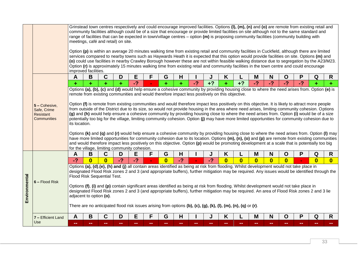|               |                                                                        |                                                                |                         |                                     |      |      |                |              |      |      |      |                                                                                                | Grinstead town centres respectively and could encourage improved facilities. Options (I), (m), (n) and (o) are remote from existing retail and<br>community facilities although could be of a size that encourage or provide limited facilities on site although not to the same standard and                                                                                                                                                                                                                                                                                                                                                                                                                                                                                                                                                                                                                                                                                                                                                         |          |              |                |      |              |              |
|---------------|------------------------------------------------------------------------|----------------------------------------------------------------|-------------------------|-------------------------------------|------|------|----------------|--------------|------|------|------|------------------------------------------------------------------------------------------------|-------------------------------------------------------------------------------------------------------------------------------------------------------------------------------------------------------------------------------------------------------------------------------------------------------------------------------------------------------------------------------------------------------------------------------------------------------------------------------------------------------------------------------------------------------------------------------------------------------------------------------------------------------------------------------------------------------------------------------------------------------------------------------------------------------------------------------------------------------------------------------------------------------------------------------------------------------------------------------------------------------------------------------------------------------|----------|--------------|----------------|------|--------------|--------------|
|               |                                                                        |                                                                |                         | meetings, café and retail) on site. |      |      |                |              |      |      |      |                                                                                                | range of facilities that can be expected in town/village centres $-$ option $(m)$ is proposing community facilities (community building with                                                                                                                                                                                                                                                                                                                                                                                                                                                                                                                                                                                                                                                                                                                                                                                                                                                                                                          |          |              |                |      |              |              |
|               |                                                                        | improved facilities.                                           |                         |                                     |      |      |                |              |      |      |      |                                                                                                | Option (p) is within an average 20 minutes walking time from existing retail and community facilities in Cuckfield, although there are limited<br>services compared to nearby towns such as Haywards Heath it is expected that this option would provide facilities on site. Options (m) and<br>(o) could use facilities in nearby Crawley Borough however these are not within feasible walking distance due to segregation by the A23/M23.<br>Option (r) is approximately 15 minutes walking time from existing retail and community facilities in the town centre and could encourage                                                                                                                                                                                                                                                                                                                                                                                                                                                              |          |              |                |      |              |              |
|               |                                                                        | A                                                              | B                       | $\mathbf C$                         | D    | E    | F              | G            | H    |      | J    | Κ                                                                                              |                                                                                                                                                                                                                                                                                                                                                                                                                                                                                                                                                                                                                                                                                                                                                                                                                                                                                                                                                                                                                                                       | M        | N            | O              | Ρ    | Q            | R            |
|               |                                                                        | ٠                                                              | ٠                       | ٠                                   | ÷    | $-2$ |                | ٠            | ÷    | $-2$ | $+?$ | ٠                                                                                              | $+?$                                                                                                                                                                                                                                                                                                                                                                                                                                                                                                                                                                                                                                                                                                                                                                                                                                                                                                                                                                                                                                                  | $-2$     | $-2$         | $-2$           | $-2$ |              | ÷.           |
|               | 5 - Cohesive,<br>Safe, Crime<br><b>Resistant</b><br><b>Communities</b> | its location.<br>for the village, limiting community cohesion. |                         |                                     |      |      |                |              |      |      |      | remote from existing communities and would therefore impact less positively on this objective. | Option (f) is remote from existing communities and would therefore impact less positively on this objective. It is likely to attract more people<br>from outside of the District due to its size, so would not provide housing in the area where need arises, limiting community cohesion. Options<br>(g) and (h) would help ensure a cohesive community by providing housing close to where the need arises from. Option (i) would be of a size<br>potentially too big for the village, limiting community cohesion. Option (j) may have more limited opportunities for community cohesion due to<br>Options (k) and (q) and (r) would help ensure a cohesive community by providing housing close to where the need arises from. Option (I) may<br>have more limited opportunities for community cohesion due to its location. Options (m), (n), (o) and (p) are remote from existing communities<br>and would therefore impact less positively on this objective. Option (p) would be promoting development at a scale that is potentially too big |          |              |                |      |              |              |
|               |                                                                        | Α                                                              | В                       | C                                   | D    | E    | F              | G            | H    |      | J    | Κ                                                                                              |                                                                                                                                                                                                                                                                                                                                                                                                                                                                                                                                                                                                                                                                                                                                                                                                                                                                                                                                                                                                                                                       | M        | N            | $\mathbf O$    | P    | Q            | R            |
|               |                                                                        | $-2$                                                           | $\overline{\mathbf{0}}$ | $\mathbf{0}$                        | $-2$ | $-2$ | $\blacksquare$ | $\mathbf{0}$ | $-2$ |      | $-2$ | $\overline{\mathbf{0}}$                                                                        | $\bf{0}$                                                                                                                                                                                                                                                                                                                                                                                                                                                                                                                                                                                                                                                                                                                                                                                                                                                                                                                                                                                                                                              | $\bf{0}$ | $\mathbf{0}$ | $\overline{0}$ |      | $\mathbf{0}$ | $\mathbf{0}$ |
| Environmental | $6 -$ Flood Risk                                                       | adjacent to option (o).                                        |                         | Flood Risk Sequential Test.         |      |      |                |              |      |      |      |                                                                                                | Options (a), (d), (e), (h) and (j) all contain areas identified as being at risk from flooding. Whilst development would not take place in<br>designated Flood Risk zones 2 and 3 (and appropriate buffers), further mitigation may be required. Any issues would be identified through the<br>Options (f), (i) and (p) contain significant areas identified as being at risk from flooding. Whilst development would not take place in<br>designated Flood Risk zones 2 and 3 (and appropriate buffers), further mitigation may be required. An area of Flood Risk zones 2 and 3 lie<br>There are no anticipated flood risk issues arising from options (b), (c), (g), (k), (l), (m), (n), (q) or (r).                                                                                                                                                                                                                                                                                                                                               |          |              |                |      |              |              |
|               | 7 - Efficient Land                                                     | A                                                              | B                       | C                                   | D    | Е    | F              | G            | H    |      |      | Κ                                                                                              |                                                                                                                                                                                                                                                                                                                                                                                                                                                                                                                                                                                                                                                                                                                                                                                                                                                                                                                                                                                                                                                       | M        | N            | O              | P    | Q            | R            |
|               | Use                                                                    |                                                                |                         |                                     |      |      |                |              |      |      |      |                                                                                                |                                                                                                                                                                                                                                                                                                                                                                                                                                                                                                                                                                                                                                                                                                                                                                                                                                                                                                                                                                                                                                                       |          |              |                |      |              |              |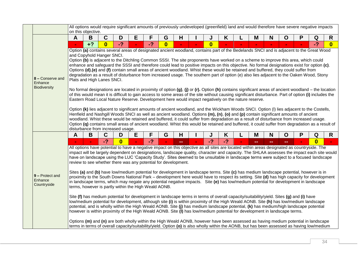|                                             |              | on this objective.                                      |              |                                   | All options would require significant amounts of previously undeveloped (greenfield) land and would therefore have severe negative impacts                                                                                                                                                                                                                                                                                                                                                                                                                                                                                                                                                                                                                                                                                                                                                                                                                                                                                                                                                                                                                                                                                                                                                                                                                                                                                                                                                                                                                                                                                                                                                                                       |                          |    |              |      |   |     |               |             |   |                         |                         |
|---------------------------------------------|--------------|---------------------------------------------------------|--------------|-----------------------------------|----------------------------------------------------------------------------------------------------------------------------------------------------------------------------------------------------------------------------------------------------------------------------------------------------------------------------------------------------------------------------------------------------------------------------------------------------------------------------------------------------------------------------------------------------------------------------------------------------------------------------------------------------------------------------------------------------------------------------------------------------------------------------------------------------------------------------------------------------------------------------------------------------------------------------------------------------------------------------------------------------------------------------------------------------------------------------------------------------------------------------------------------------------------------------------------------------------------------------------------------------------------------------------------------------------------------------------------------------------------------------------------------------------------------------------------------------------------------------------------------------------------------------------------------------------------------------------------------------------------------------------------------------------------------------------------------------------------------------------|--------------------------|----|--------------|------|---|-----|---------------|-------------|---|-------------------------|-------------------------|
|                                             | A            | B                                                       | $\mathbf C$  | D                                 | Е<br>F                                                                                                                                                                                                                                                                                                                                                                                                                                                                                                                                                                                                                                                                                                                                                                                                                                                                                                                                                                                                                                                                                                                                                                                                                                                                                                                                                                                                                                                                                                                                                                                                                                                                                                                           | G                        | н  | J            | K    |   | M   | N             | $\mathbf O$ | P | Q                       | R                       |
|                                             | $\mathbf{r}$ | $+2$                                                    | $\mathbf{0}$ | $-2$                              | $-2$                                                                                                                                                                                                                                                                                                                                                                                                                                                                                                                                                                                                                                                                                                                                                                                                                                                                                                                                                                                                                                                                                                                                                                                                                                                                                                                                                                                                                                                                                                                                                                                                                                                                                                                             | $\mathbf{0}$             |    | $\mathbf{0}$ |      |   |     |               |             |   | $-2$                    | $\overline{\mathbf{0}}$ |
| 8 - Conserve and<br>Enhance<br>Biodiversity |              | and Copyhold Hanger SNCI.<br>Plats and High Lanes SNCI. |              | disturbance from increased usage. | Option (a) contains several areas of designated ancient woodland, contains part of the Bedelands SNCI and is adjacent to the Great Wood<br>Option (b) is adjacent to the Ditchling Common SSSI. The site proponents have worked on a scheme to improve this area, which could<br>enhance and safeguard the SSSI and therefore could lead to positive impacts on this objective. No formal designations exist for option (c).<br>Options (d),(e) and (f) contain small areas of ancient woodland. Whist these would be retained and buffered, they could suffer from<br>degradation as a result of disturbance from increased usage. The southern part of option (e) also lies adjacent to the Oaken Wood, Stony<br>No formal designations are located in proximity of option $(g)$ , $(j)$ or $(r)$ . Option $(h)$ contains significant areas of ancient woodland – the location<br>of this would mean it is difficult to gain access to some areas of the site without causing significant disturbance. Part of option (i) includes the<br>Eastern Road Local Nature Reserve. Development here would impact negatively on the nature reserve.<br>Option (k) lies adjacent to significant amounts of ancient woodland, and the Wickham Woods SNCI. Option (I) lies adjacent to the Costells,<br>Henfield and Nashgill Woods SNCI as well as ancient woodland. Options (m), (n), (o) and (p) contain significant amounts of ancient<br>woodland. Whist these would be retained and buffered, it could suffer from degradation as a result of disturbance from increased usage.<br>Option (q) contains small areas of ancient woodland. Whist this would be retained and buffered, it could suffer from degradation as a result of |                          |    |              |      |   |     |               |             |   |                         |                         |
|                                             | A            | B                                                       | $\mathbf C$  | D                                 | F<br>E                                                                                                                                                                                                                                                                                                                                                                                                                                                                                                                                                                                                                                                                                                                                                                                                                                                                                                                                                                                                                                                                                                                                                                                                                                                                                                                                                                                                                                                                                                                                                                                                                                                                                                                           | G                        | H  | J            | K    | L | M   | N             | $\mathbf O$ | P | Q                       | $\mathsf{R}$            |
|                                             |              |                                                         | $-2$         | $\overline{\mathbf{0}}$           | $-2$<br>All options have potential to have a negative impact on this objective as all sites are located within areas designated as countryside. The<br>impact will be largely dependent on designations, landscape quality, character and capacity. The SHLAA assesses the impact each site would                                                                                                                                                                                                                                                                                                                                                                                                                                                                                                                                                                                                                                                                                                                                                                                                                                                                                                                                                                                                                                                                                                                                                                                                                                                                                                                                                                                                                                | $\overline{\phantom{a}}$ | -- | $-2$         | $-2$ |   | mm. | $\frac{1}{2}$ | --          |   | $\overline{\mathbf{0}}$ |                         |
|                                             |              |                                                         |              |                                   | have on landscape using the LUC 'Capacity Study'. Sites deemed to be unsuitable in landscape terms were subject to a focused landscape<br>review to see whether there was any potential for development.                                                                                                                                                                                                                                                                                                                                                                                                                                                                                                                                                                                                                                                                                                                                                                                                                                                                                                                                                                                                                                                                                                                                                                                                                                                                                                                                                                                                                                                                                                                         |                          |    |              |      |   |     |               |             |   |                         |                         |
| 9 - Protect and<br>Enhance<br>Countryside   |              |                                                         |              |                                   | Sites (a) and (b) have low/medium potential for development in landscape terms. Site (c) has medium landscape potential, however is in<br>proximity to the South Downs National Park – development here would have to respect its setting. Site (d) has high capacity for development<br>in landscape terms, which may negate any potential negative impacts. Site (e) has low/medium potential for development in landscape<br>terms, however is partly within the High Weald AONB.                                                                                                                                                                                                                                                                                                                                                                                                                                                                                                                                                                                                                                                                                                                                                                                                                                                                                                                                                                                                                                                                                                                                                                                                                                             |                          |    |              |      |   |     |               |             |   |                         |                         |
|                                             |              |                                                         |              |                                   | Site (f) has medium potential for development in landscape terms in terms of overall capacity/suitability/yield. Sites (g) and (i) have<br>low/medium potential for development, although site (i) is within proximity of the High Weald AONB. Site (h) has low/medium landscape<br>potential, and is wholly within the High Weald AONB. Site (j) has medium landscape potential, (k) has medium/high landscape potential<br>however is within proximity of the High Weald AONB. Site (I) has low/medium potential for development in landscape terms.                                                                                                                                                                                                                                                                                                                                                                                                                                                                                                                                                                                                                                                                                                                                                                                                                                                                                                                                                                                                                                                                                                                                                                           |                          |    |              |      |   |     |               |             |   |                         |                         |
|                                             |              |                                                         |              |                                   | Options (m) and (n) are both wholly within the High Weald AONB, however have been assessed as having medium potential in landscape<br>terms in terms of overall capacity/suitability/yield. Option (o) is also wholly within the AONB, but has been assessed as having low/medium                                                                                                                                                                                                                                                                                                                                                                                                                                                                                                                                                                                                                                                                                                                                                                                                                                                                                                                                                                                                                                                                                                                                                                                                                                                                                                                                                                                                                                                |                          |    |              |      |   |     |               |             |   |                         |                         |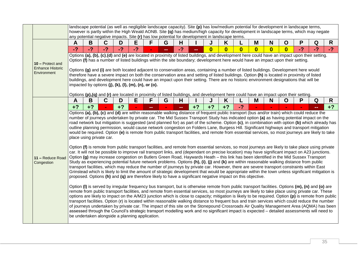|                                                            |      |                                                 | landscape potential (as well as negligible landscape capacity). Site $\overline{(p)}$ has low/medium potential for development in landscape terms,<br>any potential negative impacts. Site (r) has low potential for development in landscape terms.                                                                                                                                                                                                                                                                                                                                                                  |      |      |        |    |      |      |          |              |                         |                         |              |                         |      | however is partly within the High Weald AONB. Site (q) has medium/high capacity for development in landscape terms, which may negate                                                                                                                                                                                                                                                                                                                                                                                                                                                                                                                                                                                                                                                                                                                                                                                                                                                                                                                                                                                                                                                                                                                                                                                                                                                                                                                                                                                                                                                                                                                                                                                                                                                                                                                                                                                                                                                                                                                                                                                                                                                                                                                         |              |
|------------------------------------------------------------|------|-------------------------------------------------|-----------------------------------------------------------------------------------------------------------------------------------------------------------------------------------------------------------------------------------------------------------------------------------------------------------------------------------------------------------------------------------------------------------------------------------------------------------------------------------------------------------------------------------------------------------------------------------------------------------------------|------|------|--------|----|------|------|----------|--------------|-------------------------|-------------------------|--------------|-------------------------|------|--------------------------------------------------------------------------------------------------------------------------------------------------------------------------------------------------------------------------------------------------------------------------------------------------------------------------------------------------------------------------------------------------------------------------------------------------------------------------------------------------------------------------------------------------------------------------------------------------------------------------------------------------------------------------------------------------------------------------------------------------------------------------------------------------------------------------------------------------------------------------------------------------------------------------------------------------------------------------------------------------------------------------------------------------------------------------------------------------------------------------------------------------------------------------------------------------------------------------------------------------------------------------------------------------------------------------------------------------------------------------------------------------------------------------------------------------------------------------------------------------------------------------------------------------------------------------------------------------------------------------------------------------------------------------------------------------------------------------------------------------------------------------------------------------------------------------------------------------------------------------------------------------------------------------------------------------------------------------------------------------------------------------------------------------------------------------------------------------------------------------------------------------------------------------------------------------------------------------------------------------------------|--------------|
|                                                            | A    | B                                               | C                                                                                                                                                                                                                                                                                                                                                                                                                                                                                                                                                                                                                     | D    | E    | F      | G  | н    |      |          | K            |                         | M                       | N            | $\mathbf O$             | P    | Q                                                                                                                                                                                                                                                                                                                                                                                                                                                                                                                                                                                                                                                                                                                                                                                                                                                                                                                                                                                                                                                                                                                                                                                                                                                                                                                                                                                                                                                                                                                                                                                                                                                                                                                                                                                                                                                                                                                                                                                                                                                                                                                                                                                                                                                            | $\mathsf{R}$ |
|                                                            | $-2$ | $-2$                                            | $-2$                                                                                                                                                                                                                                                                                                                                                                                                                                                                                                                                                                                                                  | $-2$ | $-2$ |        | -- | $-2$ |      | $\bf{0}$ | $\mathbf{0}$ | $\overline{\mathbf{0}}$ | $\overline{\mathbf{0}}$ | $\mathbf{0}$ | $\overline{\mathbf{0}}$ | $-2$ | $-2$                                                                                                                                                                                                                                                                                                                                                                                                                                                                                                                                                                                                                                                                                                                                                                                                                                                                                                                                                                                                                                                                                                                                                                                                                                                                                                                                                                                                                                                                                                                                                                                                                                                                                                                                                                                                                                                                                                                                                                                                                                                                                                                                                                                                                                                         | $-2$         |
| 10 - Protect and<br><b>Enhance Historic</b><br>Environment |      |                                                 | Option (f) has a number of listed buildings within the site boundary; development here would have an impact upon their setting.<br>Options (g) and (i) are both located adjacent to conservation areas, containing a number of listed buildings. Development here would<br>therefore have a severe impact on both the conservation area and setting of listed buildings. Option (h) is located in proximity of listed<br>buildings, and development here could have an impact upon their setting. There are no historic environment designations that will be<br>impacted by options (j), (k), (l), (m), (n), or (o). |      |      |        |    |      |      |          |              |                         |                         |              |                         |      | Options (a), (b), (c),(d) and (e) are located in proximity of listed buildings, and development here could have an impact upon their setting.                                                                                                                                                                                                                                                                                                                                                                                                                                                                                                                                                                                                                                                                                                                                                                                                                                                                                                                                                                                                                                                                                                                                                                                                                                                                                                                                                                                                                                                                                                                                                                                                                                                                                                                                                                                                                                                                                                                                                                                                                                                                                                                |              |
|                                                            | A    | B                                               | Options $(p),(q)$ and $(r)$ are located in proximity of listed buildings, and development here could have an impact upon their setting.<br>$\mathbf C$                                                                                                                                                                                                                                                                                                                                                                                                                                                                | D    | Е    | F      | G  | H    |      | J        | K            |                         | M                       | N            | $\mathbf O$             | P    | Q                                                                                                                                                                                                                                                                                                                                                                                                                                                                                                                                                                                                                                                                                                                                                                                                                                                                                                                                                                                                                                                                                                                                                                                                                                                                                                                                                                                                                                                                                                                                                                                                                                                                                                                                                                                                                                                                                                                                                                                                                                                                                                                                                                                                                                                            | R            |
|                                                            | $+2$ | $+?$                                            |                                                                                                                                                                                                                                                                                                                                                                                                                                                                                                                                                                                                                       | $+?$ |      | $\sim$ |    | mar. | $+2$ | $+2$     | $+?$         | $-2$                    | $\blacksquare$          |              |                         |      |                                                                                                                                                                                                                                                                                                                                                                                                                                                                                                                                                                                                                                                                                                                                                                                                                                                                                                                                                                                                                                                                                                                                                                                                                                                                                                                                                                                                                                                                                                                                                                                                                                                                                                                                                                                                                                                                                                                                                                                                                                                                                                                                                                                                                                                              | $+2$         |
| 11 - Reduce Road<br>Congestion                             |      | be undertaken alongside a planning application. | place using private car.<br>proposed. Options (h) and (q) are therefore likely to have a significant negative impact on this objective.                                                                                                                                                                                                                                                                                                                                                                                                                                                                               |      |      |        |    |      |      |          |              |                         |                         |              |                         |      | road network but mitigation is suggested (and planned for) as part of the scheme. Option (c), in combination with option (b) which already has<br>outline planning permission, would cause network congestion on Folders Lane, Burgess Hill. Significant highways and transport mitigation<br>would be required. Option (e) is remote from public transport facilities, and remote from essential services, so most journeys are likely to take<br>Option (f) is remote from public transport facilities, and remote from essential services, so most journeys are likely to take place using private<br>car. It will not be possible to improve rail transport links, and (dependant on precise location) may have significant impact on A23 junctions.<br>Option (g) may increase congestion on Butlers Green Road, Haywards Heath - this link has been identified in the Mid Sussex Transport<br>Study as experiencing potential future network problems. Options (h), (i), (j) and (k) are within reasonable walking distance from public<br>transport facilities, which may reduce the number of journeys by private car. However, there are severe transport constraints within East<br>Grinstead which is likely to limit the amount of strategic development that would be appropriate within the town unless significant mitigation is<br>Option (I) is served by irregular frequency bus transport, but is otherwise remote from public transport facilities. Options (m), (n) and (o) are<br>remote from public transport facilities, and remote from essential services, so most journeys are likely to take place using private car. These<br>options are likely to impact on the A/M23 junction which is close to capacity; mitigation is likely to be required. Option (p) is remote from public<br>transport facilities. Option (r) is located within reasonable walking distance to frequent bus and train services which could reduce the number<br>of journeys undertaken by private car. The impact of this site on the Stonepound Crossroads Air Quality Management Area (AQMA) has been<br>assessed through the Council's strategic transport modelling work and no significant impact is expected - detailed assessments will need to |              |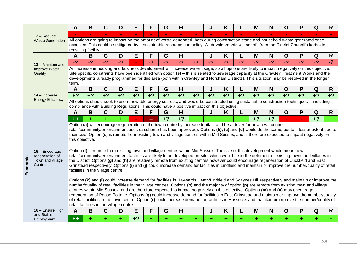|          |                                           | Α               | B                                        | C           | D    | E              |      | G    | Н    |      |      | K                                                                                                                                                                                                                                                                                                  |      | Μ    | N    | O    |      | Q    | R    |
|----------|-------------------------------------------|-----------------|------------------------------------------|-------------|------|----------------|------|------|------|------|------|----------------------------------------------------------------------------------------------------------------------------------------------------------------------------------------------------------------------------------------------------------------------------------------------------|------|------|------|------|------|------|------|
|          | 12 - Reduce                               |                 |                                          |             |      |                |      |      |      |      |      |                                                                                                                                                                                                                                                                                                    |      |      |      |      |      |      |      |
|          | <b>Waste Generation</b>                   |                 |                                          |             |      |                |      |      |      |      |      | All options are going to impact on the amount of waste generated, both during construction stage and household waste generated once                                                                                                                                                                |      |      |      |      |      |      |      |
|          |                                           |                 | recycling facility.                      |             |      |                |      |      |      |      |      | occupied. This could be mitigated by a sustainable resource use policy. All developments will benefit from the District Council's kerbside                                                                                                                                                         |      |      |      |      |      |      |      |
|          |                                           | $\mathsf{A}$    | B                                        | $\mathbf C$ | D    | E              | F    | G    | Н    |      | J    | K                                                                                                                                                                                                                                                                                                  |      | M    | N    | O    | P    | Q    | R    |
|          |                                           | $-2$            | $-2$                                     | $-2$        | $-2$ | $\blacksquare$ | $-2$ | $-2$ | $-2$ | $-2$ | $-2$ | $-2$                                                                                                                                                                                                                                                                                               | $-2$ | $-2$ | $-2$ | $-2$ | $-2$ | $-2$ | $-2$ |
|          | 13 - Maintain and<br><b>Improve Water</b> |                 |                                          |             |      |                |      |      |      |      |      | An increase in housing and business development will increase water usage, so all options are likely to impact negatively on this objective.                                                                                                                                                       |      |      |      |      |      |      |      |
|          | Quality                                   |                 |                                          |             |      |                |      |      |      |      |      | Site specific constraints have been identified with option (e) – this is related to sewerage capacity at the Crawley Treatment Works and the                                                                                                                                                       |      |      |      |      |      |      |      |
|          |                                           |                 |                                          |             |      |                |      |      |      |      |      | developments already programmed for this area (both within Crawley and Horsham Districts). This situation may be resolved in the longer                                                                                                                                                            |      |      |      |      |      |      |      |
|          |                                           | term.<br>A      | B                                        | $\mathbf C$ | D    | E              | F    | G    | н    |      | J    | K                                                                                                                                                                                                                                                                                                  |      | M    | N    | O    | P    | Q    | R    |
|          | 14 - Increase                             | $+2$            | $+2$                                     | $+2$        | $+?$ | $+2$           | $+2$ | $+2$ | $+?$ | $+2$ | $+?$ | $+?$                                                                                                                                                                                                                                                                                               | $+2$ | $+?$ | $+2$ | $+2$ | $+2$ | $+?$ | $+2$ |
|          | <b>Energy Efficiency</b>                  |                 |                                          |             |      |                |      |      |      |      |      | All options should seek to use renewable energy sources, and would be constructed using sustainable construction techniques – including                                                                                                                                                            |      |      |      |      |      |      |      |
|          |                                           |                 |                                          |             |      |                |      |      |      |      |      | compliance with Building Regulations. This could have a positive impact on this objective.                                                                                                                                                                                                         |      |      |      |      |      |      |      |
|          |                                           | Α               | B                                        | C           | D    | E              | F    | G    | н    |      |      | K                                                                                                                                                                                                                                                                                                  |      | M    | N    | O    | P    | Q    | R    |
|          |                                           | $++$            |                                          |             |      |                | --   | $+2$ | $+?$ |      |      |                                                                                                                                                                                                                                                                                                    |      | $+?$ | $+?$ |      |      | $+?$ |      |
|          |                                           |                 |                                          |             |      |                |      |      |      |      |      | Option (a) will encourage regeneration of the town centre by increase footfall, and be a driver for new town centre                                                                                                                                                                                |      |      |      |      |      |      |      |
|          |                                           |                 |                                          |             |      |                |      |      |      |      |      | retail/community/entertainment uses (a scheme has been approved). Options (b), (c) and (d) would do the same, but to a lesser extent due to<br>their size. Option (e) is remote from existing town and village centres within Mid Sussex, and is therefore expected to impact negatively on        |      |      |      |      |      |      |      |
|          |                                           | this objective. |                                          |             |      |                |      |      |      |      |      |                                                                                                                                                                                                                                                                                                    |      |      |      |      |      |      |      |
|          |                                           |                 |                                          |             |      |                |      |      |      |      |      |                                                                                                                                                                                                                                                                                                    |      |      |      |      |      |      |      |
|          | 15 - Encourage                            |                 |                                          |             |      |                |      |      |      |      |      | Option (f) is remote from existing town and village centres within Mid Sussex. The size of this development would mean new                                                                                                                                                                         |      |      |      |      |      |      |      |
|          | regeneration of<br>Town and village       |                 |                                          |             |      |                |      |      |      |      |      | retail/community/entertainment facilities are likely to be developed on-site, which would be to the detriment of existing towns and villages in<br>the District. Options (g) and (h) are relatively remote from existing centres however could encourage regeneration of Cuckfield and East        |      |      |      |      |      |      |      |
|          | Centres                                   |                 |                                          |             |      |                |      |      |      |      |      | Grinstead respectively. Options (i) and (j) could increase demand for facilities in Lindfield and maintain or improve the number/quality of retail                                                                                                                                                 |      |      |      |      |      |      |      |
| Economic |                                           |                 | facilities in the village centre.        |             |      |                |      |      |      |      |      |                                                                                                                                                                                                                                                                                                    |      |      |      |      |      |      |      |
|          |                                           |                 |                                          |             |      |                |      |      |      |      |      |                                                                                                                                                                                                                                                                                                    |      |      |      |      |      |      |      |
|          |                                           |                 |                                          |             |      |                |      |      |      |      |      | Options (k) and (I) could increase demand for facilities in Haywards Heath/Lindfield and Scaynes Hill respectively and maintain or improve the<br>number/quality of retail facilities in the village centres. Options (o) and the majority of option (p) are remote from existing town and village |      |      |      |      |      |      |      |
|          |                                           |                 |                                          |             |      |                |      |      |      |      |      | centres within Mid Sussex, and are therefore expected to impact negatively on this objective. Options (m) and (n) may encourage                                                                                                                                                                    |      |      |      |      |      |      |      |
|          |                                           |                 |                                          |             |      |                |      |      |      |      |      | regeneration of Pease Pottage. Options (q) could increase demand for facilities in East Grinstead and maintain or improve the number/quality                                                                                                                                                       |      |      |      |      |      |      |      |
|          |                                           |                 | retail facilities in the village centre. |             |      |                |      |      |      |      |      | of retail facilities in the town centre. Option (r) could increase demand for facilities in Hassocks and maintain or improve the number/quality of                                                                                                                                                 |      |      |      |      |      |      |      |
|          | 16 - Ensure High                          | Α               | B                                        | $\mathbf C$ | D    | E              | F    | G    | Н    |      |      | Κ                                                                                                                                                                                                                                                                                                  |      | Μ    | N    | 0    | P    | Q    | R    |
|          | and Stable<br>Employment                  | $++$            |                                          |             |      | $+2$           |      |      |      |      |      |                                                                                                                                                                                                                                                                                                    |      |      |      |      |      |      |      |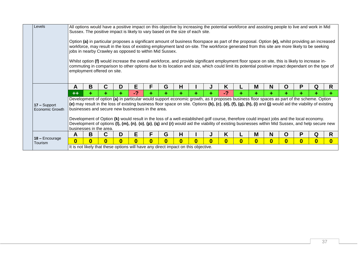| Levels                    |                         |   |                                                                                    |                  |          |   |          |              |          |   |          |   |          |          |   | All options would have a positive impact on this objective by increasing the potential workforce and assisting people to live and work in Mid                                                                                                                                                     |          |
|---------------------------|-------------------------|---|------------------------------------------------------------------------------------|------------------|----------|---|----------|--------------|----------|---|----------|---|----------|----------|---|---------------------------------------------------------------------------------------------------------------------------------------------------------------------------------------------------------------------------------------------------------------------------------------------------|----------|
|                           |                         |   | Sussex. The positive impact is likely to vary based on the size of each site.      |                  |          |   |          |              |          |   |          |   |          |          |   |                                                                                                                                                                                                                                                                                                   |          |
|                           |                         |   |                                                                                    |                  |          |   |          |              |          |   |          |   |          |          |   |                                                                                                                                                                                                                                                                                                   |          |
|                           |                         |   |                                                                                    |                  |          |   |          |              |          |   |          |   |          |          |   | Option (a) in particular proposes a significant amount of business floorspace as part of the proposal. Option (e), whilst providing an increased                                                                                                                                                  |          |
|                           |                         |   |                                                                                    |                  |          |   |          |              |          |   |          |   |          |          |   | workforce, may result in the loss of existing employment land on-site. The workforce generated from this site are more likely to be seeking                                                                                                                                                       |          |
|                           |                         |   | jobs in nearby Crawley as opposed to within Mid Sussex.                            |                  |          |   |          |              |          |   |          |   |          |          |   |                                                                                                                                                                                                                                                                                                   |          |
|                           |                         |   |                                                                                    |                  |          |   |          |              |          |   |          |   |          |          |   |                                                                                                                                                                                                                                                                                                   |          |
|                           |                         |   |                                                                                    |                  |          |   |          |              |          |   |          |   |          |          |   | Whilst option (f) would increase the overall workforce, and provide significant employment floor space on site, this is likely to increase in-<br>commuting in comparison to other options due to its location and size, which could limit its potential positive impact dependant on the type of |          |
|                           |                         |   | employment offered on site.                                                        |                  |          |   |          |              |          |   |          |   |          |          |   |                                                                                                                                                                                                                                                                                                   |          |
|                           |                         |   |                                                                                    |                  |          |   |          |              |          |   |          |   |          |          |   |                                                                                                                                                                                                                                                                                                   |          |
|                           |                         |   |                                                                                    |                  |          |   |          |              |          |   |          |   |          |          |   |                                                                                                                                                                                                                                                                                                   |          |
|                           | A                       | B | C                                                                                  | D                | Е        | F | G        | н            |          |   | ĸ        | M | N        | O        | P | Q                                                                                                                                                                                                                                                                                                 | R        |
|                           | $+ +$                   |   |                                                                                    |                  | -?       |   |          |              |          |   | $-2$     |   |          |          |   |                                                                                                                                                                                                                                                                                                   |          |
|                           |                         |   |                                                                                    |                  |          |   |          |              |          |   |          |   |          |          |   | Development of option (a) in particular would support economic growth, as it proposes business floor spaces as part of the scheme. Option                                                                                                                                                         |          |
| 17 - Support              |                         |   |                                                                                    |                  |          |   |          |              |          |   |          |   |          |          |   | (e) may result in the loss of existing business floor space on site. Options (b), (c), (d), (f), (g), (h), (i) and (j) would aid the viability of existing                                                                                                                                        |          |
| Economic Growth           |                         |   | businesses and secure new businesses in the area.                                  |                  |          |   |          |              |          |   |          |   |          |          |   |                                                                                                                                                                                                                                                                                                   |          |
|                           |                         |   |                                                                                    |                  |          |   |          |              |          |   |          |   |          |          |   |                                                                                                                                                                                                                                                                                                   |          |
|                           |                         |   |                                                                                    |                  |          |   |          |              |          |   |          |   |          |          |   | Development of Option (k) would result in the loss of a well-established golf course, therefore could impact jobs and the local economy.                                                                                                                                                          |          |
|                           |                         |   |                                                                                    |                  |          |   |          |              |          |   |          |   |          |          |   | Development of options (I), (m), (n), (o), (p), (q) and (r) would aid the viability of existing businesses within Mid Sussex, and help secure new                                                                                                                                                 |          |
|                           |                         |   | businesses in the area.                                                            |                  |          |   |          |              |          |   |          |   |          |          |   |                                                                                                                                                                                                                                                                                                   |          |
|                           | A                       | B |                                                                                    | D                | Е        | F | G        | н            |          |   | K        | M | N        | Ő        | P | Q                                                                                                                                                                                                                                                                                                 | R        |
| 18 - Encourage<br>Tourism | $\overline{\mathbf{0}}$ | U | 0                                                                                  | $\boldsymbol{0}$ | $\bf{0}$ | U | $\bf{0}$ | $\mathbf{0}$ | $\bf{0}$ | 0 | $\bf{0}$ | 0 | $\bf{0}$ | $\bf{0}$ |   | $\bf{0}$                                                                                                                                                                                                                                                                                          | $\bf{0}$ |
|                           |                         |   | It is not likely that these options will have any direct impact on this objective. |                  |          |   |          |              |          |   |          |   |          |          |   |                                                                                                                                                                                                                                                                                                   |          |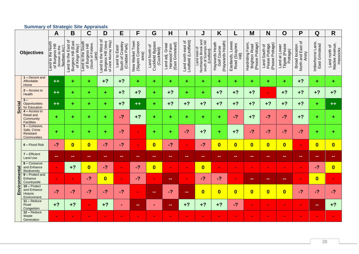#### **Summary of Strategic Site Appraisals**

<span id="page-39-0"></span>

|               |                                                                        | $\mathsf{A}$                                          | B                                                                             | $\mathbf C$                                                       | D                                                                | E                                                   | F                                          | G                                                | H                                                   |                                             | J                                                                           | K                                                 |                                        | M                                                          | N                                                 | $\mathbf O$                                 | P                                                   | Q                                 | $\mathsf{R}$                                |
|---------------|------------------------------------------------------------------------|-------------------------------------------------------|-------------------------------------------------------------------------------|-------------------------------------------------------------------|------------------------------------------------------------------|-----------------------------------------------------|--------------------------------------------|--------------------------------------------------|-----------------------------------------------------|---------------------------------------------|-----------------------------------------------------------------------------|---------------------------------------------------|----------------------------------------|------------------------------------------------------------|---------------------------------------------------|---------------------------------------------|-----------------------------------------------------|-----------------------------------|---------------------------------------------|
|               | <b>Objectives</b>                                                      | Land to the North<br>of Burgess Hill<br>(known as the | Land to the East of<br>Burgess Hill (East<br>of Kings Way)<br>'Northern Arc') | Land to the South<br>of Burgess Hill<br>(South of Folders<br>ane) | Land to the West of<br>of Jane Murray Way)<br>Burgess Hill (West | South of Crawley<br>(Crabbet Park)<br>Land to East/ | New Market Town<br>(Sayers Common<br>area) | Cuckfield Bypass<br>Land North of<br>(Cuckfield) | (East Grinstead)<br>Land adj. Great<br>Harwood Farm | Land north east of<br>Lindfield (Lindfield) | Northlands Brook and<br>south of Scamps Hill<br>Land east of<br>(Lindfield) | (Haywards Heath)<br>Haywards Heath<br>Golf Course | Eastlands, Lewes<br>Road (Scaynes<br>言 | Hardriding Farm<br>(Pease Pottage)<br><b>Brighton Road</b> | (Pease Pottage)<br>Pease Pottage<br>Land South of | Tilgate (Pease<br>Land at Lower<br>Pottage) | North and East of<br><b>Broad location</b><br>Ansty | Imberhorne Lane<br>East Grinstead | Mackie Avenue,<br>Hassocks<br>Land north of |
|               | 1 - Decent and<br>Affordable<br>Home                                   | $++$                                                  | ÷                                                                             | ÷.                                                                | $+2$                                                             | $+?$                                                | ÷.                                         | ٠                                                | ٠                                                   | ÷                                           | ÷                                                                           | ÷                                                 | ÷                                      | ÷                                                          | ÷.                                                | ÷                                           | $+?$                                                | ÷.                                | ÷                                           |
|               | $2 - Access to$<br>Health                                              | $++$                                                  | ٠                                                                             | ÷.                                                                | ٠                                                                | $+2$                                                | $+2$                                       | ÷                                                | $+2$                                                | ٠                                           | ÷                                                                           | $+?$                                              | $+2$                                   | $+?$                                                       | $\overline{\phantom{a}}$                          | $+?$                                        | $+?$                                                | $+?$                              | $+?$                                        |
| Social        | $3 -$<br>Opportunities<br>for Education                                | $++$                                                  | ÷.                                                                            | ÷.                                                                | ٠                                                                | $+?$                                                | $++$                                       | ÷                                                | $+2$                                                | $+2$                                        | $+2$                                                                        | $+2$                                              | $+?$                                   | $+?$                                                       | $+?$                                              | $+?$                                        | $+?$                                                | ٠.                                | $++$                                        |
|               | $4 - Access to$<br><b>Retail and</b><br>Community<br><b>Facilities</b> | ÷                                                     | ٠                                                                             | ٠                                                                 | ÷                                                                | $-2$                                                | $+?$                                       | ÷                                                | ÷                                                   | ÷                                           | ÷                                                                           | ÷                                                 | $-2$                                   | $+?$                                                       | $-2$                                              | $-2$                                        | $+?$                                                | ÷.                                | ÷.                                          |
|               | 5 - Cohesive<br>Safe, Crime<br>Resistant<br>Communities                | ÷                                                     | ÷                                                                             | ÷.                                                                | ÷                                                                | $-2$                                                | $\blacksquare$                             | ٠                                                | ÷                                                   | $-2$                                        | $+?$                                                                        | ÷                                                 | $+2$                                   | $-2$                                                       | $-2$                                              | $-2$                                        | $-2$                                                | ÷                                 | ٠                                           |
|               | 6 - Flood Risk                                                         | $-2$                                                  | $\overline{\mathbf{0}}$                                                       | $\overline{\mathbf{0}}$                                           | $-2$                                                             | $-2$                                                | $\mathbf{r}$                               | $\overline{\mathbf{0}}$                          | $-2$                                                | $\mathbf{r}$                                | $-2$                                                                        | $\overline{\mathbf{0}}$                           | $\overline{\mathbf{0}}$                | $\overline{\mathbf{0}}$                                    | $\overline{\mathbf{0}}$                           | $\overline{0}$                              | $\sim$                                              | $\overline{\mathbf{0}}$           | $\overline{\mathbf{0}}$                     |
|               | 7 - Efficient<br><b>Land Use</b>                                       | $\sim$                                                | --                                                                            | $\qquad \qquad \blacksquare$                                      | --                                                               | $\qquad \qquad \blacksquare$                        | $\frac{1}{2}$                              | $\sim$ $\sim$                                    | --                                                  | <b>COL</b>                                  | $\frac{1}{2}$                                                               | --                                                | --                                     | --                                                         | $=$                                               | --                                          | --                                                  | ÷                                 |                                             |
|               | 8 - Conserve<br>and Enhance<br><b>Biodiversity</b>                     | $\blacksquare$                                        | $+?$                                                                          | $\overline{\mathbf{0}}$                                           | $-2$                                                             | $\blacksquare$                                      | $-2$                                       | $\overline{\mathbf{0}}$                          | ÷.                                                  |                                             | $\overline{\mathbf{0}}$                                                     | $\blacksquare$                                    | $\sim$                                 |                                                            |                                                   |                                             | $\sim$                                              | $-2$                              | $\bf{0}$                                    |
| Environmental | 9 - Protect and<br>Enhance<br>Countryside                              | $\blacksquare$                                        | $\blacksquare$                                                                | $-2$                                                              | $\overline{\mathbf{0}}$                                          | $\sim$                                              | $-2$                                       | $\blacksquare$                                   | --                                                  | $\blacksquare$                              | $-2$                                                                        | $-2$                                              | $\blacksquare$                         | <b>COLOR</b>                                               | --                                                | --                                          | $\blacksquare$                                      | $\overline{\mathbf{0}}$           |                                             |
|               | $10 -$ Protect<br>and Enhance<br>Historic<br>Environment               | $-2$                                                  | $-2$                                                                          | $-2$                                                              | $-2$                                                             | $-2$                                                | $\mathbf{r}$                               | $\qquad \qquad \blacksquare$                     | $-2$                                                |                                             | $\overline{\mathbf{0}}$                                                     | $\overline{\mathbf{0}}$                           | $\overline{\mathbf{0}}$                | $\overline{\mathbf{0}}$                                    | $\overline{\mathbf{0}}$                           | $\overline{0}$                              | $-2$                                                | $-2$                              | $-2$                                        |
|               | $11 -$ Reduce<br>Road<br>Congestion                                    | $+2$                                                  | $+?$                                                                          | $\sim$                                                            | $+2$                                                             | $\blacksquare$                                      | $\qquad \qquad \blacksquare$               | $\blacksquare$                                   | mm.                                                 | $+?$                                        | $+2$                                                                        | $+2$                                              | $-2$                                   | $\blacksquare$                                             |                                                   |                                             | $\sim$                                              | $=$                               | $+2$                                        |
|               | $12 - Reduce$<br>Waste<br>Generation                                   |                                                       |                                                                               |                                                                   | $\sim$                                                           | $\sim$                                              |                                            |                                                  |                                                     |                                             |                                                                             |                                                   | $\blacksquare$                         |                                                            |                                                   |                                             |                                                     |                                   |                                             |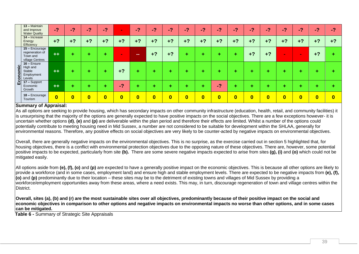|                        | 13 - Maintain<br>and Improve<br><b>Water Quality</b>               | $-2$                    | $-2$                    | $\overline{\mathbf{z}}$ | $-2$                    | $\sim$                  | $-2$                    | -2       | $-2$     | 47       | 47                      | $-2$                     | $-2$                    | $-2$                    | 47                      | -2         | /27                     | $-2i$                   | $\overline{2}$ |
|------------------------|--------------------------------------------------------------------|-------------------------|-------------------------|-------------------------|-------------------------|-------------------------|-------------------------|----------|----------|----------|-------------------------|--------------------------|-------------------------|-------------------------|-------------------------|------------|-------------------------|-------------------------|----------------|
|                        | $14$ – Increase<br>Energy<br>Efficiency                            | $+2$                    | $+2$                    | $+?$                    | $+2$                    | $+?$                    | $+2$                    | $+?$     | $+?$     | $+?$     | $+?$                    | $+2$                     | $+?$                    | $+2$                    | $+?$                    | $+2$       | $+2$                    | $+?$                    | $+2$           |
|                        | $15 -$ Encourage<br>regeneration of<br>Town and<br>village Centres | $++$                    |                         |                         | ÷                       | <b>COL</b>              | <b>CONTRACT</b>         | $+?$     | $+?$     | ÷        | ÷                       | ÷                        | ÷                       | $+?$                    | $+?$                    | <b>COL</b> | <b>COLLEGE</b>          | $+?$                    |                |
| omic<br>$\overline{O}$ | $16 -$ Ensure<br>High and<br>Stable<br>Employment<br>Levels        | $++$                    |                         |                         | ÷                       | $+?$                    | ٠                       | ÷        | ÷        |          | ÷                       | ۰                        | ÷                       |                         |                         |            |                         |                         |                |
| ய்                     | 17 - Support<br>Economic<br>Growth                                 | $+ +$                   |                         |                         | ٠                       | $\overline{2}$          | ٠                       |          |          |          |                         | $\overline{\phantom{a}}$ | ÷                       |                         | ۰.                      |            |                         |                         |                |
|                        | 18 - Encourage<br>Tourism                                          | $\overline{\mathbf{0}}$ | $\overline{\mathbf{0}}$ | $\overline{\mathbf{0}}$ | $\overline{\mathbf{0}}$ | $\overline{\mathbf{0}}$ | $\overline{\mathbf{0}}$ | $\bf{0}$ | $\bf{0}$ | $\bf{0}$ | $\overline{\mathbf{0}}$ | $\overline{\mathbf{0}}$  | $\overline{\mathbf{0}}$ | $\overline{\mathbf{0}}$ | $\overline{\mathbf{0}}$ | $\bf{0}$   | $\overline{\mathbf{0}}$ | $\overline{\mathbf{0}}$ | $\bf{0}$       |

#### **Summary of Appraisal:**

As all options are seeking to provide housing, which has secondary impacts on other community infrastructure (education, health, retail, and community facilities) it is unsurprising that the majority of the options are generally expected to have positive impacts on the social objectives. There are a few exceptions however- it is uncertain whether options **(d)**, **(e)** and **(p)** are deliverable within the plan period and therefore their effects are limited. Whilst a number of the options could potentially contribute to meeting housing need in Mid Sussex, a number are not considered to be suitable for development within the SHLAA, generally for environmental reasons. Therefore, any positive effects on social objectives are very likely to be counter-acted by negative impacts on environmental objectives.

Overall, there are generally negative impacts on the environmental objectives. This is no surprise, as the exercise carried out in section 5 highlighted that, for housing objectives, there is a conflict with environmental protection objectives due to the opposing nature of these objectives. There are, however, some potential positive impacts to be expected, particularly from site **(b).** There are some severe negative impacts expected to arise from sites **(g), (i)** and **(o)** which could not be mitigated easily.

All options aside from **(e), (f), (o)** and **(p)** are expected to have a generally positive impact on the economic objectives. This is because all other options are likely to provide a workforce (and in some cases, employment land) and ensure high and stable employment levels. There are expected to be negative impacts from **(e), (f), (o)** and **(p)** predominantly due to their location – these sites may be to the detriment of existing towns and villages of Mid Sussex by providing a workforce/employment opportunities away from these areas, where a need exists. This may, in turn, discourage regeneration of town and village centres within the **District** 

**Overall, sites (a), (b) and (r) are the most sustainable sites over all objectives, predominantly because of their positive impact on the social and economic objectives in comparison to other options and negative impacts on environmental impacts no worse than other options, and in some cases can be mitigated.** 

<span id="page-40-0"></span>**Table 6 -** Summary of Strategic Site Appraisals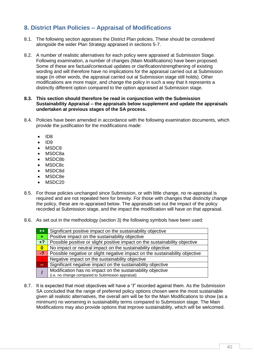# <span id="page-41-0"></span>**8. District Plan Policies – Appraisal of Modifications**

- 8.1. The following section appraises the District Plan policies. These should be considered alongside the wider Plan Strategy appraised in sections 5-7.
- 8.2. A number of realistic alternatives for each policy were appraised at Submission Stage. Following examination, a number of changes (Main Modifications) have been proposed. Some of these are factual/contextual updates or clarification/strengthening of existing wording and will therefore have no implications for the appraisal carried out at Submission stage (in other words, the appraisal carried out at Submission stage still holds). Other modifications are more major, and change the policy in such a way that it represents a distinctly different option compared to the option appraised at Submission stage.

#### **8.3. This section should therefore be read in conjunction with the Submission Sustainability Appraisal – the appraisals below supplement and update the appraisals undertaken at previous stages of the SA process.**

- 8.4. Policies have been amended in accordance with the following examination documents, which provide the justification for the modifications made:
	- $\bullet$  ID8
	- $\bullet$  ID9
	- MSDC8
	- MSDC8a
	- MSDC8b
	- MSDC8c
	- MSDC8d
	- MSDC8e
	- $-MSDC20$
- 8.5. For those policies unchanged since Submission, or with little change, no re-appraisal is required and are not repeated here for brevity. For those with changes that distinctly change the policy, these are re-appraised below. The appraisals set out the impact of the policy recorded at Submission stage, and the impact the modification will have on that appraisal.
- 8.6. As set out in the methodology (section 3) the following symbols have been used:

| $+ +$                       | Significant positive impact on the sustainability objective                 |
|-----------------------------|-----------------------------------------------------------------------------|
| ÷.                          | Positive impact on the sustainability objective                             |
| $+2$                        | Possible positive or slight positive impact on the sustainability objective |
| $\mathbf{0}$                | No impact or neutral impact on the sustainability objective                 |
| $-2$                        | Possible negative or slight negative impact on the sustainability objective |
| $\mathcal{L}_{\mathcal{A}}$ | Negative impact on the sustainability objective                             |
| Æ                           | Significant negative impact on the sustainability objective                 |
|                             | Modification has no impact on the sustainability objective                  |
|                             | (i.e. no change compared to Submission appraisal)                           |

8.7. It is expected that most objectives will have a "**/**" recorded against them. As the Submission SA concluded that the range of preferred policy options chosen were the most sustainable given all realistic alternatives, the overall aim will be for the Main Modifications to show (as a minimum) no worsening in sustainability terms compared to Submission stage. The Main Modifications may also provide options that improve sustainability, which will be welcomed.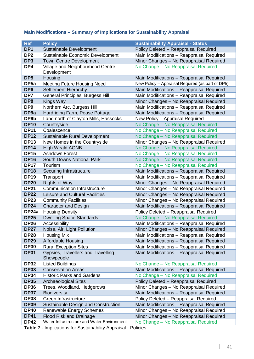# <span id="page-42-0"></span>**Main Modifications – Summary of Implications for Sustainability Appraisal**

| <b>Ref</b>                 | <b>Policy</b>                                               | <b>Sustainability Appraisal - Status</b>                                           |
|----------------------------|-------------------------------------------------------------|------------------------------------------------------------------------------------|
| DP <sub>1</sub>            | Sustainable Development                                     | Policy Deleted - Reappraisal Required                                              |
| DP <sub>2</sub>            | Sustainable Economic Development                            | Main Modifications - Reappraisal Required                                          |
| DP <sub>3</sub>            | <b>Town Centre Development</b>                              | Minor Changes - No Reappraisal Required                                            |
| DP4                        | Village and Neighbourhood Centre<br>Development             | No Change - No Reappraisal Required                                                |
| DP <sub>5</sub>            | Housing                                                     | Main Modifications - Reappraisal Required                                          |
| DP <sub>5a</sub>           | <b>Meeting Future Housing Need</b>                          | New Policy - Appraisal Required (as part of DP5)                                   |
| DP <sub>6</sub>            | <b>Settlement Hierarchy</b>                                 | Main Modifications - Reappraisal Required                                          |
| DP7                        | <b>General Principles: Burgess Hill</b>                     | Main Modifications - Reappraisal Required                                          |
| DP8                        | Kings Way                                                   | Minor Changes - No Reappraisal Required                                            |
| DP <sub>9</sub>            | Northern Arc, Burgess Hill                                  | Main Modifications - Reappraisal Required                                          |
| DP <sub>9a</sub>           | Hardriding Farm, Pease Pottage                              | Main Modifications - Reappraisal Required                                          |
| DP9b                       | Land north of Clayton Mills, Hassocks                       | New Policy - Appraisal Required                                                    |
| <b>DP10</b>                | Countryside                                                 | No Change - No Reappraisal Required                                                |
| <b>DP11</b>                | Coalescence                                                 | No Change - No Reappraisal Required                                                |
| <b>DP12</b>                | Sustainable Rural Development                               | No Change - No Reappraisal Required                                                |
| <b>DP13</b>                | New Homes in the Countryside                                | Minor Changes - No Reappraisal Required                                            |
| <b>DP14</b>                | <b>High Weald AONB</b>                                      | No Change - No Reappraisal Required                                                |
| <b>DP15</b>                | <b>Ashdown Forest</b>                                       | No Change - No Reappraisal Required                                                |
| <b>DP16</b>                | <b>South Downs National Park</b>                            | No Change - No Reappraisal Required                                                |
| <b>DP17</b>                | Tourism                                                     | No Change - No Reappraisal Required                                                |
| <b>DP18</b>                | Securing Infrastructure                                     | Main Modifications - Reappraisal Required                                          |
| <b>DP19</b>                | Transport                                                   | Main Modifications - Reappraisal Required                                          |
| <b>DP20</b>                | <b>Rights of Way</b><br><b>Communication Infrastructure</b> | Minor Changes - No Reappraisal Required                                            |
| <b>DP21</b><br><b>DP22</b> | Leisure and Cultural Facilities                             | Minor Changes - No Reappraisal Required                                            |
| <b>DP23</b>                | <b>Community Facilities</b>                                 | Minor Changes - No Reappraisal Required<br>Minor Changes - No Reappraisal Required |
| <b>DP24</b>                | <b>Character and Design</b>                                 | Main Modifications - Reappraisal Required                                          |
| DP24a                      | <b>Housing Density</b>                                      | Policy Deleted - Reappraisal Required                                              |
| <b>DP25</b>                | <b>Dwelling Space Standards</b>                             | No Change - No Reappraisal Required                                                |
| <b>DP26</b>                | Accessibility                                               | Main Modifications - Reappraisal Required                                          |
| <b>DP27</b>                | Noise, Air, Light Pollution                                 | Minor Changes - No Reappraisal Required                                            |
| <b>DP28</b>                | <b>Housing Mix</b>                                          | Main Modifications - Reappraisal Required                                          |
| <b>DP29</b>                | <b>Affordable Housing</b>                                   | Main Modifications - Reappraisal Required                                          |
| <b>DP30</b>                | <b>Rural Exception Sites</b>                                | Main Modifications - Reappraisal Required                                          |
| <b>DP31</b>                | Gypsies, Travellers and Travelling                          | Main Modifications - Reappraisal Required                                          |
|                            | Showpeople                                                  |                                                                                    |
| <b>DP32</b>                | <b>Listed Buildings</b>                                     | No Change - No Reappraisal Required                                                |
| <b>DP33</b>                | <b>Conservation Areas</b>                                   | Main Modifications - Reappraisal Required                                          |
| <b>DP34</b>                | <b>Historic Parks and Gardens</b>                           | No Change - No Reappraisal Required                                                |
| <b>DP35</b>                | <b>Archaeological Sites</b>                                 | Policy Deleted - Reappraisal Required                                              |
| <b>DP36</b>                | Trees, Woodland, Hedgerows                                  | Minor Changes - No Reappraisal Required                                            |
| <b>DP37</b>                | <b>Biodiversity</b>                                         | Main Modifications - Reappraisal Required                                          |
| <b>DP38</b>                | Green Infrastructure                                        | Policy Deleted - Reappraisal Required                                              |
| <b>DP39</b>                | Sustainable Design and Construction                         | Main Modifications - Reappraisal Required                                          |
| <b>DP40</b>                | <b>Renewable Energy Schemes</b>                             | Minor Changes - No Reappraisal Required                                            |
| <b>DP41</b>                | <b>Flood Risk and Drainage</b>                              | Minor Changes - No Reappraisal Required                                            |
| <b>DP42</b>                | Water Infrastructure and Water Environment                  | No Change - No Reappraisal Required                                                |

<span id="page-42-1"></span>**Table 7 -** Implications for Sustainability Appraisal - Policies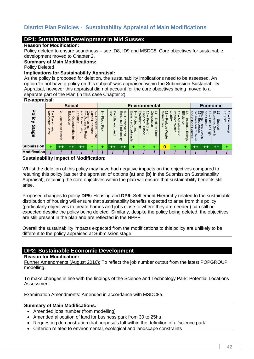# <span id="page-43-0"></span>**District Plan Policies - Sustainability Appraisal of Main Modifications**

#### **DP1: Sustainable Development in Mid Sussex**

#### **Reason for Modification:**

Policy deleted to ensure soundness – see ID8, ID9 and MSDC8. Core objectives for sustainable development moved to Chapter 2.

#### **Summary of Main Modifications:**

Policy Deleted

#### **Implications for Sustainability Appraisal:**

As the policy is proposed for deletion, the sustainability implications need to be assessed. An option 'to not have a policy on this subject' was appraised within the Submission Sustainability Appraisal, however this appraisal did not account for the core objectives being moved to a separate part of the Plan (in this case Chapter 2).

#### **Re-appraisal:**

| $\cdots$ $\cdots$ $\cdots$                         |                                                         |                                          |                                                                  |                                                                            |                                                                                                     |                                  |                                                    |                                                                         |                                                                                         |                                                                                                   |                                              |                                                    |                                                                          |                                                    |                                                                       |                                                               |                                                    |                                   |
|----------------------------------------------------|---------------------------------------------------------|------------------------------------------|------------------------------------------------------------------|----------------------------------------------------------------------------|-----------------------------------------------------------------------------------------------------|----------------------------------|----------------------------------------------------|-------------------------------------------------------------------------|-----------------------------------------------------------------------------------------|---------------------------------------------------------------------------------------------------|----------------------------------------------|----------------------------------------------------|--------------------------------------------------------------------------|----------------------------------------------------|-----------------------------------------------------------------------|---------------------------------------------------------------|----------------------------------------------------|-----------------------------------|
|                                                    |                                                         |                                          | <b>Social</b>                                                    |                                                                            |                                                                                                     |                                  |                                                    |                                                                         | <b>Environmental</b>                                                                    |                                                                                                   |                                              |                                                    |                                                                          |                                                    |                                                                       | <b>Economic</b>                                               |                                                    |                                   |
| ᠊ᢦ<br><b>Olicy</b><br><b>Stage</b>                 | $\ddot{=}$<br>੮<br><b>rdable</b><br>ecent<br>and<br>ome | $\mathbf{v}$<br>Access<br>៩<br>동<br>sith | ω<br>$\blacksquare$<br>ducation<br>ਰ<br>Ō<br>ğ<br>unities<br>tor | and<br>⊤<br>၉<br><u>ilities</u><br>o<br>⋚<br>$\overline{\sigma}$<br>Retail | ပာ<br>С<br>$\exists$<br>B<br>Ρ<br><b>ohesive</b><br><u>untie</u><br>∼<br>ወ<br><b>istant</b><br>Safe | ၜ<br><b>Flood</b><br><b>Risk</b> | ⊂<br>↘<br>8e<br>Efficient<br>$\overline{ }$<br>and | $m$ $\infty$<br>nhance<br>SUC<br>ወ<br>Biodiv<br>ℸ<br>Ø<br>and<br>ersity | అ<br>ш<br>コ<br>ᠴ<br>ω<br>aio<br>C<br>Φ<br>and<br>∍<br><b>SO</b><br><u>ۃ</u><br>$\sigma$ | IП<br>п<br>∸<br>0<br>릉<br>E<br>anc<br>um<br>Lote<br>መ<br>ēu<br>흢<br>$\rightarrow$<br>and<br>ipric | Congestion<br>⇉<br>Redu<br>ခွ<br><b>Road</b> | Gel<br>ಸ<br>neration<br>Reduc<br>Ô<br><b>Waste</b> | p<br>З<br>ਹ<br>Ē<br><b>Maintain</b><br>$\overline{0}$<br>ଽ<br>ate<br>and | Effic<br>₹<br>Φ<br>ncreas<br>Ξ<br>Ω<br>Ō<br>Energy | rege<br>调<br>B<br>oitei<br>ane<br>ດາ<br><b>Bat</b><br>Չ<br>Ϊes<br>SNO | and<br>ಪ<br>Stable<br>Ensure<br>/ment<br>Нğh<br>Levels<br>Uge | ᇚ<br>⇉<br>omic<br>ဖ<br>흉<br>⋒<br>$\circ$<br>⊐<br>Ř | $18 - 1$<br>isn<br>Encou<br>rrage |
| <b>Submission</b>                                  | ÷                                                       | ++                                       | $++$                                                             | $^{\tiny{++}}$                                                             | ٠                                                                                                   |                                  | $^{\rm ++}$                                        | $++$                                                                    | ÷                                                                                       |                                                                                                   |                                              | 0                                                  |                                                                          |                                                    | $^{\tiny{++}}$                                                        | $++$                                                          | $^{\tiny{++}}$                                     |                                   |
| <b>Modification</b>                                |                                                         |                                          |                                                                  |                                                                            |                                                                                                     |                                  |                                                    |                                                                         |                                                                                         |                                                                                                   |                                              |                                                    |                                                                          |                                                    |                                                                       |                                                               |                                                    |                                   |
| $\overline{\phantom{a}}$<br>$\mathbf{r}$<br>$\sim$ | .                                                       |                                          | . .                                                              | .                                                                          |                                                                                                     |                                  |                                                    |                                                                         |                                                                                         |                                                                                                   |                                              |                                                    |                                                                          |                                                    |                                                                       |                                                               |                                                    |                                   |

#### **Sustainability Impact of Modification:**

Whilst the deletion of this policy may have had negative impacts on the objectives compared to retaining this policy (as per the appraisal of options **(a)** and **(b)** in the Submission Sustainability Appraisal), retaining the core objectives within the plan will ensure that sustainability benefits still arise.

Proposed changes to policy **DP5:** Housing and **DP6:** Settlement Hierarchy related to the sustainable distribution of housing will ensure that sustainability benefits expected to arise from this policy (particularly objectives to create homes and jobs close to where they are needed) can still be expected despite the policy being deleted. Similarly, despite the policy being deleted, the objectives are still present in the plan and are reflected in the NPPF.

Overall the sustainability impacts expected from the modifications to this policy are unlikely to be different to the policy appraised at Submission stage.

### **DP2: Sustainable Economic Development**

#### **Reason for Modification:**

Further Amendments (August 2016): To reflect the job number output from the latest POPGROUP modelling.

To make changes in line with the findings of the Science and Technology Park: Potential Locations Assessment

Examination Amendments: Amended in accordance with MSDC8a.

#### **Summary of Main Modifications:**

- Amended jobs number (from modelling)
- Amended allocation of land for business park from 30 to 25ha
- Requesting demonstration that proposals fall within the definition of a 'science park'
- Criterion related to environmental, ecological and landscape constraints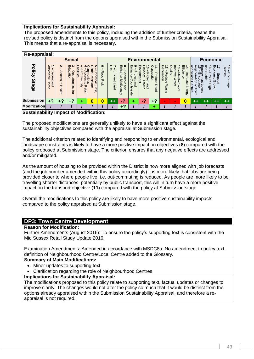### **Implications for Sustainability Appraisal:**

The proposed amendments to this policy, including the addition of further criteria, means the revised policy is distinct from the options appraised within the Submission Sustainability Appraisal. This means that a re-appraisal is necessary.

# **Re-appraisal:**

| ne-applaisai.                 |                                            |                            |                                                                  |                                                                                            |                                                     |                           |                                  |                                                                                         |                                                      |                                                                                            |                                   |                                        |                                                                 |                                               |                                                            |                                                                                                |                                          |                          |
|-------------------------------|--------------------------------------------|----------------------------|------------------------------------------------------------------|--------------------------------------------------------------------------------------------|-----------------------------------------------------|---------------------------|----------------------------------|-----------------------------------------------------------------------------------------|------------------------------------------------------|--------------------------------------------------------------------------------------------|-----------------------------------|----------------------------------------|-----------------------------------------------------------------|-----------------------------------------------|------------------------------------------------------------|------------------------------------------------------------------------------------------------|------------------------------------------|--------------------------|
|                               |                                            |                            | <b>Social</b>                                                    |                                                                                            |                                                     |                           |                                  |                                                                                         |                                                      | <b>Environmental</b>                                                                       |                                   |                                        |                                                                 |                                               |                                                            | Economic                                                                                       |                                          |                          |
| <b>Policy</b><br><b>Stage</b> | <b>Affordable</b><br>Decent<br>Home<br>and | Z<br>Access<br>đ<br>Health | ల<br>$\blacksquare$<br>idus<br>B<br>Opportunities<br>ation<br>ţa | and<br><b>Facilities</b><br><b>Communities</b><br>- Access to<br>unmo:<br>kinity<br>Retail | ⌒<br>c<br>ime<br>Cohesive,<br>Resista<br>⊒<br>Safe, | ග<br><b>Flood</b><br>Risk | ∼<br>ΘS<br>Efficient<br>┍<br>and | $\infty$<br>$\blacksquare$<br>nhance<br>Conser<br>Bio<br>င်္ဂ<br>diver:<br>and<br>kijs. | ဖ<br>Enhance<br>Prote<br>σ<br>O<br>ountryside<br>and | Enhance<br>Environment<br>⋍<br>c<br>᠊ᠣ<br>Totec<br><b>Historic</b><br>$\rightarrow$<br>and | Congestion<br>÷<br>Reduce<br>Road | Generation<br>ನ<br>Reduce<br>ଽ<br>aste | Quality<br>lmpr<br>OVG<br><b>Maintain</b><br><b>Wate</b><br>Bup | ž,<br>Efficiency<br>Increase<br><b>Energy</b> | and<br>regeneration<br>village<br>r<br>Centres<br>윽<br>OWN | and<br><u>Employment Le</u><br>15 – Encourage<br>ಹ<br><b>Stable</b><br>Ensure<br>High<br>evels | Econ<br>゠<br>omic<br>ddnS<br>Growth<br>Š | ಕ ಕ<br>nism<br>Encourage |
| Submission                    | +?                                         | $+?$                       | $+?$                                                             |                                                                                            | O                                                   | 0                         | $+ +$                            | $\sim$<br>- 1                                                                           |                                                      | G                                                                                          | $+?$                              | $\sim$                                 | $\sim$                                                          | 0                                             | $^{\rm ++}$                                                | $++$                                                                                           | $++$                                     | $++$                     |
| Modification                  |                                            |                            |                                                                  |                                                                                            |                                                     |                           |                                  | $+?$                                                                                    |                                                      |                                                                                            |                                   |                                        |                                                                 |                                               |                                                            |                                                                                                |                                          |                          |

#### **Sustainability Impact of Modification:**

The proposed modifications are generally unlikely to have a significant effect against the sustainability objectives compared with the appraisal at Submission stage.

The additional criterion related to identifying and responding to environmental, ecological and landscape constraints is likely to have a more positive impact on objectives (**8**) compared with the policy proposed at Submission stage. The criterion ensures that any negative effects are addressed and/or mitigated.

As the amount of housing to be provided within the District is now more aligned with job forecasts (and the job number amended within this policy accordingly) it is more likely that jobs are being provided closer to where people live, i.e. out-commuting is reduced. As people are more likely to be travelling shorter distances, potentially by public transport, this will in turn have a more positive impact on the transport objective (**11**) compared with the policy at Submission stage.

Overall the modifications to this policy are likely to have more positive sustainability impacts compared to the policy appraised at Submission stage.

# **DP3: Town Centre Development**

**Reason for Modification:**

Further Amendments (August 2016): To ensure the policy's supporting text is consistent with the Mid Sussex Retail Study Update 2016.

Examination Amendments: Amended in accordance with MSDC8a. No amendment to policy text definition of Neighbourhood Centre/Local Centre added to the Glossary.

### **Summary of Main Modifications:**

- Minor updates to supporting text
- Clarification regarding the role of Neighbourhood Centres

#### **Implications for Sustainability Appraisal:**

The modifications proposed to this policy relate to supporting text, factual updates or changes to improve clarity. The changes would not alter the policy so much that it would be distinct from the options already appraised within the Submission Sustainability Appraisal, and therefore a reappraisal is not required.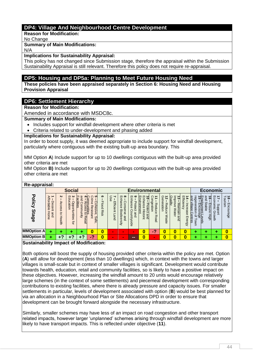# **DP4: Village And Neighbourhood Centre Development**

**Reason for Modification:**

No Change

#### **Summary of Main Modifications:**

N/A

### **Implications for Sustainability Appraisal:**

This policy has not changed since Submission stage, therefore the appraisal within the Submission Sustainability Appraisal is still relevant. Therefore this policy does not require re-appraisal.

### **DP5: Housing and DP5a: Planning to Meet Future Housing Need**

**These policies have been appraised separately in Section 6: Housing Need and Housing Provision Appraisal**

### **DP6: Settlement Hierarchy**

**Reason for Modification:**

Amended in accordance with MSDC8c.

**Summary of Main Modifications:**

- Includes support for windfall development where other criteria is met
- Criteria related to under-development and phasing added

#### **Implications for Sustainability Appraisal:**

In order to boost supply, it was deemed appropriate to include support for windfall development, particularly where contiguous with the existing built-up area boundary. This

MM Option **A**) Include support for up to 10 dwellings contiguous with the built-up area provided other criteria are met

MM Option **B)** Include support for up to 20 dwellings contiguous with the built-up area provided other criteria are met

| Re-appraisal:                 |                                     |                                                             |                                                         |                                                     |                                                                                                            |                                  |                                                |                                                                      |                                                                                             |                                                                     |                                   |                                           |                                                               |                                       |                                                              |                                                                                              |                                 |                                                              |
|-------------------------------|-------------------------------------|-------------------------------------------------------------|---------------------------------------------------------|-----------------------------------------------------|------------------------------------------------------------------------------------------------------------|----------------------------------|------------------------------------------------|----------------------------------------------------------------------|---------------------------------------------------------------------------------------------|---------------------------------------------------------------------|-----------------------------------|-------------------------------------------|---------------------------------------------------------------|---------------------------------------|--------------------------------------------------------------|----------------------------------------------------------------------------------------------|---------------------------------|--------------------------------------------------------------|
|                               |                                     |                                                             | <b>Social</b>                                           |                                                     |                                                                                                            |                                  |                                                |                                                                      | <b>Environmental</b>                                                                        |                                                                     |                                   |                                           |                                                               |                                       |                                                              | <b>Economic</b>                                                                              |                                 |                                                              |
| <b>Policy</b><br><b>Stage</b> | Affordable<br>Decent<br>Home<br>and | $\boldsymbol{\kappa}$<br>Access<br>$\vec{c}$<br>H<br>lealth | ల<br>$\blacksquare$<br>ducation<br>Opportunities<br>tor | and<br>╖<br>acilities<br>$\overline{C}$<br>ommunity | ပၢ<br>ommunities<br>Ë.<br>Cohesive,<br>ወ<br>ద<br>င္က်<br>esistant<br>တွ<br>ಕ<br><b>Retail</b><br>S<br>afe, | ၜ<br><b>Flood</b><br><b>Risk</b> | Use<br>↘<br>Efficient<br>$\overline{ }$<br>and | $m$ $\infty$<br>nhance<br>Cons<br>erve<br><b>Biodiversity</b><br>and | $\circ$<br>$\blacksquare$<br>nhanc<br>᠊ᠣ<br>Tote<br>$\sigma$<br>σ<br>റ<br>ountryside<br>and | m<br>ш<br>0<br>nhance<br>nvironment<br>Protect<br>동<br>toric<br>and | Congestion<br>∸<br>Reduce<br>Road | Generation<br>ಸ<br>Reduce<br><b>Waste</b> | lmpr<br>Quality<br>ದ<br>OVG<br>Maintain<br><b>Wate</b><br>and | 7<br>Efficiency<br>Increase<br>Energy | rege<br>and village<br>peration<br>entres<br>$\Omega$<br>OWN | and<br>Employment<br>15 – Encour<br>ᅙ<br>Stable<br>Ensure<br>t <u>Levels</u><br>rage<br>High | Economic<br>ddns<br>Growth<br>Ō | $\overline{\phantom{0}}$<br>$\vec{8}$<br>ourism<br>Encourage |
| <b>MMOption A</b>             |                                     |                                                             |                                                         |                                                     | 0                                                                                                          | 0                                | $\sim$                                         | $\mathbf{r}$                                                         | $\sim$                                                                                      | 0                                                                   | 47                                | 0                                         | 0                                                             | 0                                     |                                                              |                                                                                              |                                 | 0                                                            |
| <b>MMOption B</b>             |                                     | +?                                                          | $+2$                                                    | $+?$                                                | 47                                                                                                         | 0                                | $\sim$                                         | $\sim$                                                               | --                                                                                          |                                                                     | $\mathbf{r}$                      | 0                                         | $\bf{0}$                                                      | 0                                     |                                                              |                                                                                              |                                 | $\overline{\mathbf{0}}$                                      |
| Orrestato alcilitar logo a    |                                     |                                                             |                                                         |                                                     | $\sim$ f Max different and                                                                                 |                                  |                                                |                                                                      |                                                                                             |                                                                     |                                   |                                           |                                                               |                                       |                                                              |                                                                                              |                                 |                                                              |

#### **Sustainability Impact of Modification:**

Both options will boost the supply of housing provided other criteria within the policy are met. Option (**A**) will allow for development (less than 10 dwellings) which, in context with the towns and larger villages is small-scale but in context of smaller villages is significant. Development would contribute towards health, education, retail and community facilities, so is likely to have a positive impact on these objectives. However, increasing the windfall amount to 20 units would encourage relatively large schemes (in the context of some settlements) and piecemeal development with corresponding contributions to existing facilities, where there is already pressure and capacity issues. For smaller settlements in particular, levels of development associated with option (**B**) would be best planned for via an allocation in a Neighbourhood Plan or Site Allocations DPD in order to ensure that development can be brought forward alongside the necessary infrastructure.

Similarly, smaller schemes may have less of an impact on road congestion and other transport related impacts, however larger 'unplanned' schemes arising through windfall development are more likely to have transport impacts. This is reflected under objective (**11**).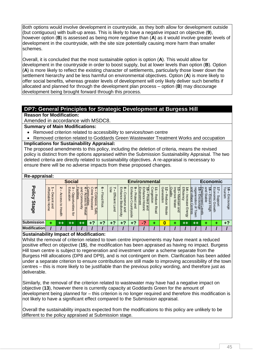Both options would involve development in countryside, as they both allow for development outside (but contiguous) with built-up areas. This is likely to have a negative impact on objective (**9**), however option (**B**) is assessed as being more negative than (**A**) as it would involve greater levels of development in the countryside, with the site size potentially causing more harm than smaller schemes.

Overall, it is concluded that the most sustainable option is option (**A**). This would allow for development in the countryside in order to boost supply, but at lower levels than option (**B**). Option (**A**) is more likely to reflect the existing character of settlements, particularly those lower down the settlement hierarchy and be less harmful on environmental objectives. Option (**A**) is more likely to offer social benefits, whereas greater levels of development will only likely deliver such benefits if allocated and planned for through the development plan process – option (**B**) may discourage development being brought forward through this process.

# **DP7: General Principles for Strategic Development at Burgess Hill**

**Reason for Modification:**

Amended in accordance with MSDC8.

**Summary of Main Modifications:**

- Removed criterion related to accessibility to services/town centre
- Removed criterion related to Goddards Green Wastewater Treatment Works and occupation **Implications for Sustainability Appraisal:**

The proposed amendments to this policy, including the deletion of criteria, means the revised policy is distinct from the options appraised within the Submission Sustainability Appraisal. The two deleted criteria are directly related to sustainability objectives. A re-appraisal is necessary to ensure there will be no adverse impacts from these proposed changes.

| Re-appraisal:                 |                                            |                                   |                                                                       |                                                     |                                                                                              |                                  |                       |                                                                                                               |                                                                                     |                                                                                         |                                                   |                                                   |                                                                       |                                                       |                                                                                    |                                                                   |                                                        |                                       |
|-------------------------------|--------------------------------------------|-----------------------------------|-----------------------------------------------------------------------|-----------------------------------------------------|----------------------------------------------------------------------------------------------|----------------------------------|-----------------------|---------------------------------------------------------------------------------------------------------------|-------------------------------------------------------------------------------------|-----------------------------------------------------------------------------------------|---------------------------------------------------|---------------------------------------------------|-----------------------------------------------------------------------|-------------------------------------------------------|------------------------------------------------------------------------------------|-------------------------------------------------------------------|--------------------------------------------------------|---------------------------------------|
|                               |                                            |                                   | <b>Social</b>                                                         |                                                     |                                                                                              |                                  |                       |                                                                                                               |                                                                                     | <b>Environmental</b>                                                                    |                                                   |                                                   |                                                                       |                                                       |                                                                                    | <b>Economic</b>                                                   |                                                        |                                       |
| <b>Policy</b><br><b>Stage</b> | <b>Affordable</b><br>Decent<br>Home<br>and | Z<br>Access<br>ಕ<br><b>Health</b> | $\omega$<br>$\blacksquare$<br>ducation<br><b>Opportunities</b><br>tor | and<br>acilities<br>unmo:<br>unity<br><b>Retail</b> | ъ<br>g<br>₹<br>Ē<br>ohesive<br>Ã<br>unities<br>Φ<br>istal<br>ಕ<br>$\cdot$<br>$\omega$<br>eje | ග<br><b>Flood</b><br><b>Risk</b> | 8<br>Efficient<br>and | $\infty$<br>$\mathsf{m}$<br>Ë,<br>С<br>ance<br>suo <sup>-</sup><br>읙<br><b>Biodivel</b><br>Φ<br>pue<br>5<br>ā | ဖ<br>$\blacksquare$<br>록<br>ğ<br>᠊ᠣ<br>rote<br>ဥ<br>$\Omega$<br>and<br>Ě<br>≌.<br>ā | m<br>ш<br>ᇹ<br>nvironment<br>콩<br>lance<br>notect<br>Ηs<br>$\rightarrow$<br>and<br>oric | ငွ<br>န္<br>る<br>stion<br>ğuo<br>Φ<br><b>Road</b> | Generation<br>ಸ<br>Reduc<br>$\sigma$<br>ଽ<br>aste | Quality<br>$\overline{3}$<br>흑<br>laintain<br>$\sigma$<br>Wate<br>gnd | Effici<br><b>ency</b><br>ncreas<br>Ō<br><b>Energy</b> | and<br>rege<br>village<br>uco<br>ratio<br>nrage<br>entres<br>$\overline{a}$<br>OWN | and<br>ゅ<br>ವ<br>Stable<br>ovment<br>∍<br>S<br>Φ<br>High<br>evels | ₹<br>Economic<br>ddn <sub>S</sub><br>Growth<br>$\circ$ | $\vec{8}$<br>Tourism<br>Enco<br>nuage |
| <b>Submission</b>             | ۰                                          | $^{\rm ++}$                       | ++                                                                    | $^{\rm ++}$                                         | +?                                                                                           | +?                               | +?                    | +?                                                                                                            | +?                                                                                  | 47                                                                                      |                                                   | 0                                                 | ٠                                                                     | $^{\rm ++}$                                           | $++$                                                                               | ٠                                                                 |                                                        | $+?$                                  |
| <b>Modification</b>           |                                            |                                   |                                                                       |                                                     |                                                                                              |                                  |                       |                                                                                                               |                                                                                     |                                                                                         |                                                   |                                                   |                                                                       |                                                       |                                                                                    |                                                                   |                                                        |                                       |
| $\sim$<br>$\blacksquare$      |                                            |                                   | $\overline{\phantom{a}}$                                              |                                                     | $\cdots$<br>$\sim$ 10 $\,$                                                                   |                                  |                       |                                                                                                               |                                                                                     |                                                                                         |                                                   |                                                   |                                                                       |                                                       |                                                                                    |                                                                   |                                                        |                                       |

### **Sustainability Impact of Modification:**

Whilst the removal of criterion related to town centre improvements may have meant a reduced positive effect on objective (**15**), the modification has been appraised as having no impact. Burgess Hill town centre is subject to regeneration and investment under a scheme separate from the Burgess Hill allocations (DP8 and DP9), and is not contingent on them. Clarification has been added under a separate criterion to ensure contributions are still made to improving accessibility of the town centres – this is more likely to be justifiable than the previous policy wording, and therefore just as deliverable.

Similarly, the removal of the criterion related to wastewater may have had a negative impact on objective (**13**), however there is currently capacity at Goddards Green for the amount of development being planned for – this criterion is no longer required and therefore this modification is not likely to have a significant effect compared to the Submission appraisal.

Overall the sustainability impacts expected from the modifications to this policy are unlikely to be different to the policy appraised at Submission stage.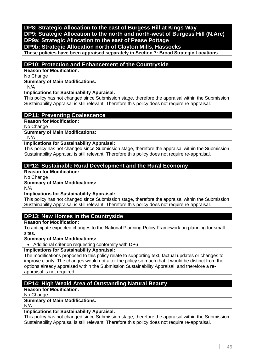# **DP8: Strategic Allocation to the east of Burgess Hill at Kings Way DP9: Strategic Allocation to the north and north-west of Burgess Hill (N.Arc) DP9a: Strategic Allocation to the east of Pease Pottage DP9b: Strategic Allocation north of Clayton Mills, Hassocks**

**These policies have been appraised separately in Section 7: Broad Strategic Locations**

### **DP10: Protection and Enhancement of the Countryside**

**Reason for Modification:**

No Change

**Summary of Main Modifications:**

N/A

#### **Implications for Sustainability Appraisal:**

This policy has not changed since Submission stage, therefore the appraisal within the Submission Sustainability Appraisal is still relevant. Therefore this policy does not require re-appraisal.

### **DP11: Preventing Coalescence**

**Reason for Modification:**

No Change

**Summary of Main Modifications:**

N/A

### **Implications for Sustainability Appraisal:**

This policy has not changed since Submission stage, therefore the appraisal within the Submission Sustainability Appraisal is still relevant. Therefore this policy does not require re-appraisal.

# **DP12: Sustainable Rural Development and the Rural Economy**

**Reason for Modification:**

No Change

#### **Summary of Main Modifications:**

N/A

#### **Implications for Sustainability Appraisal:**

This policy has not changed since Submission stage, therefore the appraisal within the Submission Sustainability Appraisal is still relevant. Therefore this policy does not require re-appraisal.

### **DP13: New Homes in the Countryside**

**Reason for Modification:**

To anticipate expected changes to the National Planning Policy Framework on planning for small sites.

**Summary of Main Modifications:**

Additional criterion requesting conformity with DP6

**Implications for Sustainability Appraisal:**

The modifications proposed to this policy relate to supporting text, factual updates or changes to improve clarity. The changes would not alter the policy so much that it would be distinct from the options already appraised within the Submission Sustainability Appraisal, and therefore a reappraisal is not required.

# **DP14: High Weald Area of Outstanding Natural Beauty**

**Reason for Modification:**

No Change

#### **Summary of Main Modifications:**

N/A

### **Implications for Sustainability Appraisal:**

This policy has not changed since Submission stage, therefore the appraisal within the Submission Sustainability Appraisal is still relevant. Therefore this policy does not require re-appraisal.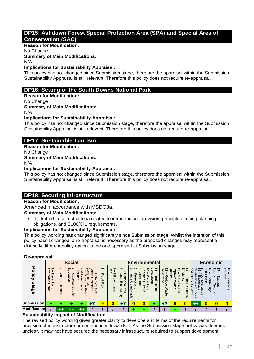# **DP15: Ashdown Forest Special Protection Area (SPA) and Special Area of Conservation (SAC)**

**Reason for Modification:**

No Change

#### **Summary of Main Modifications:**

N/A

#### **Implications for Sustainability Appraisal:**

This policy has not changed since Submission stage, therefore the appraisal within the Submission Sustainability Appraisal is still relevant. Therefore this policy does not require re-appraisal.

# **DP16: Setting of the South Downs National Park**

**Reason for Modification:**

No Change

### **Summary of Main Modifications:**

N/A

### **Implications for Sustainability Appraisal:**

This policy has not changed since Submission stage, therefore the appraisal within the Submission Sustainability Appraisal is still relevant. Therefore this policy does not require re-appraisal.

# **DP17: Sustainable Tourism**

**Reason for Modification:**

No Change

# **Summary of Main Modifications:**

N/A

### **Implications for Sustainability Appraisal:**

This policy has not changed since Submission stage, therefore the appraisal within the Submission Sustainability Appraisal is still relevant. Therefore this policy does not require re-appraisal.

# **DP18: Securing Infrastructure**

**Reason for Modification:**

Amended in accordance with MSDC8a.

### **Summary of Main Modifications:**

• Redrafted to set out criteria related to infrastructure provision, principle of using planning obligations, and S106/CIL requirements.

# **Implications for Sustainability Appraisal:**

This policy wording has changed significantly since Submission stage. Whilst the intention of this policy hasn't changed, a re-appraisal is necessary as the proposed changes may represent a distinctly different policy option to the one appraised at Submission stage.

### **Re-appraisal:**

|                             |                                                                      |                                    | <b>Social</b>                                                       |                                                                               |                                                                                                                                           |                        |                            |                                                                                         |                                                                                           | <b>Environmental</b>                                                                                                                      |                                                                      |                                       |                                                                                    |                                               |                                                          | Economic                                                                                    |                                                                       |                                        |
|-----------------------------|----------------------------------------------------------------------|------------------------------------|---------------------------------------------------------------------|-------------------------------------------------------------------------------|-------------------------------------------------------------------------------------------------------------------------------------------|------------------------|----------------------------|-----------------------------------------------------------------------------------------|-------------------------------------------------------------------------------------------|-------------------------------------------------------------------------------------------------------------------------------------------|----------------------------------------------------------------------|---------------------------------------|------------------------------------------------------------------------------------|-----------------------------------------------|----------------------------------------------------------|---------------------------------------------------------------------------------------------|-----------------------------------------------------------------------|----------------------------------------|
| ᠊ᡆ<br>olicy<br><b>Stage</b> | ⋗<br>≒<br>ă<br>eldab <sup>-</sup><br>ecent<br>Hom<br>and<br>$\sigma$ | N<br>Access<br>$\vec{o}$<br>lealth | $\boldsymbol{\omega}$<br>m<br>$\Omega$<br>atio<br>pportunities<br>đ | ω<br>ā<br>၉<br><b>ilities</b><br>б<br>amm<br>ces<br>Ō<br>anity<br>ฮ<br>Retail | ∼ר<br>ပၢ<br>g<br>ą<br>munities<br>$\sigma$<br>Ò<br>hesive<br>观<br>$\sigma$<br>m<br>Ω.<br>$\overline{\omega}$<br>$\cdot$<br>Б<br>S<br>afe, | ၜ<br>끄<br>pool<br>Risk | 8<br>Efficient<br>–<br>and | $m$ $\infty$<br>Ë,<br>ø<br>C<br>mce<br>ons<br>₽<br>ᡂ<br>ilodiv<br>Φ<br>gind<br>ers<br>Ξ | ഄ<br>m<br>킁<br>anc<br>᠊ᠣ<br>ote<br>$\sigma$<br>요<br>O<br>$\omega$<br>Nuun<br>ā<br>ഇ.<br>ā | lШ<br>ш<br>₽<br>링<br>c<br>ø<br>ronment<br>ā<br>g<br>$\sigma$<br>6G<br>$\frac{4}{10}$<br>$\overline{\phantom{0}}$<br>ä.<br>and<br>$\Omega$ | O<br>Ò<br><b>G</b><br>观<br><b>Stion</b><br>$\sigma$<br>aduce<br>Road | Generation<br>ಸ<br>Reduce<br>≲<br>ase | Quality<br>Ξ<br>흑<br>ଚି<br>$\omega$<br><b>Wate</b><br>亘<br>¬<br>-<br>Θ<br>$\Omega$ | 띷<br>∸<br>ienc<br>cre<br>ese<br><b>Energy</b> | and<br>Leg<br>village<br>aje<br>Si<br>age<br>entres<br>Š | and<br>ಕ<br>9일<br>10<br>Stable<br>Encoura<br>Encoura<br>П<br>∍<br>šμ<br>Φ<br>Нigh<br>Levels | Econ<br>ミ<br>olmic<br>ddns<br>⋒<br>0<br>$\overline{a}$<br>ā<br>m<br>E | $\frac{1}{5}$<br>ξ<br>isn<br>Encourage |
| <b>Submission</b>           |                                                                      |                                    |                                                                     |                                                                               | c                                                                                                                                         | 0                      | 0                          | $+2$                                                                                    | 0                                                                                         |                                                                                                                                           |                                                                      | o<br>т.                               | U                                                                                  | 0                                             | $+ +$                                                    | 0                                                                                           |                                                                       |                                        |
| <b>Modification</b>         |                                                                      | $^{\rm ++}$                        | $+ +$                                                               |                                                                               |                                                                                                                                           |                        |                            |                                                                                         |                                                                                           |                                                                                                                                           |                                                                      |                                       |                                                                                    |                                               |                                                          |                                                                                             |                                                                       |                                        |

# **Sustainability Impact of Modification:**

The revised policy wording gives greater clarity to developers in terms of the requirements for provision of infrastructure or contributions towards it. As the Submission stage policy was deemed unclear, it may not have secured the necessary infrastructure required to support development.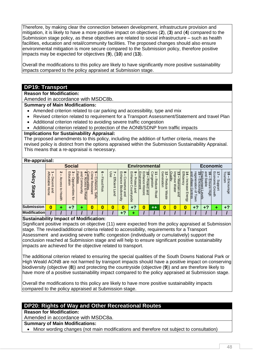Therefore, by making clear the connection between development, infrastructure provision and mitigation, it is likely to have a more positive impact on objectives (**2**), (**3**) and (**4**) compared to the Submission stage policy, as these objectives are related to social infrastructure – such as health facilities, education and retail/community facilities. The proposed changes should also ensure environmental mitigation is more secure compared to the Submission policy, therefore positive impacts may be expected for objectives (**9**), (**10**) and (**13**).

Overall the modifications to this policy are likely to have significantly more positive sustainability impacts compared to the policy appraised at Submission stage.

# **DP19: Transport**

**Reason for Modification:**

Amended in accordance with MSDC8b.

**Summary of Main Modifications:**

- Amended criterion related to car parking and accessibility, type and mix
- Revised criterion related to requirement for a Transport Assessment/Statement and travel Plan
- Additional criterion related to avoiding severe traffic congestion
- Additional criterion related to protection of the AONB/SDNP from traffic impacts

#### **Implications for Sustainability Appraisal:**

The proposed amendments to this policy, including the addition of further criteria, means the revised policy is distinct from the options appraised within the Submission Sustainability Appraisal. This means that a re-appraisal is necessary.

#### **Re-appraisal:**

| $\cdots$ $\cdots$ $\cdots$         |                                                                       |                                      |                                                                      |                                                |                                                                         |                                  |                                                              |                                                                                 |                                                                                                                    |                                                                                                                 |                                                  |                                            |                                                                |                                                  |                                                                                      |                                                                               |                                                   |                                  |
|------------------------------------|-----------------------------------------------------------------------|--------------------------------------|----------------------------------------------------------------------|------------------------------------------------|-------------------------------------------------------------------------|----------------------------------|--------------------------------------------------------------|---------------------------------------------------------------------------------|--------------------------------------------------------------------------------------------------------------------|-----------------------------------------------------------------------------------------------------------------|--------------------------------------------------|--------------------------------------------|----------------------------------------------------------------|--------------------------------------------------|--------------------------------------------------------------------------------------|-------------------------------------------------------------------------------|---------------------------------------------------|----------------------------------|
|                                    |                                                                       |                                      | <b>Social</b>                                                        |                                                |                                                                         |                                  |                                                              |                                                                                 | <b>Environmental</b>                                                                                               |                                                                                                                 |                                                  |                                            |                                                                |                                                  |                                                                                      | Economic                                                                      |                                                   |                                  |
| ᠊ᠣ<br><b>olicy</b><br><b>Stage</b> | ъ<br>⇉<br>o<br>੮<br>rdable<br>Œ<br>Č<br>ënt<br>Hom<br>and<br>$\sigma$ | N<br>⋗<br>ccess<br>ฮ<br>᠗<br>قع<br>1 | ന ധ<br>Q<br>ਨੋ<br>≌<br>8<br>$\bar{9}$<br>Ō<br>⊐<br>inities<br>÷<br>ă | gnc<br>lities<br>⋾<br>$\bigcap$<br>₹<br>Retail | c<br>Cohesive<br>ō<br>.E<br>õ<br>Ξ<br>m<br>ø<br>ឆ<br>÷<br>$\Xi$<br>Safe | ග<br><b>Flood</b><br><b>Risk</b> | ⊂<br>∼<br>ΘS<br>Efficient<br>$\overline{ }$<br>ë<br>$\Omega$ | $\infty$<br>т<br>Ę<br>lance<br>ons<br>ቧ<br>Вio<br>Ø<br>ē,<br>pue<br>ሟ<br>m<br>Ē | $\circ$<br>$^{\top}$<br>$\omega$<br><u>ခု</u><br>C<br>Œ<br>$\circ$<br>$\omega$<br>$\overline{5}$<br>ર્જ<br>÷.<br>ဥ | $\blacksquare$<br>Ш<br>ត<br>っ<br>Ь<br>ance<br><u>onment</u><br>rote<br>ဂ<br>一.<br>$\rightarrow$<br>toric<br>and | Ó<br><b>G</b><br>观<br>educ<br>stion<br>Õ<br>Road | Gener<br>ಸ<br>Reduce<br>uoie.<br>ଽ<br>aste | Ql<br>Е<br>ਹ<br>lality<br>శ<br>ಪ<br>aintain<br>ଽ<br>ate<br>Bup | Effic<br>Φ<br>LC.<br>pre<br>äSe<br><b>Energy</b> | rege<br><b>BD</b><br><u>illage</u><br>eratio<br>noou<br>age<br>entres<br>♀<br>ş<br>∃ | and<br>뼓<br>ಹ<br><b>Stabl</b><br>コ<br>men<br>w<br>൹<br>క<br>Φ<br>нğп<br>evels | Бò<br>÷<br>S<br>Ē.<br>C<br>횽<br>G.<br>O<br>5<br>Ř | ರ ಹ<br>₹<br>ism<br>Enco<br>nrage |
| <b>Submission</b>                  | 0                                                                     |                                      | ø                                                                    |                                                |                                                                         |                                  | 0                                                            |                                                                                 | ິ                                                                                                                  |                                                                                                                 | $++$                                             | 0                                          | 0                                                              | 0                                                | ີ                                                                                    | +?                                                                            |                                                   | $\overline{17}$                  |
| <b>Modification</b>                |                                                                       |                                      |                                                                      |                                                |                                                                         |                                  |                                                              | +?                                                                              |                                                                                                                    |                                                                                                                 |                                                  |                                            |                                                                |                                                  |                                                                                      |                                                                               |                                                   |                                  |

#### **Sustainability Impact of Modification:**

Significant positive impacts on objective (11) were expected from the policy appraised at Submission stage. The revised/additional criteria related to accessibility, requirements for a Transport Assessment and avoiding severe traffic congestion (individually or cumulatively) support the conclusion reached at Submission stage and will help to ensure significant positive sustainability impacts are achieved for the objective related to transport.

The additional criterion related to ensuring the special qualities of the South Downs National Park or High Weald AONB are not harmed by transport impacts should have a positive impact on conserving biodiversity (objective (**8**)) and protecting the countryside (objective (**9**)) and are therefore likely to have more of a positive sustainability impact compared to the policy appraised at Submission stage.

Overall the modifications to this policy are likely to have more positive sustainability impacts compared to the policy appraised at Submission stage.

# **DP20: Rights of Way and Other Recreational Routes**

**Reason for Modification:**

Amended in accordance with MSDC8a.

**Summary of Main Modifications:**

• Minor wording changes (not main modifications and therefore not subject to consultation)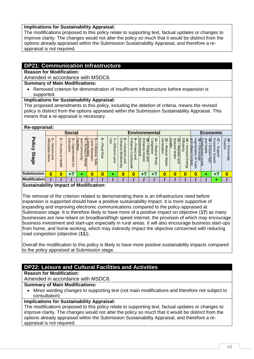### **Implications for Sustainability Appraisal:**

The modifications proposed to this policy relate to supporting text, factual updates or changes to improve clarity. The changes would not alter the policy so much that it would be distinct from the options already appraised within the Submission Sustainability Appraisal, and therefore a reappraisal is not required.

# **DP21: Communication Infrastructure**

**Reason for Modification:**

Amended in accordance with MSDC8.

# **Summary of Main Modifications:**

 Removed criterion for demonstration of insufficient infrastructure before expansion is supported.

#### **Implications for Sustainability Appraisal:**

The proposed amendments to this policy, including the deletion of criteria, means the revised policy is distinct from the options appraised within the Submission Sustainability Appraisal. This means that a re-appraisal is necessary.

| Re-appraisal:                 |                                     |                                 |                                                           |                                                                                     |                                                                                    |                           |                                  |                                                                                                          |                                                                               |                                                                                                                              |                                              |                                           |                                                                                              |                                                           |                                                                                                  |                                         |                                                              |                                  |
|-------------------------------|-------------------------------------|---------------------------------|-----------------------------------------------------------|-------------------------------------------------------------------------------------|------------------------------------------------------------------------------------|---------------------------|----------------------------------|----------------------------------------------------------------------------------------------------------|-------------------------------------------------------------------------------|------------------------------------------------------------------------------------------------------------------------------|----------------------------------------------|-------------------------------------------|----------------------------------------------------------------------------------------------|-----------------------------------------------------------|--------------------------------------------------------------------------------------------------|-----------------------------------------|--------------------------------------------------------------|----------------------------------|
|                               |                                     |                                 | <b>Social</b>                                             |                                                                                     |                                                                                    |                           |                                  |                                                                                                          | <b>Environmental</b>                                                          |                                                                                                                              |                                              |                                           |                                                                                              |                                                           |                                                                                                  |                                         | <b>Economic</b>                                              |                                  |
| <b>Policy</b><br><b>Stage</b> | Affordable<br>Decent<br>Home<br>and | N<br>Access<br>đ<br>H<br>lealth | ω<br>m<br>₽<br>catio<br><b>pportunities</b><br><b>ior</b> | ω<br>$\overline{5}$<br>၉<br>ilities<br>cces<br>ğ<br>з<br>Čή<br>unity<br>៊<br>Retail | ∩<br>ommunities<br>₹<br>ወ<br>Ò<br>hesive<br>观<br>esista<br>$\sim$<br>⋥<br>ഗ<br>eje | ග<br><b>Flood</b><br>Risk | 8e<br>Efficient<br>┍<br>and<br>S | $\infty$<br>$\mathsf{m}$<br>inhance<br>O<br>Suc<br>g<br><b>Biodivers</b><br>$\tilde{\sigma}$<br>and<br>Ë | $\circ$<br>т<br>manc<br>᠊ᠣ<br>rote<br>ወ<br>Ω<br>C<br>ountry<br>and<br>≌.<br>ā | Ш<br>ш<br>-<br>0<br>nvironment<br>$\overline{3}$<br>ъ<br>υ<br>mce<br>Io1<br>Ő<br>listoric<br>$\overline{\phantom{0}}$<br>and | ွ<br>mge<br>观<br>uoins<br>Φ<br>aduce<br>Road | Generation<br>ಸ<br>Reduce<br><b>Waste</b> | Quality<br>$\overline{3}$<br>ພ<br>ਰ੍<br>$\circ$<br>leM<br>శ<br>intain<br><b>Water</b><br>and | Efficiency<br>≠<br>ncre<br>æ<br>$\sigma$<br><b>Energy</b> | and<br>$\frac{2}{15}$<br>rege<br>villaqe<br>Encoura<br>atic<br>t Levels<br>rage<br>entres<br>OWN | and<br>ಕ<br>Stable<br>땈<br>sure<br>Нigh | Economic<br>17<br>ddns<br>⊕<br>Ō<br>$\overline{a}$<br>irowth | 18 – End<br>Tourism<br>Encourage |
| <b>Submission</b>             | 0                                   | 0                               | $+2$                                                      |                                                                                     |                                                                                    | 0                         | ٠                                | 0                                                                                                        | $\boldsymbol{0}$                                                              | +?                                                                                                                           | σ                                            | 0                                         | 0                                                                                            | $\bf{0}$                                                  | 0                                                                                                |                                         | ≏                                                            |                                  |
| <b>Modification</b>           |                                     |                                 |                                                           |                                                                                     |                                                                                    |                           |                                  |                                                                                                          |                                                                               |                                                                                                                              |                                              |                                           |                                                                                              |                                                           |                                                                                                  |                                         |                                                              |                                  |

### **Sustainability Impact of Modification:**

The removal of the criterion related to demonstrating there is an infrastructure need before expansion is supported should have a positive sustainability impact. It is more supportive of expanding and improving electronic communications compared to the policy appraised at Submission stage. It is therefore likely to have more of a positive impact on objective (**17**) as many businesses are now reliant on broadband/high speed internet, the provision of which may encourage business investment and start-ups especially in rural areas. It will also encourage business start-ups from home, and home working, which may indirectly impact the objective concerned with reducing road congestion (objective (**11**)).

Overall the modification to this policy is likely to have more positive sustainability impacts compared to the policy appraised at Submission stage.

# **DP22: Leisure and Cultural Facilities and Activities**

**Reason for Modification:**

Amended in accordance with MSDC8.

### **Summary of Main Modifications:**

 Minor wording changes to supporting text (not main modifications and therefore not subject to consultation)

# **Implications for Sustainability Appraisal:**

The modifications proposed to this policy relate to supporting text, factual updates or changes to improve clarity. The changes would not alter the policy so much that it would be distinct from the options already appraised within the Submission Sustainability Appraisal, and therefore a reappraisal is not required.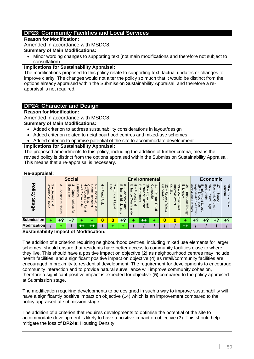# **DP23: Community Facilities and Local Services**

#### **Reason for Modification:**

Amended in accordance with MSDC8.

### **Summary of Main Modifications:**

 Minor wording changes to supporting text (not main modifications and therefore not subject to consultation)

### **Implications for Sustainability Appraisal:**

The modifications proposed to this policy relate to supporting text, factual updates or changes to improve clarity. The changes would not alter the policy so much that it would be distinct from the options already appraised within the Submission Sustainability Appraisal, and therefore a reappraisal is not required.

# **DP24: Character and Design**

#### **Reason for Modification:**

Amended in accordance with MSDC8.

#### **Summary of Main Modifications:**

- Added criterion to address sustainability considerations in layout/design
- Added criterion related to neighbourhood centres and mixed-use schemes
- Added criterion to optimise potential of the site to accommodate development

#### **Implications for Sustainability Appraisal:**

The proposed amendments to this policy, including the addition of further criteria, means the revised policy is distinct from the options appraised within the Submission Sustainability Appraisal. This means that a re-appraisal is necessary.

#### **Re-appraisal:**

|                               |                                     |                                                    | <b>Social</b>                                                                    |                                                                                 |                                                                                                                          |                           |                                |                                                                                                                |                                                                               | <b>Environmental</b>                                            |                                                                     |                                           |                                                                            |                                           |                                                                                          | Economic                                                                |                                                                              |                                                                                   |
|-------------------------------|-------------------------------------|----------------------------------------------------|----------------------------------------------------------------------------------|---------------------------------------------------------------------------------|--------------------------------------------------------------------------------------------------------------------------|---------------------------|--------------------------------|----------------------------------------------------------------------------------------------------------------|-------------------------------------------------------------------------------|-----------------------------------------------------------------|---------------------------------------------------------------------|-------------------------------------------|----------------------------------------------------------------------------|-------------------------------------------|------------------------------------------------------------------------------------------|-------------------------------------------------------------------------|------------------------------------------------------------------------------|-----------------------------------------------------------------------------------|
| <b>Policy</b><br><b>Stage</b> | Affordable<br>Decent<br>Home<br>and | Z<br>Acces<br>$\omega$<br>$\vec{c}$<br>Ξ<br>lealth | $\bm{\omega}$<br>$\mathsf{m}$<br>운<br>ā<br>Opportunities<br>$\overline{a}$<br>id | pue<br>╖<br>၉<br><u>ilitie</u><br>ó.<br>uuuo;<br>ወ<br>S<br>anity<br>ฮ<br>Retail | ပၢ<br>g<br>Ξ.<br>ımunities<br>$\sigma$<br>ohesive<br>esis<br>$\overline{\omega}$<br>÷<br>∍<br>ഗ<br>$\rightarrow$<br>afe, | ၜ<br><b>Flood</b><br>Risk | ⊂<br>8<br>fficient<br>–<br>and | $m$ $\infty$<br>Ë.<br>ance<br>O<br>ons<br>ቧ<br>$\mathbf{\overline{u}}$<br>jodi<br>Φ<br>and<br><b>Vers</b><br>ミ | అ<br>ш<br>Ë<br>$\omega$<br>᠊ᠣ<br>iote<br>ဥ<br>σ<br>and<br>⋚<br>≃<br>⋜<br>side | 的<br>ш<br>る<br>nhance<br>ronment<br>rotect<br>등<br>and<br>toric | ငွ<br>∸<br>ā<br>观<br>lestion<br>$\sigma$<br>anc<br>Φ<br><b>Road</b> | Generation<br>ಸ<br>Reduc<br>Ô<br>≲<br>ase | QL<br>Ε<br>ಪ<br>ਹ<br>ality<br>$\circ$<br>Maintain<br>ଚି<br>ଽ<br>ate<br>and | 띷<br>Cie<br>ncrease<br>Š<br><b>Energy</b> | rege<br>调<br>and<br>neratio<br>village<br><u>yment</u><br>ncour<br>entres<br>₽<br>o<br>ξ | gnd<br>ತ<br>ē<br><b>Stable</b><br>Ensur<br>Φ<br>r Levels<br>dge<br>Нigh | ⇉<br>Eco<br>omic<br>δū<br>공<br>᠗<br>$\circ$<br>∍<br>$\overline{c}$<br>й<br>Ф | Touri<br>$\vec{8}$<br><u>ล่</u> :<br>3<br>m<br>$\overline{5}$<br>$\circ$<br>lrage |
| <b>Submission</b>             |                                     | .2                                                 | ≏                                                                                |                                                                                 |                                                                                                                          | 0                         | 0                              | +?                                                                                                             |                                                                               | **                                                              |                                                                     | 0                                         | 0                                                                          |                                           | o                                                                                        | +?                                                                      | Ð                                                                            | +?                                                                                |
| <b>Modification</b>           |                                     |                                                    |                                                                                  | $^{\mathrm{+}}$                                                                 | $^{\tiny{++}}$                                                                                                           |                           |                                |                                                                                                                |                                                                               |                                                                 |                                                                     |                                           |                                                                            | $+ +$                                     |                                                                                          |                                                                         |                                                                              |                                                                                   |

#### **Sustainability Impact of Modification:**

The addition of a criterion requiring neighbourhood centres, including mixed use elements for larger schemes, should ensure that residents have better access to community facilities close to where they live. This should have a positive impact on objective (**2**) as neighbourhood centres may include health facilities, and a significant positive impact on objective (**4**) as retail/community facilities are encouraged in proximity to residential development. The requirement for developments to encourage community interaction and to provide natural surveillance will improve community cohesion, therefore a significant positive impact is expected for objective (**5**) compared to the policy appraised at Submission stage.

The modification requiring developments to be designed in such a way to improve sustainability will have a significantly positive impact on objective (14) which is an improvement compared to the policy appraised at submission stage.

The addition of a criterion that requires developments to optimise the potential of the site to accommodate development is likely to have a positive impact on objective (**7**). This should help mitigate the loss of **DP24a:** Housing Density.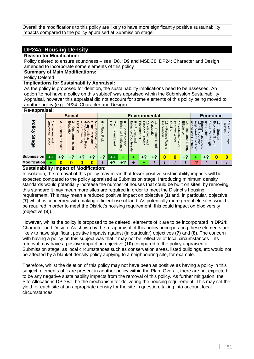Overall the modifications to this policy are likely to have more significantly positive sustainability impacts compared to the policy appraised at Submission stage.

### **DP24a: Housing Density**

#### **Reason for Modification:**

Policy deleted to ensure soundness – see ID8, ID9 and MSDC8. DP24: Character and Design amended to incorporate some elements of this policy

#### **Summary of Main Modifications:**

Policy Deleted

#### **Implications for Sustainability Appraisal:**

As the policy is proposed for deletion, the sustainability implications need to be assessed. An option 'to not have a policy on this subject' was appraised within the Submission Sustainability Appraisal, however this appraisal did not account for some elements of this policy being moved to another policy (e.g. DP24: Character and Design)

#### **Re-appraisal:**

| <b>TIO upplaioui.</b>                                                  |                                       |                                                                                       |               |                                                                         |                                        |                                                 |                                                                                                       |                                                                                                              |                                                                                                                                     |                                                                      |                                                                                |                                                          |                                            |                                     |                                                       |                                                |                                          |
|------------------------------------------------------------------------|---------------------------------------|---------------------------------------------------------------------------------------|---------------|-------------------------------------------------------------------------|----------------------------------------|-------------------------------------------------|-------------------------------------------------------------------------------------------------------|--------------------------------------------------------------------------------------------------------------|-------------------------------------------------------------------------------------------------------------------------------------|----------------------------------------------------------------------|--------------------------------------------------------------------------------|----------------------------------------------------------|--------------------------------------------|-------------------------------------|-------------------------------------------------------|------------------------------------------------|------------------------------------------|
|                                                                        |                                       |                                                                                       |               |                                                                         |                                        |                                                 |                                                                                                       |                                                                                                              |                                                                                                                                     |                                                                      |                                                                                |                                                          |                                            |                                     |                                                       |                                                |                                          |
| ъ<br>⇉<br><b>ldab10</b><br>⊂<br>Ć<br>Œ<br>$\sigma$<br>⋥<br>Home<br>and | N<br>⋗<br>ດ<br>cess<br>5<br>Φ<br>alth | $\bm{\omega}$<br>$\blacksquare$<br>윤<br>ក<br>ation<br>ਰੂ<br>0<br>⋾<br>tunities<br>ţar | and<br>⋚<br>₹ | ပာ<br>Ξ.<br>3<br>$\sigma$<br>ohesive<br>Φ<br><b>G</b><br>Istant<br>Safe | ග<br><b>Flood</b><br><b>Risk</b>       | ⊂<br>8e<br>띷<br>icient<br>$\overline{ }$<br>and | $\infty$<br>m<br>Ë<br>anc<br>ons<br>Φ<br>ወ<br>쯔<br>-<br>odiv<br>$\sigma$<br>gind<br>Ø<br>⊸<br>U)<br>Ë | $\circ$<br>ш<br>っ<br>$\omega$<br>᠊ᠣ<br>ore<br>G<br>C<br>Õ<br>Ω<br>0<br>and<br>C<br>っ<br>⋣<br>ΘS.<br>$\sigma$ | m<br>ត់<br>∍<br>anc<br>note<br>Ô<br>Ċ<br>≕<br>$\overline{a}$<br>$\overline{\phantom{0}}$<br>and<br>$\overline{\phantom{0}}$<br>oric | ဂ<br>⇉<br>cnge.<br>고<br>stion<br>edu<br>$\Omega$<br>Φ<br><b>Road</b> | ဝ့<br>ಸ<br>∍<br>Φ<br>Re<br>ration<br>ë<br>$\Omega$<br>$\sigma$<br><b>Waste</b> | ပ္င<br>в<br>₹<br><b>Maintain</b><br>$\sigma$<br>≋<br>ate | 픊<br>Œ<br>ncre<br>ës<br>Φ<br><b>Energy</b> | rege<br>iratio<br>ດາ<br>₽<br>ş<br>∃ | and<br>ವ<br>S<br>ਠ<br>Ensi<br>eldei<br>Ξ<br>Φ<br>High | 円<br>⇉<br>ഗ<br>=<br>꽁<br>⊕<br>O<br>⊸<br>Š<br>F | ᅴ<br>ಹ<br>Ξ.<br>isn<br>Enc<br>O<br>rrage |
| $++$                                                                   | .2                                    |                                                                                       |               | . 2<br>. .                                                              | $+2$                                   | $+ +$                                           |                                                                                                       |                                                                                                              | 4                                                                                                                                   | o                                                                    | 0                                                                              | 0                                                        | +?                                         |                                     | -7                                                    |                                                | 0                                        |
| ٠                                                                      | O                                     |                                                                                       |               | 0                                                                       |                                        | $\sqrt{2}$                                      | - 2                                                                                                   |                                                                                                              |                                                                                                                                     |                                                                      |                                                                                |                                                          |                                            | ◠                                   |                                                       |                                                |                                          |
|                                                                        | <b>Modification</b>                   |                                                                                       |               | <b>Social</b><br>Эc<br><u>ilities</u>                                   | -<br><b>P</b><br>mtie<br>ದೆರ<br>Retail |                                                 |                                                                                                       |                                                                                                              |                                                                                                                                     | lШ<br>Ę<br><b>CITILI</b><br>lent                                     |                                                                                | <b>Environmental</b>                                     |                                            | Bup                                 | Bmd<br>llage<br>entres                                | ყი<br>ა<br>vment<br>Levels<br>Uge              | Economic                                 |

#### **Sustainability Impact of Modification:**

In isolation, the removal of this policy may mean that fewer positive sustainability impacts will be expected compared to the policy appraised at Submission stage. Introducing minimum density standards would potentially increase the number of houses that could be built on sites, by removing this standard it may mean more sites are required in order to meet the District's housing requirement. This may mean a reduced positive impact on objective (**1**) and, in particular, objective (**7**) which is concerned with making efficient use of land. As potentially more greenfield sites would be required in order to meet the District's housing requirement, this could impact on biodiversity (objective (**8**)).

However, whilst the policy is proposed to be deleted, elements of it are to be incorporated in **DP24**: Character and Design. As shown by the re-appraisal of this policy, incorporating these elements are likely to have significant positive impacts against (in particular) objectives (**7**) and (**8**). The concern with having a policy on this subject was that it may not be reflective of local circumstances – its removal may have a positive impact on objective (**10**) compared to the policy appraised at Submission stage, as local circumstances such as conservation areas, listed buildings, etc would not be affected by a blanket density policy applying to a neighbouring site, for example.

Therefore, whilst the deletion of this policy may not have been as positive as having a policy in this subject, elements of it are present in another policy within the Plan. Overall, there are not expected to be any negative sustainability impacts from the removal of this policy. As further mitigation, the Site Allocations DPD will be the mechanism for delivering the housing requirement. This may set the yield for each site at an appropriate density for the site in question, taking into account local circumstances.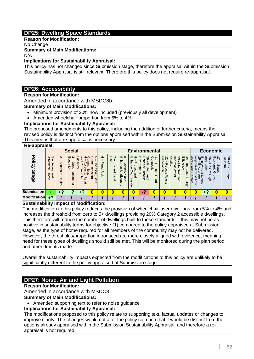# **DP25: Dwelling Space Standards**

**Reason for Modification:**

No Change

### **Summary of Main Modifications:**

#### N/A **Implications for Sustainability Appraisal:**

This policy has not changed since Submission stage, therefore the appraisal within the Submission Sustainability Appraisal is still relevant. Therefore this policy does not require re-appraisal.

# **DP26: Accessibility**

**Reason for Modification:**

Amended in accordance with MSDC8b.

#### **Summary of Main Modifications:**

- Minimum provision of 20% now included (previously all development)
- Amended wheelchair proportion from 5% to 4%

#### **Implications for Sustainability Appraisal:**

The proposed amendments to this policy, including the addition of further criteria, means the revised policy is distinct from the options appraised within the Submission Sustainability Appraisal. This means that a re-appraisal is necessary.

#### **Re-appraisal:**

| n <del>c</del> -appraisai.    |                                                      |                                           |                                                             |                                                    |                                                                                                                   |                           |                                                   |                                                                                          |                                                                                     |                                                                                            |                                                 |                                            |                                                                          |                                         |                                                                               |                                                                                 |                                                          |                                |
|-------------------------------|------------------------------------------------------|-------------------------------------------|-------------------------------------------------------------|----------------------------------------------------|-------------------------------------------------------------------------------------------------------------------|---------------------------|---------------------------------------------------|------------------------------------------------------------------------------------------|-------------------------------------------------------------------------------------|--------------------------------------------------------------------------------------------|-------------------------------------------------|--------------------------------------------|--------------------------------------------------------------------------|-----------------------------------------|-------------------------------------------------------------------------------|---------------------------------------------------------------------------------|----------------------------------------------------------|--------------------------------|
|                               |                                                      |                                           | <b>Social</b>                                               |                                                    |                                                                                                                   |                           |                                                   |                                                                                          |                                                                                     | <b>Environmental</b>                                                                       |                                                 |                                            |                                                                          |                                         |                                                                               | <b>Economic</b>                                                                 |                                                          |                                |
| <b>Policy</b><br><b>Stage</b> | ъ<br>ŧ<br>rdable<br>U<br><b>ecent</b><br>Home<br>and | N<br>⋗<br>ccess<br>$\vec{c}$<br>Φ<br>sith | ౿<br>g<br>ດ<br><b>Holle:</b><br>pport<br>tunities<br>-<br>ă | gnd<br>gc<br>lities<br>g<br>mm<br>I<br>ត<br>Retail | ပာ<br>P<br>Cohesiv<br><u>Inities</u><br>$\tilde{\sigma}$<br>$\omega$<br>$\overline{0}$<br>ត<br>-<br>$\Xi$<br>Safe | ၜ<br><b>Flood</b><br>Risk | c<br>8e<br>п<br>fficient<br>$\overline{ }$<br>and | $m$ $\infty$<br>Ë.<br>ance<br>o<br>ā<br>O<br><b>Biodiv</b><br>⊸<br>Ø<br>and<br>ሟ<br>Sity | ဖ<br>ш<br>っ<br>ᠴ<br>Ψ<br>o<br>G<br>C<br>Φ<br>O<br>Ψ<br>$\Omega$<br><b>SO</b><br>jde | IШ<br>ш<br>ត់<br>E<br>∍<br>ronment<br>anc<br>rotect<br>Ô<br>$\overline{w}$<br>and<br>ioric | Ò<br>Ξ<br>န္ပ<br>stion<br>Φ<br>ăuo<br>Φ<br>Road | Generation<br>ನ<br>Reduc<br>Ô<br>ଽ<br>aste | g<br>Е<br>ರ<br>Nile<br>laintain<br>$\sigma$<br>ξ<br>ate<br>$\frac{1}{2}$ | 띷<br>Φ<br>ncrease<br>ನ<br><b>Energy</b> | rege<br><b>and</b><br>dilage<br>noou<br>ratio<br>age<br>entres<br>Q<br>ş<br>ぅ | Bup<br>调<br>ಹ<br><b>Stabl</b><br>ovment<br>S)<br>$\sigma$<br>Φ<br>High<br>evels | Eco<br>∸<br>Sim<br>ഗ<br>끙<br>⊕<br>$\circ$<br>5<br>⇉<br>Ř | $18 - 1$<br>ā.<br>Ęnc<br>urage |
| <b>Submission</b>             | ٠                                                    | G                                         | ຳ                                                           | c                                                  |                                                                                                                   | 0                         | 0                                                 | 0                                                                                        | 0                                                                                   | G                                                                                          |                                                 | 0                                          | 0                                                                        | 0                                       | 0                                                                             | $+7$                                                                            | 0                                                        |                                |
| <b>Modification</b>           | $+7$                                                 |                                           |                                                             |                                                    |                                                                                                                   |                           |                                                   |                                                                                          |                                                                                     |                                                                                            |                                                 |                                            |                                                                          |                                         |                                                                               |                                                                                 |                                                          |                                |

#### **Sustainability Impact of Modification:**

The modification to this policy reduces the provision of wheelchair-user dwellings from 5% to 4% and increases the threshold from zero to 5+ dwellings providing 20% Category 2 accessible dwellings. This therefore will reduce the number of dwellings built to these standards – this may not be as positive in sustainability terms for objective (**1**) compared to the policy appraised at Submission stage, as the type of home required for all members of the community may not be delivered. However, the thresholds/proportion introduced are more closely aligned with evidence, meaning need for these types of dwellings should still be met. This will be monitored during the plan period and amendments made

Overall the sustainability impacts expected from the modifications to this policy are unlikely to be significantly different to the policy appraised at Submission stage.

# **DP27: Noise, Air and Light Pollution**

**Reason for Modification:**

Amended in accordance with MSDC8.

**Summary of Main Modifications:**

• Amended supporting text to refer to noise guidance

### **Implications for Sustainability Appraisal:**

The modifications proposed to this policy relate to supporting text, factual updates or changes to improve clarity. The changes would not alter the policy so much that it would be distinct from the options already appraised within the Submission Sustainability Appraisal, and therefore a reappraisal is not required.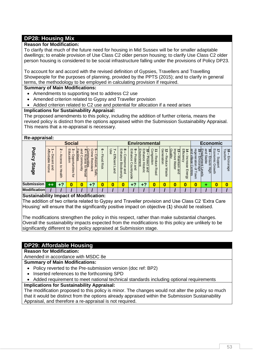# **DP28: Housing Mix**

### **Reason for Modification:**

To clarify that much of the future need for housing in Mid Sussex will be for smaller adaptable dwellings; to enable provision of Use Class C2 older person housing; to clarify Use Class C2 older person housing is considered to be social infrastructure falling under the provisions of Policy DP23.

To account for and accord with the revised definition of Gypsies, Travellers and Travelling Showpeople for the purposes of planning, provided by the PPTS (2015); and to clarify in general terms, the methodology to be employed in calculating provision if required.

### **Summary of Main Modifications:**

- Amendments to supporting text to address C2 use
- Amended criterion related to Gypsy and Traveller provision
- Added criterion related to C2 use and potential for allocation if a need arises

### **Implications for Sustainability Appraisal:**

The proposed amendments to this policy, including the addition of further criteria, means the revised policy is distinct from the options appraised within the Submission Sustainability Appraisal. This means that a re-appraisal is necessary.

### **Re-appraisal:**

| ne-applaisai.                     |                                        |                                                        |                                                                               |                                                           |                                                                                                     |                                  |                        |                                                                                      |                                                                                      |                                                                                       |                                                |                                                                            |                                                                      |                                    |                                                                                           |                                                                                                      |                                              |                                  |
|-----------------------------------|----------------------------------------|--------------------------------------------------------|-------------------------------------------------------------------------------|-----------------------------------------------------------|-----------------------------------------------------------------------------------------------------|----------------------------------|------------------------|--------------------------------------------------------------------------------------|--------------------------------------------------------------------------------------|---------------------------------------------------------------------------------------|------------------------------------------------|----------------------------------------------------------------------------|----------------------------------------------------------------------|------------------------------------|-------------------------------------------------------------------------------------------|------------------------------------------------------------------------------------------------------|----------------------------------------------|----------------------------------|
|                                   |                                        |                                                        | <b>Social</b>                                                                 |                                                           |                                                                                                     |                                  |                        |                                                                                      |                                                                                      | <b>Environmental</b>                                                                  |                                                |                                                                            |                                                                      |                                    |                                                                                           | <b>Economic</b>                                                                                      |                                              |                                  |
| τ<br><b>Olicy</b><br><b>Stage</b> | ъ<br>ffordable<br>ecent<br>Home<br>pue | $\boldsymbol{\kappa}$<br>Access<br>$\vec{0}$<br>Health | ు<br>$\blacksquare$<br>$\Omega$<br>ppo<br>ज़ें<br>$\circ$<br>rtunities<br>ţar | and<br>æ<br><b>ilities</b><br>arnm<br>unit<br>ฮ<br>Retail | cл<br>g<br>nmunities<br>Accese *<br>ŏ<br>Φ<br>hesive<br>观<br>$\sigma$<br>ista<br>÷<br>킂<br>ഗ<br>afe | ၜ<br><b>Flood</b><br><b>Risk</b> | es<br>Efficient<br>and | $m$ $\infty$<br>っ<br>hance<br>C<br><b>ONS</b><br>Φ<br>쯔<br>⊸<br>odivers<br>ଚି<br>pue | ఴ<br>$\blacksquare$<br>롱<br>āς<br>᠊ᠣ<br>O<br>ဥ<br>$\omega$<br>untr<br>ā<br>ωï<br>äge | IШ<br>ш<br>គ<br>∍<br>Þ<br>ironment<br>anc<br>Lote<br>Ô<br>Ö<br>壸<br>→<br>and<br>toric | ဂ<br>GÕ<br>ø<br><b>Stion</b><br>ğ<br>Φ<br>Road | Generation<br>ನ<br>Redu<br>$\Omega$<br>$\sigma$<br>≲<br>æ<br>∸<br>$\sigma$ | Quality<br>$\exists$<br>ರ<br>ഇ<br>$\sigma$<br>≲<br>āin<br>ate<br>gnd | Effici<br>ës<br>$\sigma$<br>Energy | Ρg<br>rege<br>illage<br>uso<br>ratio<br>$\overline{a}$<br>entres<br>$\overline{a}$<br>OWN | Ξ<br>햷<br>ග<br>Stable<br>١Q<br>insu<br><i><b>TTTent</b></i><br>ወ<br>Нğы<br>Levels<br><sub>19</sub> e | m<br>S<br>₹<br>mi<br>S<br>ğ<br>Gro<br>₹<br>∉ | 18 – End<br>Tourism<br>Encourage |
| <b>Submission</b>                 | $++$                                   | $+2$                                                   |                                                                               | 0                                                         | $+7$                                                                                                | 0                                | 0                      | 0                                                                                    | .2                                                                                   | ø                                                                                     | 0                                              | 0                                                                          | 0                                                                    | 0                                  | 0                                                                                         |                                                                                                      |                                              |                                  |
| <b>Modification</b>               |                                        |                                                        |                                                                               |                                                           |                                                                                                     |                                  |                        |                                                                                      |                                                                                      |                                                                                       |                                                |                                                                            |                                                                      |                                    |                                                                                           |                                                                                                      |                                              |                                  |

### **Sustainability Impact of Modification:**

The addition of two criteria related to Gypsy and Traveller provision and Use Class C2 'Extra Care Housing' will ensure that the significantly positive impact on objective (**1**) should be realised.

The modifications strengthen the policy in this respect, rather than make substantial changes. Overall the sustainability impacts expected from the modifications to this policy are unlikely to be significantly different to the policy appraised at Submission stage.

# **DP29: Affordable Housing**

#### **Reason for Modification:**

Amended in accordance with MSDC 8e

### **Summary of Main Modifications:**

- Policy reverted to the Pre-submission version (doc ref: BP2)
- Inserted references to the forthcoming SPD
- Added requirement to meet national technical standards including optional requirements

### **Implications for Sustainability Appraisal:**

The modification proposed to this policy is minor. The changes would not alter the policy so much that it would be distinct from the options already appraised within the Submission Sustainability Appraisal, and therefore a re-appraisal is not required.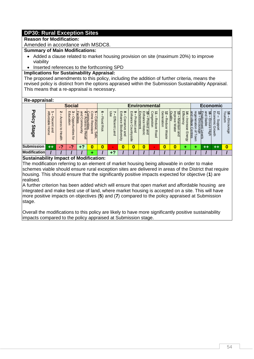# **DP30: Rural Exception Sites**

#### **Reason for Modification:**

Amended in accordance with MSDC8.

### **Summary of Main Modifications:**

- Added a clause related to market housing provision on site (maximum 20%) to improve viability
- Inserted references to the forthcoming SPD

# **Implications for Sustainability Appraisal:**

The proposed amendments to this policy, including the addition of further criteria, means the revised policy is distinct from the options appraised within the Submission Sustainability Appraisal. This means that a re-appraisal is necessary.

#### **Re-appraisal:**

| $\cdots$ $\cdots$ $\cdots$    |                                               |                                                 |                                                         |                                                                       |                                                                                                                 |                           |                                      |                                                                                  |                                                                                   |                                                                                                                                    |                                                                                   |                                                              |                                                               |                                                |                                                                                                   |                                                                                      |                                                                       |                                  |
|-------------------------------|-----------------------------------------------|-------------------------------------------------|---------------------------------------------------------|-----------------------------------------------------------------------|-----------------------------------------------------------------------------------------------------------------|---------------------------|--------------------------------------|----------------------------------------------------------------------------------|-----------------------------------------------------------------------------------|------------------------------------------------------------------------------------------------------------------------------------|-----------------------------------------------------------------------------------|--------------------------------------------------------------|---------------------------------------------------------------|------------------------------------------------|---------------------------------------------------------------------------------------------------|--------------------------------------------------------------------------------------|-----------------------------------------------------------------------|----------------------------------|
|                               |                                               |                                                 | <b>Social</b>                                           |                                                                       |                                                                                                                 |                           |                                      |                                                                                  |                                                                                   | <b>Environmental</b>                                                                                                               |                                                                                   |                                                              |                                                               |                                                |                                                                                                   | Economic                                                                             |                                                                       |                                  |
| <b>Policy</b><br><b>Stage</b> | ъ<br>ffordable<br><b>ecent</b><br>and<br>Home | N<br>⊳<br>ccess<br>$\rightarrow$<br>ö<br>Health | ు<br>m<br>Ω<br>с<br><b>Dpoortunities</b><br>etro<br>ţar | and<br>၉<br>ilities<br>ล<br>amm<br>ወ<br>တ္တ<br>₿.<br>ฮ<br>ュ<br>Retail | cл<br>ă<br>Ξ.<br>munities<br>Φ<br>Ò<br>hesive<br>ᄽ<br>$\sigma$<br>m<br>İSİ.<br>$\omega$<br>급<br>$\omega$<br>afe | ၜ<br><b>Flood</b><br>Rist | ⊂<br>∼<br>8e<br>fficient<br>-<br>and | $m$ $\infty$<br>링<br>ance<br>C<br>SUO<br>Φ<br>쯔<br>-<br>odivers<br>Ø<br>pue<br>J | <u> က</u> ဖ<br>로<br>٩<br>υ<br>0<br>$\vec{a}$<br>Õ<br>$\omega$<br>mun<br>ā<br>side | IШ<br>$\blacksquare$<br>∸<br>c<br>Ρ<br>コ<br>ironment<br>ø<br>ā<br>Lote<br>Ô<br>$\frac{4}{5}$<br>ດ<br>$\rightarrow$<br>and<br>toric | ွ<br><b>GG</b><br>$\overline{0}$<br><b>G</b><br>Ë<br>ğ<br>$\sigma$<br><b>Road</b> | Generation<br>ಸ<br>Redu<br>$\Omega$<br>$\sigma$<br>≲<br>aste | Quality<br>$\bar{3}$<br>ত<br>Φ<br>≅<br>⊒<br>ain<br>ate<br>and | Effic<br>Ř<br>ncre<br>ës<br>$\sigma$<br>Energy | e₫<br>rege<br>mс<br><u>illaqe</u><br>ă<br>ratio<br>ö<br>$\overline{\omega}$<br>entres<br>o<br>OWN | and<br>≓m<br>ಸ<br>უ<br>ს⊟<br>Stable<br>SÜ.<br>/ment<br>ξ<br>ወ<br>Ηğ<br>Levels<br>uge | 円<br>₹<br>ö<br>mi<br>ഗ<br>C<br>꽁<br>$\Omega$<br>ω<br>┭<br>O<br>ミ<br>も | 18 – End<br>Tourism<br>Encourage |
| <b>Submission</b>             | $+ +$                                         | - 2                                             | ø                                                       | œ                                                                     |                                                                                                                 | 0                         | $\sim$                               |                                                                                  |                                                                                   |                                                                                                                                    | $\sim$                                                                            |                                                              | 0                                                             |                                                |                                                                                                   | ++                                                                                   |                                                                       |                                  |
| <b>Modification</b>           |                                               |                                                 |                                                         |                                                                       |                                                                                                                 |                           | $+2$                                 |                                                                                  |                                                                                   |                                                                                                                                    |                                                                                   |                                                              |                                                               |                                                |                                                                                                   |                                                                                      |                                                                       |                                  |
|                               |                                               |                                                 |                                                         |                                                                       |                                                                                                                 |                           |                                      |                                                                                  |                                                                                   |                                                                                                                                    |                                                                                   |                                                              |                                                               |                                                |                                                                                                   |                                                                                      |                                                                       |                                  |

### **Sustainability Impact of Modification:**

The modification referring to an element of market housing being allowable in order to make schemes viable should ensure rural exception sites are delivered in areas of the District that require housing. This should ensure that the significantly positive impacts expected for objective (**1**) are realised.

A further criterion has been added which will ensure that open market and affordable housing are integrated and make best use of land, where market housing is accepted on a site. This will have more positive impacts on objectives (**5**) and (**7**) compared to the policy appraised at Submission stage.

Overall the modifications to this policy are likely to have more significantly positive sustainability impacts compared to the policy appraised at Submission stage.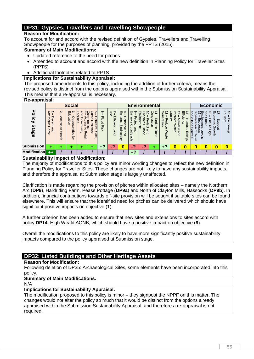# **DP31: Gypsies, Travellers and Travelling Showpeople**

### **Reason for Modification:**

To account for and accord with the revised definition of Gypsies, Travellers and Travelling Showpeople for the purposes of planning, provided by the PPTS (2015).

# **Summary of Main Modifications:**

- Updated reference to the need for pitches
- Amended to account and accord with the new definition in Planning Policy for Traveller Sites (PPTS)
- Additional footnotes related to PPTS

### **Implications for Sustainability Appraisal:**

The proposed amendments to this policy, including the addition of further criteria, means the revised policy is distinct from the options appraised within the Submission Sustainability Appraisal. This means that a re-appraisal is necessary.

#### **Re-appraisal:**

| $\cdots$ $\cdots$ $\cdots$           |                                                                       |                                                                                                                                                                                                                                                                                                                                 |               |  |  |                           |                                             |                                                                                         |                                                                                                            |                                                                                                               |                                                      |                                                                 |                                                                                            |                                                                 |                                                                                               |                                                               |                                                          |                                                      |
|--------------------------------------|-----------------------------------------------------------------------|---------------------------------------------------------------------------------------------------------------------------------------------------------------------------------------------------------------------------------------------------------------------------------------------------------------------------------|---------------|--|--|---------------------------|---------------------------------------------|-----------------------------------------------------------------------------------------|------------------------------------------------------------------------------------------------------------|---------------------------------------------------------------------------------------------------------------|------------------------------------------------------|-----------------------------------------------------------------|--------------------------------------------------------------------------------------------|-----------------------------------------------------------------|-----------------------------------------------------------------------------------------------|---------------------------------------------------------------|----------------------------------------------------------|------------------------------------------------------|
|                                      |                                                                       |                                                                                                                                                                                                                                                                                                                                 | <b>Social</b> |  |  |                           |                                             |                                                                                         |                                                                                                            | <b>Environmental</b>                                                                                          |                                                      |                                                                 |                                                                                            |                                                                 |                                                                                               | <b>Economic</b>                                               |                                                          |                                                      |
| $\overline{6}$<br>ΙË<br><b>Stage</b> | ъ<br>$\ddot{a}$<br>C<br>$\Omega$<br>Œ<br>aldie<br>cent<br>Home<br>and | N<br>$\blacksquare$<br>$\bm{\omega}$<br>and<br>ပၢ<br>т<br>Ω<br>국<br>P<br>ਨੋ<br>⋗<br>lities<br>ወ<br><b>Holle:</b><br>ccess<br>ohesive<br>ರ<br>ō<br>unitie<br>õ<br>Ō<br>⋾<br>ၯ<br>tunities<br>$\overline{\sigma}$<br>$\vec{0}$<br>⋾<br>ä<br>$\circ$<br>₹<br>⊒<br>Retail<br>Safe,<br>᠗<br>ig<br>T<br>$\overline{\phantom{0}}$<br>ă |               |  |  | ග<br><b>Flood</b><br>Risk | Use<br>∼<br>Efficient<br>−<br>ë<br>$\Omega$ | a<br>T∃<br>T<br>ance<br><b>Ons</b><br>ቧ<br>Biod<br>$\sigma$<br>≤.<br>and<br>q<br>m<br>Ē | అ<br>$\mathsf{m}$<br>っ<br>ω<br>ය<br>බ<br>C<br>c<br>$\omega$<br>∍<br>∍<br>$\Omega$<br><b>SO</b><br>÷.<br>ခွ | IП<br>m<br>∸<br>0<br>っ<br>Е<br>anc<br><b>CITIL</b><br>rotec<br>Ô<br>ēnt<br>$\overline{w}$<br>⇥<br>and<br>oric | င္ပ<br><b>G</b><br>Œ<br>ijon<br>guo<br>ወ<br>Ros<br>ō | Generati<br>ಸ<br>Reduc<br>$\mathsf{S}$<br>$\sigma$<br>≲<br>aste | ⊵<br>$\bar{z}$<br>Nillar<br>ਠ<br>ଚ<br>$\overline{\mathbf{v}}$<br><b>Mate</b><br>āin<br>gnd | 핓<br>$\ddot{\bar{\mathfrak{d}}}$<br>cre<br>ese<br><b>Energy</b> | <b>Brid</b><br>rege<br>village<br>ä<br>ratio<br>ë<br>≌<br>entres<br>န္မ<br>$\Omega$<br>o<br>っ | and<br>ನ<br>뺾<br>Stable<br>vment<br>gur<br>Φ<br>High<br>evels | Бc<br>⇉<br>Ŝ<br>DTII<br>S<br>꽁<br>G)<br>-<br>⊐<br>O<br>Ř | $\vec{8}$<br>$\overline{c}$<br>Ē.<br>is<br>Encourage |
| <b>Submission</b>                    |                                                                       |                                                                                                                                                                                                                                                                                                                                 |               |  |  | $+?$                      | ≘<br>$\sim$                                 | 0                                                                                       | $\epsilon$                                                                                                 | $\epsilon$                                                                                                    |                                                      | ÷                                                               | 0                                                                                          | 0                                                               | 0                                                                                             | 0                                                             |                                                          |                                                      |
| <b>Modification</b>                  | $++$                                                                  |                                                                                                                                                                                                                                                                                                                                 |               |  |  |                           |                                             |                                                                                         | ∟າ                                                                                                         |                                                                                                               |                                                      |                                                                 |                                                                                            |                                                                 |                                                                                               |                                                               |                                                          |                                                      |

### **Sustainability Impact of Modification:**

The majority of modifications to this policy are minor wording changes to reflect the new definition in Planning Policy for Traveller Sites. These changes are not likely to have any sustainability impacts, and therefore the appraisal at Submission stage is largely unaffected.

Clarification is made regarding the provision of pitches within allocated sites – namely the Northern Arc (**DP9**), Hardriding Farm, Pease Pottage (**DP9a**) and North of Clayton Mills, Hassocks (**DP9b**). In addition, financial contributions towards off-site provision will be sought if suitable sites can be found elsewhere. This will ensure that the identified need for pitches can be delivered which should have significant positive impacts on objective (**1**).

A further criterion has been added to ensure that new sites and extensions to sites accord with policy **DP14**: High Weald AONB, which should have a positive impact on objective (**9**).

Overall the modifications to this policy are likely to have more significantly positive sustainability impacts compared to the policy appraised at Submission stage.

# **DP32: Listed Buildings and Other Heritage Assets**

### **Reason for Modification:**

Following deletion of DP35: Archaeological Sites, some elements have been incorporated into this policy.

# **Summary of Main Modifications:**

N/A

# **Implications for Sustainability Appraisal:**

The modification proposed to this policy is minor – they signpost the NPPF on this matter. The changes would not alter the policy so much that it would be distinct from the options already appraised within the Submission Sustainability Appraisal, and therefore a re-appraisal is not required.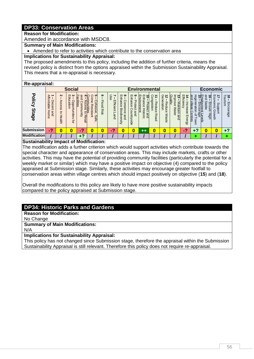# **DP33: Conservation Areas**

### **Reason for Modification:**

Amended in accordance with MSDC8.

**Summary of Main Modifications:**

Amended to refer to activities which contribute to the conservation area

#### **Implications for Sustainability Appraisal:**

The proposed amendments to this policy, including the addition of further criteria, means the revised policy is distinct from the options appraised within the Submission Sustainability Appraisal. This means that a re-appraisal is necessary.

#### **Re-appraisal:**

| . .                    |                                                                     |                                                                       |                                                                                                                   |                                                                 |                                                                                               |                           |                             |                                                                                                                         |                                                                                                                      |                                                                                                            |                                                              |                                                |                                                                                 |                                                    |                                                                                     |                                                                                                              |                                                   |                                                   |
|------------------------|---------------------------------------------------------------------|-----------------------------------------------------------------------|-------------------------------------------------------------------------------------------------------------------|-----------------------------------------------------------------|-----------------------------------------------------------------------------------------------|---------------------------|-----------------------------|-------------------------------------------------------------------------------------------------------------------------|----------------------------------------------------------------------------------------------------------------------|------------------------------------------------------------------------------------------------------------|--------------------------------------------------------------|------------------------------------------------|---------------------------------------------------------------------------------|----------------------------------------------------|-------------------------------------------------------------------------------------|--------------------------------------------------------------------------------------------------------------|---------------------------------------------------|---------------------------------------------------|
|                        |                                                                     |                                                                       | <b>Social</b>                                                                                                     |                                                                 |                                                                                               |                           |                             |                                                                                                                         |                                                                                                                      | <b>Environmental</b>                                                                                       |                                                              |                                                |                                                                                 |                                                    |                                                                                     | <b>Economic</b>                                                                                              |                                                   |                                                   |
| Policy<br><b>Stage</b> | <b>Affo</b><br>rdable<br>ece<br>=<br>and<br>$rac{1}{2}$<br>$\sigma$ | $\mathbf{v}$<br>Acces<br>Ō,<br>$\rightarrow$<br>O<br>÷<br>┷<br>lealth | $\boldsymbol{\omega}$<br>$\blacksquare$<br>₽<br><b>G</b><br>ppor<br>$\Rightarrow$<br>$\circ$<br>≠<br>unities<br>ğ | and<br>၉<br>ilities<br>õ<br>Š<br>Ξ<br>π<br>unity<br>៊<br>Retail | σ<br>g<br>-<br>╕<br>$\circ$<br>unities<br>hesi<br>ᅘ<br>$\mathbf{D}$<br>$\overline{a}$<br>Safe | ග<br><b>Flood</b><br>Risk | န္တ<br>fficient<br>–<br>and | $\infty$<br>$\blacksquare$<br>롸<br>$\omega$<br>mce<br>ons<br>ᢍ<br>-<br>--<br>$\circ$<br>Œ<br>₫.<br>and<br>$\delta$<br>ā | ဖ<br>ш<br>コ<br>ᠴ<br>τ<br>Ψ<br>rote<br>င္ပ<br>0<br>$\omega$<br>Ŝ<br>$\overline{a}$<br>$\rightarrow$<br>≌.<br><b>G</b> | Ęņ<br>௱<br>0<br>구<br><b>Ironment</b><br>ance<br>Totec<br>능<br>$\overline{\phantom{0}}$<br>⊶<br>and<br>öric | ငွ<br>ه<br>$\sigma$<br>educ<br>noits<br>Ô<br>Roa<br>$\Omega$ | ဝူ<br>ಸ<br>neration<br>Reduc<br>Ô<br>≲<br>aste | Ğ<br>Ξ<br>دە<br>ਹ<br>lity<br>⊸<br>O<br>ଚ<br>உ<br>≋<br><b>lain</b><br>ate<br>and | Efficienc<br>⇄<br>∍<br>cre<br>ase<br><b>Energy</b> | <b>and</b><br>rege<br>ಸ<br>villaqe<br>ratio<br>rrage<br>entres<br>$\mathbf{a}$<br>⋾ | and<br>$\frac{5}{15}$<br>ಕ<br>Encoura<br>Encoura<br><b>Stabl</b><br><u>insu:</u><br>ത<br>Φ<br>High<br>Levels | 망<br>₹<br>ğ<br>omic<br>ഗ<br>ᅙ<br>ጪ<br>ਡ<br>₹<br>∉ | $\vec{8}$<br>$\overline{5}$<br>rrism<br>Encourage |
| <b>Submission</b>      | 47                                                                  |                                                                       | 0                                                                                                                 | ◠<br><b>COL</b>                                                 |                                                                                               | 0                         | G<br>$\sim$ 1               | O                                                                                                                       | 0                                                                                                                    | ++                                                                                                         | 0                                                            | 0                                              | 0                                                                               | $\epsilon$                                         | +?                                                                                  | U                                                                                                            |                                                   | $+2$                                              |
| <b>Modification</b>    |                                                                     |                                                                       |                                                                                                                   | G                                                               |                                                                                               |                           |                             |                                                                                                                         |                                                                                                                      |                                                                                                            |                                                              |                                                |                                                                                 |                                                    |                                                                                     |                                                                                                              |                                                   |                                                   |

### **Sustainability Impact of Modification:**

The modification adds a further criterion which would support activities which contribute towards the special character and appearance of conservation areas. This may include markets, crafts or other activities. This may have the potential of providing community facilities (particularly the potential for a weekly market or similar) which may have a positive impact on objective (4) compared to the policy appraised at Submission stage. Similarly, these activities may encourage greater footfall to conservation areas within village centres which should impact positively on objective (**15**) and (**18**).

Overall the modifications to this policy are likely to have more positive sustainability impacts compared to the policy appraised at Submission stage.

# **DP34: Historic Parks and Gardens**

**Reason for Modification:**

No Change

# **Summary of Main Modifications:**

N/A

### **Implications for Sustainability Appraisal:**

This policy has not changed since Submission stage, therefore the appraisal within the Submission Sustainability Appraisal is still relevant. Therefore this policy does not require re-appraisal.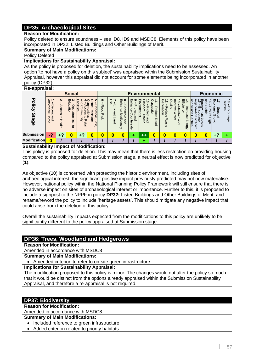# **DP35: Archaeological Sites**

#### **Reason for Modification:**

Policy deleted to ensure soundness – see ID8, ID9 and MSDC8. Elements of this policy have been incorporated in DP32: Listed Buildings and Other Buildings of Merit.

### **Summary of Main Modifications:**

Policy Deleted

#### **Implications for Sustainability Appraisal:**

As the policy is proposed for deletion, the sustainability implications need to be assessed. An option 'to not have a policy on this subject' was appraised within the Submission Sustainability Appraisal, however this appraisal did not account for some elements being incorporated in another policy (DP32).

#### **Re-appraisal:**

| <b>The approved</b>           |                                                            |                                                    |                                                                                          |                                                                                             |                                                                     |                          |                             |                                                                                                                                 |                                                                                                             |                                                                                                                  |                                                 |                                        |                                                                                   |                                                          |                                                                                            |                                                                        |                                            |                            |  |
|-------------------------------|------------------------------------------------------------|----------------------------------------------------|------------------------------------------------------------------------------------------|---------------------------------------------------------------------------------------------|---------------------------------------------------------------------|--------------------------|-----------------------------|---------------------------------------------------------------------------------------------------------------------------------|-------------------------------------------------------------------------------------------------------------|------------------------------------------------------------------------------------------------------------------|-------------------------------------------------|----------------------------------------|-----------------------------------------------------------------------------------|----------------------------------------------------------|--------------------------------------------------------------------------------------------|------------------------------------------------------------------------|--------------------------------------------|----------------------------|--|
|                               |                                                            |                                                    | <b>Social</b>                                                                            |                                                                                             |                                                                     |                          |                             |                                                                                                                                 |                                                                                                             | <b>Environmental</b>                                                                                             |                                                 |                                        |                                                                                   |                                                          | Economic                                                                                   |                                                                        |                                            |                            |  |
| <b>Policy</b><br><b>Stage</b> | Affordable<br><b>ecent</b><br>Hom<br>and<br>$\bar{\sigma}$ | Z<br>Acces<br>$\omega$<br>$\vec{c}$<br>ᆂ<br>lealth | $\boldsymbol{\omega}$<br>$\blacksquare$<br>ducatio<br><b>Opportunities</b><br><b>ior</b> | യ<br>п<br>Ξ<br>ac<br><u>ilities</u><br>ົດ<br>inmo.<br>ຕ<br>$\omega$<br>unity<br>ฮ<br>Retail | o<br>q<br>-<br>munities<br>Ö<br>hesive<br>ᅘ<br>ಸ<br>$\cdot$<br>Safe | ၜ<br>Hood<br><b>Risk</b> | 9S<br>Efficient<br>–<br>and | $\infty$<br>$\mathsf{m}$<br>झ<br>ھ<br>റ<br>š<br>SUO<br>$\sigma$<br>₽<br>ᢍ<br>ilodiv<br>Φ<br>and<br>$\overline{\mathbb{Q}}$<br>ā | అ<br>ш<br>inhanc<br>᠊ᠣ<br><b>rote</b><br>$\sigma$<br>₽<br>◠<br>0<br>and<br>Ĕ<br>$\overline{\omega}$ .<br>ခြ | ш<br>ш<br>∸<br>3<br>0<br>Ξ<br><u> «ronment</u><br>anc<br>notec<br>$\sigma$<br>픇<br>$\rightarrow$<br>toric<br>and | O<br>nge<br>观<br>uoins<br>Φ<br>guc<br>Ô<br>Road | Generation<br>ಸ<br>Reduce<br>≲<br>aste | $\overline{a}$<br>Quality<br>ట<br>prove<br>←<br>ഇ.<br><b>Water</b><br>lain<br>and | Efficiency<br>14<br>ηgι<br>ወ<br>ës<br>Ō<br><b>Energy</b> | and<br>rege<br>$\frac{1}{5}$<br>village<br>መ<br>ratio<br>t Levels<br>devels<br>entres<br>š | and<br>ಹೆ<br>Stable<br><u>lovment</u><br>Encoura<br>马<br>sur<br>Φ<br>원 | Economic<br>∸<br>ddns<br>G.<br>ğ<br>irowth | 18<br>Tourism<br>Encourage |  |
| <b>Submission</b>             | 47                                                         | +?                                                 | 0                                                                                        | L,<br>- 1                                                                                   |                                                                     | 0                        | 0                           | 0                                                                                                                               |                                                                                                             | $+ +$                                                                                                            | 0                                               | ∩                                      | 0                                                                                 | 0                                                        | 0                                                                                          | 0                                                                      | $+2$                                       |                            |  |
| <b>Modification</b>           | 0                                                          |                                                    |                                                                                          |                                                                                             |                                                                     |                          |                             |                                                                                                                                 |                                                                                                             |                                                                                                                  |                                                 |                                        |                                                                                   |                                                          |                                                                                            |                                                                        |                                            |                            |  |

### **Sustainability Impact of Modification:**

This policy is proposed for deletion. This may mean that there is less restriction on providing housing compared to the policy appraised at Submission stage, a neutral effect is now predicted for objective (**1**).

As objective (**10**) is concerned with protecting the historic environment, including sites of archaeological interest, the significant positive impact previously predicted may not now materialise. However, national policy within the National Planning Policy Framework will still ensure that there is no adverse impact on sites of archaeological interest or importance. Further to this, it is proposed to include a signpost to the NPPF in policy **DP32:** Listed Buildings and Other Buildings of Merit, and rename/reword the policy to include 'heritage assets'. This should mitigate any negative impact that could arise from the deletion of this policy.

Overall the sustainability impacts expected from the modifications to this policy are unlikely to be significantly different to the policy appraised at Submission stage.

# **DP36: Trees, Woodland and Hedgerows**

**Reason for Modification:**

Amended in accordance with MSDC8

**Summary of Main Modifications:**

Amended criterion to refer to on-site green infrastructure

**Implications for Sustainability Appraisal:**

The modification proposed to this policy is minor. The changes would not alter the policy so much that it would be distinct from the options already appraised within the Submission Sustainability Appraisal, and therefore a re-appraisal is not required.

### **DP37: Biodiversity**

**Reason for Modification:**

Amended in accordance with MSDC8.

#### **Summary of Main Modifications:**

- Included reference to green infrastructure
- Added criterion related to priority habitats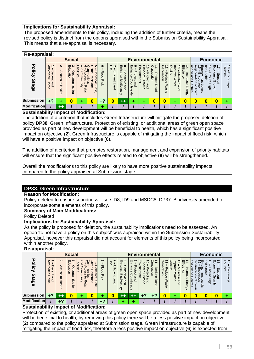### **Implications for Sustainability Appraisal:**

The proposed amendments to this policy, including the addition of further criteria, means the revised policy is distinct from the options appraised within the Submission Sustainability Appraisal. This means that a re-appraisal is necessary.

### **Re-appraisal:**

| n <del>c</del> -appraisai. |                                            |                                    |                                                                                                 |                                                                      |                                                                                                                                              |                           |                                        |                                                                                             |                                                                                |                                                                                     |                                  |                                            |                                                                |                                           |                                                       |                                                                                                  |                                                              |                                      |  |
|----------------------------|--------------------------------------------|------------------------------------|-------------------------------------------------------------------------------------------------|----------------------------------------------------------------------|----------------------------------------------------------------------------------------------------------------------------------------------|---------------------------|----------------------------------------|---------------------------------------------------------------------------------------------|--------------------------------------------------------------------------------|-------------------------------------------------------------------------------------|----------------------------------|--------------------------------------------|----------------------------------------------------------------|-------------------------------------------|-------------------------------------------------------|--------------------------------------------------------------------------------------------------|--------------------------------------------------------------|--------------------------------------|--|
|                            |                                            |                                    | <b>Social</b>                                                                                   |                                                                      |                                                                                                                                              |                           |                                        |                                                                                             |                                                                                | <b>Environmental</b>                                                                |                                  |                                            |                                                                |                                           | Economic                                              |                                                                                                  |                                                              |                                      |  |
| Policy<br><b>Stage</b>     | <b>Affordable</b><br>Decent<br>Home<br>and | Z<br>Access<br>$\vec{0}$<br>Health | $\bm{\omega}$<br>$\blacksquare$<br>Q<br>ਨੋ<br>odd<br>قع<br>$\mathbf{S}$<br>⊣<br>tunities<br>tor | and<br>ac<br><b>ilities</b><br>uuuo:<br>unity<br>$\vec{c}$<br>Retail | ∩<br>ပၢ<br><b>communities</b><br>- Access to<br>$\exists$<br><b>Cohesive</b><br>$\bar{\sigma}$<br>Resista<br>$\sim$<br>⋾<br>Safe<br><b>—</b> | ග<br><b>Flood</b><br>Rist | Use<br>Efficient<br>┍<br>ä<br>$\Omega$ | $\infty$<br>$\blacksquare$<br>nhance<br>C<br>suo<br>읙<br>Bio<br>Œ<br>diver<br>pue<br>w<br>ā | అ<br>g<br>hance<br>Prote<br>ğ<br>O<br>ountryside<br>$\omega$<br>$\overline{a}$ | Environment<br>핅<br>る<br>ance<br>rotec<br>His<br>$\rightarrow$<br>÷<br>and<br>ioric | Congestion<br>Reduc<br>Ô<br>Road | Generation<br>ನ<br>Reduc<br>Ô<br>ଽ<br>aste | $\overline{3}$<br>Quality<br>prove<br>Maintain<br>Wate<br>gind | Efficie<br>Increase<br>Š<br><b>Energy</b> | regeneration<br>and<br>village<br>Centres<br>₽<br>OWN | and<br>ᆥ<br>ಕ<br>Stable<br>⊡l⊡<br>Ensure<br><u>pyment</u><br>Encoura<br>r Levels<br>rage<br>High | Бc<br>⇉<br>ğ<br>omic<br>ddn <sub>S</sub><br>᠗<br>ğ<br>irowth | ನ<br>$\vec{a}$<br>unsin<br>Encourage |  |
| <b>Submission</b>          | +?                                         | ۰                                  | 0                                                                                               |                                                                      | O                                                                                                                                            | +?                        | 0                                      | $^{\tiny \textcolor{red}{+}\, \textcolor{red}{+}\,}$                                        |                                                                                |                                                                                     | D                                | 0                                          |                                                                | 0                                         | 0                                                     | 0                                                                                                | 0                                                            |                                      |  |
| <b>Modification</b>        |                                            | $++$                               |                                                                                                 |                                                                      |                                                                                                                                              |                           |                                        |                                                                                             |                                                                                |                                                                                     |                                  |                                            |                                                                |                                           |                                                       |                                                                                                  |                                                              |                                      |  |
|                            |                                            |                                    |                                                                                                 |                                                                      |                                                                                                                                              |                           |                                        |                                                                                             |                                                                                |                                                                                     |                                  |                                            |                                                                |                                           |                                                       |                                                                                                  |                                                              |                                      |  |

#### **Sustainability Impact of Modification:**

The addition of a criterion that includes Green Infrastructure will mitigate the proposed deletion of policy **DP38**: Green Infrastructure. Protection of existing, or additional areas of green open space provided as part of new development will be beneficial to health, which has a significant positive impact on objective (**2**). Green Infrastructure is capable of mitigating the impact of flood risk, which will have a positive impact on objective (**6**).

The addition of a criterion that promotes restoration, management and expansion of priority habitats will ensure that the significant positive effects related to objective (**8**) will be strengthened.

Overall the modifications to this policy are likely to have more positive sustainability impacts compared to the policy appraised at Submission stage.

# **DP38: Green Infrastructure**

# **Reason for Modification:**

Policy deleted to ensure soundness – see ID8, ID9 and MSDC8. DP37: Biodiversity amended to incorporate some elements of this policy.

#### **Summary of Main Modifications:**

Policy Deleted

### **Implications for Sustainability Appraisal:**

As the policy is proposed for deletion, the sustainability implications need to be assessed. An option 'to not have a policy on this subject' was appraised within the Submission Sustainability Appraisal, however this appraisal did not account for elements of this policy being incorporated within another policy.

#### **Re-appraisal:**

| <b>The applaint</b>    |                                                                                             |                                                                 |                                                                                            |                                                                        |                                                                                                         |                               |                                       |                                                                                                                                 |                                                                                                 |                                                                                                       |                                                     |                                                                 |                                                                                        |                                              |                                                                        |                                                                                    |                                                                      |                                      |  |
|------------------------|---------------------------------------------------------------------------------------------|-----------------------------------------------------------------|--------------------------------------------------------------------------------------------|------------------------------------------------------------------------|---------------------------------------------------------------------------------------------------------|-------------------------------|---------------------------------------|---------------------------------------------------------------------------------------------------------------------------------|-------------------------------------------------------------------------------------------------|-------------------------------------------------------------------------------------------------------|-----------------------------------------------------|-----------------------------------------------------------------|----------------------------------------------------------------------------------------|----------------------------------------------|------------------------------------------------------------------------|------------------------------------------------------------------------------------|----------------------------------------------------------------------|--------------------------------------|--|
|                        | <b>Social</b>                                                                               |                                                                 |                                                                                            |                                                                        |                                                                                                         |                               |                                       |                                                                                                                                 |                                                                                                 | <b>Environmental</b>                                                                                  |                                                     |                                                                 |                                                                                        |                                              | Economic                                                               |                                                                                    |                                                                      |                                      |  |
| Policy<br><b>Stage</b> | Affo<br>$\rightarrow$<br><b>ndable</b><br>ecent<br>g<br>$rac{1}{2}$<br>$\Omega$<br>$\sigma$ | $\boldsymbol{\kappa}$<br>⋗<br>ccess<br>$\vec{c}$<br>I<br>lealth | $\boldsymbol{\omega}$<br>ш<br>$\Omega$<br>ਨੋ<br>알<br>ppor<br>$\circ$<br>⊣<br>tunities<br>ġ | and<br>п<br>ac<br><u>alities</u><br>'n<br>ornm<br>unity<br>ฮ<br>Retail | c<br>q<br>≣<br>Ö<br>hesi<br>Б<br>lities<br>-<br>$\overline{\delta}$<br>ista<br>$\cdot$<br>⋥<br>S<br>efe | ග<br><b>Floo</b><br>Q<br>Risk | 3e<br>ш<br>fficient<br>قا<br>$\Omega$ | $\infty$<br>m<br>っ<br>ᠴ<br>С<br>$\omega$<br>อวน<br><b>ONS</b><br>Φ<br>쯔<br>≒<br>$\overline{5}$<br>Œ<br>≤.<br>and<br>Ø<br>⊸<br>ഗ | $\circ$<br>ш<br>コ<br>᠊ᠣ<br>ēη<br>ote<br>ဥ<br>요<br>0<br>Ψ<br>s<br>$\Omega$<br>⇉<br>5<br>--<br>ခွ | 巴<br>ш<br>∸<br>0<br>∍<br>ironment<br>gn<br>ດ<br>Lote<br>$\ddot{\sigma}$<br>ㅎ<br>Ċ<br>⊣<br>and<br>oric | Co<br>É<br><b>GG</b><br>观<br>educe<br>stion<br>Road | Generation<br>ಸ<br>Reduc<br>$\sigma$<br>≲<br>æ<br>∸<br>$\sigma$ | ē<br>Е<br>uality<br>᠊ᠣ<br>$\overline{\mathbf{z}}$<br>Ø<br>⋾<br>Wate<br>ja<br>E<br>gind | Effic<br>$\vec{q}$<br>esee.<br><b>Energy</b> | and<br>rege<br>rillage<br>noou:<br>iratio<br>age<br>entres<br>₽<br>OWN | and<br>뺾<br>ಹೆ<br>Stable<br>lg<br>∍<br>ment<br>S<br>-<br>$\sigma$<br>Нğh<br>Levels | ₹<br>ਨ੍ਹਾ<br>₽<br>Smi<br>w<br>c<br>공<br>G.<br>$\circ$<br>3<br>⊐<br>Ř | ಕ ಕ<br>Š<br>ism<br>Enc<br>ö<br>urage |  |
| <b>Submission</b>      | $+2$                                                                                        | $^{\rm ++}$                                                     | 0                                                                                          |                                                                        |                                                                                                         | ۰                             | 0                                     | $^{\tiny \textcolor{red}{+}\, \textcolor{red}{+}\,}$                                                                            | ++                                                                                              | o<br>٠                                                                                                |                                                     |                                                                 |                                                                                        | 0                                            | 0                                                                      |                                                                                    | 0                                                                    |                                      |  |
| <b>Modification</b>    |                                                                                             | ♪                                                               |                                                                                            |                                                                        |                                                                                                         | $+7$                          |                                       |                                                                                                                                 |                                                                                                 |                                                                                                       |                                                     |                                                                 |                                                                                        |                                              |                                                                        |                                                                                    |                                                                      |                                      |  |

### **Sustainability Impact of Modification:**

Protection of existing, or additional areas of green open space provided as part of new development will be beneficial to health, by removing this policy there will be a less positive impact on objective (**2**) compared to the policy appraised at Submission stage. Green Infrastructure is capable of mitigating the impact of flood risk, therefore a less positive impact on objective (**6**) is expected from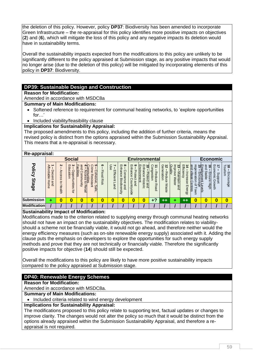the deletion of this policy. However, policy **DP37**: Biodiversity has been amended to incorporate Green Infrastructure – the re-appraisal for this policy identifies more positive impacts on objectives (**2**) and (**6**), which will mitigate the loss of this policy and any negative impacts its deletion would have in sustainability terms.

Overall the sustainability impacts expected from the modifications to this policy are unlikely to be significantly different to the policy appraised at Submission stage, as any positive impacts that would no longer arise (due to the deletion of this policy) will be mitigated by incorporating elements of this policy in **DP37**: Biodiversity.

# **DP39: Sustainable Design and Construction**

**Reason for Modification:**

Amended in accordance with MSDC8a

**Summary of Main Modifications:**

- Softened reference to requirement for communal heating networks, to 'explore opportunities for :
- Included viability/feasibility clause
- **Implications for Sustainability Appraisal:**

The proposed amendments to this policy, including the addition of further criteria, means the revised policy is distinct from the options appraised within the Submission Sustainability Appraisal. This means that a re-appraisal is necessary.

### **Re-appraisal:**

| ne-applaisai.                 |                                           |                                                                       |                                                                                    |                                                                             |                                                                                                |                           |                             |                                                                                          |                                                                                        |                                                                                                                         |                                                       |                                        |                                                                     |                                                                |                                                                                                        |                                                    |                                                       |                                     |
|-------------------------------|-------------------------------------------|-----------------------------------------------------------------------|------------------------------------------------------------------------------------|-----------------------------------------------------------------------------|------------------------------------------------------------------------------------------------|---------------------------|-----------------------------|------------------------------------------------------------------------------------------|----------------------------------------------------------------------------------------|-------------------------------------------------------------------------------------------------------------------------|-------------------------------------------------------|----------------------------------------|---------------------------------------------------------------------|----------------------------------------------------------------|--------------------------------------------------------------------------------------------------------|----------------------------------------------------|-------------------------------------------------------|-------------------------------------|
|                               |                                           |                                                                       | <b>Social</b>                                                                      |                                                                             |                                                                                                |                           |                             | <b>Environmental</b>                                                                     | Economic                                                                               |                                                                                                                         |                                                       |                                        |                                                                     |                                                                |                                                                                                        |                                                    |                                                       |                                     |
| <b>Policy</b><br><b>Stage</b> | <b>Affordable</b><br>ecent<br>Home<br>and | $\boldsymbol{\kappa}$<br>Access<br>$\rightarrow$<br>$\circ$<br>Health | ల<br>$\blacksquare$<br>ducati<br>loqd<br>O<br>$\mathbf{S}$<br>⋾<br>tunities<br>ţar | and<br>п<br>ac<br>ilities<br>ā<br>unmo:<br>ဥ<br>aint<br>$\vec{o}$<br>Retail | ◠<br>ပ<br>q<br><u>munities</u><br>$\circ$<br>hesive<br>观<br>ista<br>w<br>⊒<br>$\omega$<br>efe. | ග<br><b>Flood</b><br>Risk | 9S<br>Efficient<br>-<br>and | $\infty$<br>$\mathsf{m}$<br>nhance<br>O<br>ons<br>Bio<br>{}<br>Œ<br>diver<br>and<br>kijk | m<br>అ<br>urau<br>τ<br>ap.<br><b>G</b><br>c<br>$\omega$<br>$\overline{a}$<br>¥<br>side | ш<br>ш<br>-<br>$\bullet$<br>∍<br>Þ<br><u> Ironment</u><br>ance<br>᠊ᠣ<br>rote<br>동<br>ດ<br>$\rightarrow$<br>toric<br>and | ွ<br>∸<br>ngestion<br>공<br>ë<br>ດ<br>Ô<br><b>Road</b> | Generation<br>ನ<br>Reduce<br>ଽ<br>aste | ąщ<br>Quality<br>ω<br>rove<br>Nai<br>긎<br><b>Wate</b><br>ā.<br>gind | Effici<br>14<br>ency<br>Incre<br>ës<br>$\sigma$<br>E<br>:uergy | and<br>rege<br>뺿<br>village<br>Encoura<br>Encoura<br>eratio<br>$\overline{\omega}$<br>entres<br>க<br>c | and<br>ಹೆ<br>Stable<br>Ensur<br>Φ<br>Нğһ<br>Levels | Economic<br>⇉<br>ddn <sub>S</sub><br>⋒<br>å<br>5<br>Ř | $\frac{1}{5}$<br>unism<br>Encourage |
| <b>Submission</b>             | ۰                                         |                                                                       | 0                                                                                  | 0                                                                           |                                                                                                | 0                         | $\boldsymbol{0}$            | 0                                                                                        | 0                                                                                      | 0                                                                                                                       | $\blacktriangle$                                      | **                                     |                                                                     | $^{\rm ++}$                                                    | 0                                                                                                      | 0                                                  |                                                       |                                     |
| <b>Modification</b>           |                                           |                                                                       |                                                                                    |                                                                             |                                                                                                |                           |                             |                                                                                          |                                                                                        |                                                                                                                         |                                                       |                                        |                                                                     |                                                                |                                                                                                        |                                                    |                                                       |                                     |

#### **Sustainability Impact of Modification:**

Modifications made to the criterion related to supplying energy through communal heating networks should not have an impact on the sustainability objectives. The modification relates to viabilityshould a scheme not be financially viable, it would not go ahead, and therefore neither would the energy efficiency measures (such as on-site renewable energy supply) associated with it. Adding the clause puts the emphasis on developers to explore the opportunities for such energy supply methods and prove that they are not technically or financially viable. Therefore the significantly positive impacts for objective (**14**) should still be expected.

Overall the modifications to this policy are likely to have more positive sustainability impacts compared to the policy appraised at Submission stage.

# **DP40: Renewable Energy Schemes**

**Reason for Modification:**

Amended in accordance with MSDC8a.

**Summary of Main Modifications:**

• Included criteria related to wind energy development

### **Implications for Sustainability Appraisal:**

The modifications proposed to this policy relate to supporting text, factual updates or changes to improve clarity. The changes would not alter the policy so much that it would be distinct from the options already appraised within the Submission Sustainability Appraisal, and therefore a reappraisal is not required.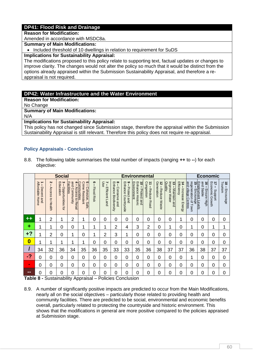# **DP41: Flood Risk and Drainage**

#### **Reason for Modification:**

Amended in accordance with MSDC8a.

#### **Summary of Main Modifications:**

• Included threshold of 10 dwellings in relation to requirement for SuDS

#### **Implications for Sustainability Appraisal:**

The modifications proposed to this policy relate to supporting text, factual updates or changes to improve clarity. The changes would not alter the policy so much that it would be distinct from the options already appraised within the Submission Sustainability Appraisal, and therefore a reappraisal is not required.

### **DP42: Water Infrastructure and the Water Environment**

**Reason for Modification:**

No Change

**Summary of Main Modifications:**

N/A

**Implications for Sustainability Appraisal:**

This policy has not changed since Submission stage, therefore the appraisal within the Submission Sustainability Appraisal is still relevant. Therefore this policy does not require re-appraisal.

### <span id="page-61-0"></span>**Policy Appraisals - Conclusion**

8.8. The following table summarises the total number of impacts (ranging **++** to **--**) for each objective:

|                  |                                    |                                           | <b>Social</b>                      |                                                                         |                                                                    |                        |                           |                                                             |                                        | <b>Environmental</b>                                |                                            |                                                   |                                               |                                    | <b>Economic</b>                                                                                                      |                                                |                                                    |                           |  |  |
|------------------|------------------------------------|-------------------------------------------|------------------------------------|-------------------------------------------------------------------------|--------------------------------------------------------------------|------------------------|---------------------------|-------------------------------------------------------------|----------------------------------------|-----------------------------------------------------|--------------------------------------------|---------------------------------------------------|-----------------------------------------------|------------------------------------|----------------------------------------------------------------------------------------------------------------------|------------------------------------------------|----------------------------------------------------|---------------------------|--|--|
|                  | Affordable Home<br>∸<br>Decent and | Z<br>Access<br>$\vec{c}$<br><b>Health</b> | 3 – Opportunities for<br>Education | and Community<br>Facilities<br>$\frac{4}{1}$<br><b>Access to Retail</b> | ပ<br><b>Crime Resistant</b><br>communities<br>ı<br>Cohesive, Safe, | စ<br><b>Flood Risk</b> | 7 – I<br>- Efficient Land | 8 - Conse<br>Enhance<br>Conserve and<br><b>Biodiversity</b> | 9 – Protect and<br>Enhance Countryside | Environment<br>Enhance Historic<br>10 - Protect and | $\vec{=}$<br>Congestion<br>-Reduce<br>Road | $\vec{z}$<br>Generation<br>Reduce<br><b>Waste</b> | Improve Water<br>Quality<br>13 – Maintain and | 14 - Increase Energy<br>Efficiency | and village Centres<br>regeneration<br><u>Employment Levels</u><br>15 – Encourage<br>$\overline{\mathbf{C}}$<br>Town | and<br>$\overline{9}$<br>Stable<br>Ensure High | $\overrightarrow{1}$<br>Economic Growth<br>Support | Tourism<br>18 - Encourage |  |  |
| $^{\mathrm{+}}$  | 1                                  | $\overline{2}$                            | 4                                  | $\overline{2}$                                                          | 1                                                                  | 0                      | 0                         | 0                                                           | 0                                      | 0                                                   | 0                                          | 0                                                 | 0                                             | 4                                  | 0                                                                                                                    | $\Omega$                                       | 0                                                  | 0                         |  |  |
| ٠                | 1                                  |                                           | 0                                  | 0                                                                       | 1                                                                  | 1                      | 1                         | 2                                                           | 4                                      | 3                                                   | $\overline{2}$                             | 0                                                 | 1                                             | 0                                  |                                                                                                                      | $\Omega$                                       | 1                                                  | 1                         |  |  |
| $+?$             | 1                                  | $\overline{2}$                            | 0                                  | 1                                                                       | 0                                                                  | 1                      | 2                         | 3                                                           | 1                                      | 0                                                   | 0                                          | 0                                                 | 0                                             | 0                                  | $\Omega$                                                                                                             | 0                                              | 0                                                  | 0                         |  |  |
| $\boldsymbol{0}$ | 1                                  | 1                                         | 1                                  | 1                                                                       | 1                                                                  | 0                      | 0                         | 0                                                           | 0                                      | 0                                                   | 0                                          | 0                                                 | 0                                             | 0                                  | 0                                                                                                                    | $\Omega$                                       | 0                                                  | 0                         |  |  |
|                  | 34                                 | 32                                        | 36                                 | 34                                                                      | 35                                                                 | 36                     | 35                        | 33                                                          | 33                                     | 35                                                  | 36                                         | 38                                                | 37                                            | 37                                 | 36                                                                                                                   | 38                                             | 37                                                 | 37                        |  |  |
| Q                | 0                                  | 0                                         | $\Omega$                           | 0                                                                       | 0                                                                  | 0                      | 0                         | 0                                                           | $\overline{0}$                         | 0                                                   | 0                                          | 0                                                 | 0                                             | 0                                  | 1                                                                                                                    | $\overline{0}$                                 | $\overline{0}$                                     | 0                         |  |  |
| $\blacksquare$   | 0                                  | 0                                         | 0                                  | 0                                                                       | 0                                                                  | 0                      | 0                         | 0                                                           | 0                                      | 0                                                   | 0                                          | 0                                                 | 0                                             | 0                                  | 0                                                                                                                    | $\Omega$                                       | $\overline{0}$                                     | 0                         |  |  |
| $- -$            | 0                                  | 0                                         | 0                                  | 0                                                                       | 0                                                                  | 0                      | 0                         | 0                                                           | 0                                      | 0                                                   | 0                                          | 0                                                 | 0                                             | 0                                  | 0                                                                                                                    | $\Omega$                                       | $\Omega$                                           | 0                         |  |  |

<span id="page-61-1"></span>**Table 8 -** Sustainability Appraisal – Policies Conclusion

8.9. A number of significantly positive impacts are predicted to occur from the Main Modifications, nearly all on the social objectives – particularly those related to providing health and community facilities. There are predicted to be social, environmental and economic benefits overall, particularly related to protecting the countryside and historic environment. This shows that the modifications in general are more positive compared to the policies appraised at Submission stage.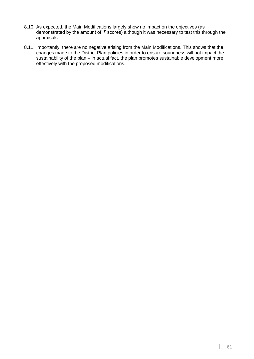- 8.10. As expected, the Main Modifications largely show no impact on the objectives (as demonstrated by the amount of '**/**' scores) although it was necessary to test this through the appraisals.
- 8.11. Importantly, there are no negative arising from the Main Modifications. This shows that the changes made to the District Plan policies in order to ensure soundness will not impact the sustainability of the plan – in actual fact, the plan promotes sustainable development more effectively with the proposed modifications.